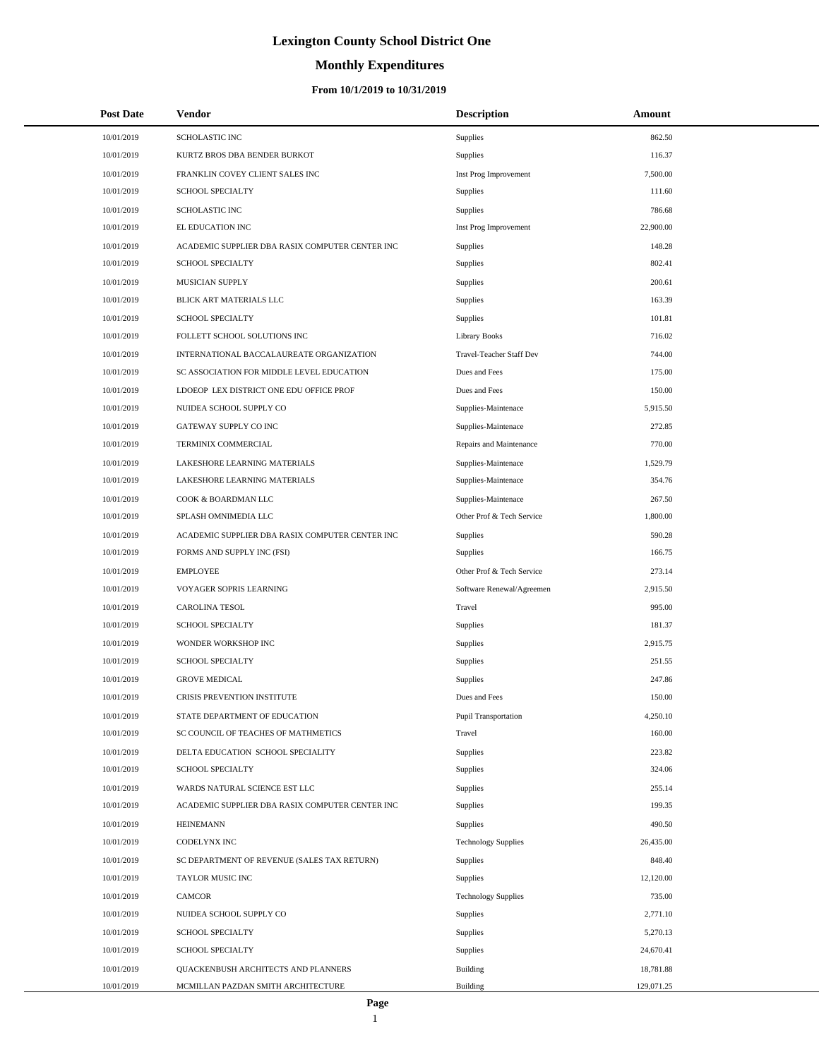# **Monthly Expenditures**

| <b>Post Date</b> | Vendor                                          | <b>Description</b>          | Amount     |  |
|------------------|-------------------------------------------------|-----------------------------|------------|--|
| 10/01/2019       | SCHOLASTIC INC                                  | Supplies                    | 862.50     |  |
| 10/01/2019       | KURTZ BROS DBA BENDER BURKOT                    | Supplies                    | 116.37     |  |
| 10/01/2019       | FRANKLIN COVEY CLIENT SALES INC                 | Inst Prog Improvement       | 7,500.00   |  |
| 10/01/2019       | <b>SCHOOL SPECIALTY</b>                         | <b>Supplies</b>             | 111.60     |  |
| 10/01/2019       | <b>SCHOLASTIC INC</b>                           | Supplies                    | 786.68     |  |
| 10/01/2019       | EL EDUCATION INC                                | Inst Prog Improvement       | 22,900.00  |  |
| 10/01/2019       | ACADEMIC SUPPLIER DBA RASIX COMPUTER CENTER INC | Supplies                    | 148.28     |  |
| 10/01/2019       | <b>SCHOOL SPECIALTY</b>                         | Supplies                    | 802.41     |  |
| 10/01/2019       | MUSICIAN SUPPLY                                 | Supplies                    | 200.61     |  |
| 10/01/2019       | BLICK ART MATERIALS LLC                         | Supplies                    | 163.39     |  |
| 10/01/2019       | <b>SCHOOL SPECIALTY</b>                         | Supplies                    | 101.81     |  |
| 10/01/2019       | FOLLETT SCHOOL SOLUTIONS INC                    | <b>Library Books</b>        | 716.02     |  |
| 10/01/2019       | INTERNATIONAL BACCALAUREATE ORGANIZATION        | Travel-Teacher Staff Dev    | 744.00     |  |
| 10/01/2019       | SC ASSOCIATION FOR MIDDLE LEVEL EDUCATION       | Dues and Fees               | 175.00     |  |
| 10/01/2019       | LDOEOP LEX DISTRICT ONE EDU OFFICE PROF         | Dues and Fees               | 150.00     |  |
| 10/01/2019       | NUIDEA SCHOOL SUPPLY CO                         | Supplies-Maintenace         | 5,915.50   |  |
| 10/01/2019       | GATEWAY SUPPLY CO INC                           | Supplies-Maintenace         | 272.85     |  |
| 10/01/2019       | TERMINIX COMMERCIAL                             | Repairs and Maintenance     | 770.00     |  |
| 10/01/2019       | LAKESHORE LEARNING MATERIALS                    | Supplies-Maintenace         | 1,529.79   |  |
| 10/01/2019       | LAKESHORE LEARNING MATERIALS                    | Supplies-Maintenace         | 354.76     |  |
| 10/01/2019       | COOK & BOARDMAN LLC                             | Supplies-Maintenace         | 267.50     |  |
| 10/01/2019       | SPLASH OMNIMEDIA LLC                            | Other Prof & Tech Service   | 1,800.00   |  |
| 10/01/2019       | ACADEMIC SUPPLIER DBA RASIX COMPUTER CENTER INC | <b>Supplies</b>             | 590.28     |  |
| 10/01/2019       | FORMS AND SUPPLY INC (FSI)                      | <b>Supplies</b>             | 166.75     |  |
| 10/01/2019       | <b>EMPLOYEE</b>                                 | Other Prof & Tech Service   | 273.14     |  |
| 10/01/2019       | VOYAGER SOPRIS LEARNING                         | Software Renewal/Agreemen   | 2,915.50   |  |
| 10/01/2019       | <b>CAROLINA TESOL</b>                           | Travel                      | 995.00     |  |
| 10/01/2019       | <b>SCHOOL SPECIALTY</b>                         | Supplies                    | 181.37     |  |
| 10/01/2019       | WONDER WORKSHOP INC                             | Supplies                    | 2,915.75   |  |
| 10/01/2019       | <b>SCHOOL SPECIALTY</b>                         | Supplies                    | 251.55     |  |
| 10/01/2019       | <b>GROVE MEDICAL</b>                            | Supplies                    | 247.86     |  |
| 10/01/2019       | CRISIS PREVENTION INSTITUTE                     | Dues and Fees               | 150.00     |  |
| 10/01/2019       | STATE DEPARTMENT OF EDUCATION                   | <b>Pupil Transportation</b> | 4,250.10   |  |
| 10/01/2019       | SC COUNCIL OF TEACHES OF MATHMETICS             | Travel                      | 160.00     |  |
| 10/01/2019       | DELTA EDUCATION SCHOOL SPECIALITY               | Supplies                    | 223.82     |  |
| 10/01/2019       | <b>SCHOOL SPECIALTY</b>                         | Supplies                    | 324.06     |  |
| 10/01/2019       | WARDS NATURAL SCIENCE EST LLC                   | Supplies                    | 255.14     |  |
| 10/01/2019       | ACADEMIC SUPPLIER DBA RASIX COMPUTER CENTER INC | Supplies                    | 199.35     |  |
| 10/01/2019       | <b>HEINEMANN</b>                                | Supplies                    | 490.50     |  |
| 10/01/2019       | CODELYNX INC                                    | <b>Technology Supplies</b>  | 26,435.00  |  |
| 10/01/2019       | SC DEPARTMENT OF REVENUE (SALES TAX RETURN)     | Supplies                    | 848.40     |  |
| 10/01/2019       | TAYLOR MUSIC INC                                | Supplies                    | 12,120.00  |  |
| 10/01/2019       | CAMCOR                                          | <b>Technology Supplies</b>  | 735.00     |  |
| 10/01/2019       | NUIDEA SCHOOL SUPPLY CO                         | Supplies                    | 2,771.10   |  |
| 10/01/2019       | <b>SCHOOL SPECIALTY</b>                         | Supplies                    | 5,270.13   |  |
| 10/01/2019       | <b>SCHOOL SPECIALTY</b>                         | Supplies                    | 24,670.41  |  |
| 10/01/2019       | QUACKENBUSH ARCHITECTS AND PLANNERS             | <b>Building</b>             | 18,781.88  |  |
| 10/01/2019       | MCMILLAN PAZDAN SMITH ARCHITECTURE              | Building                    | 129,071.25 |  |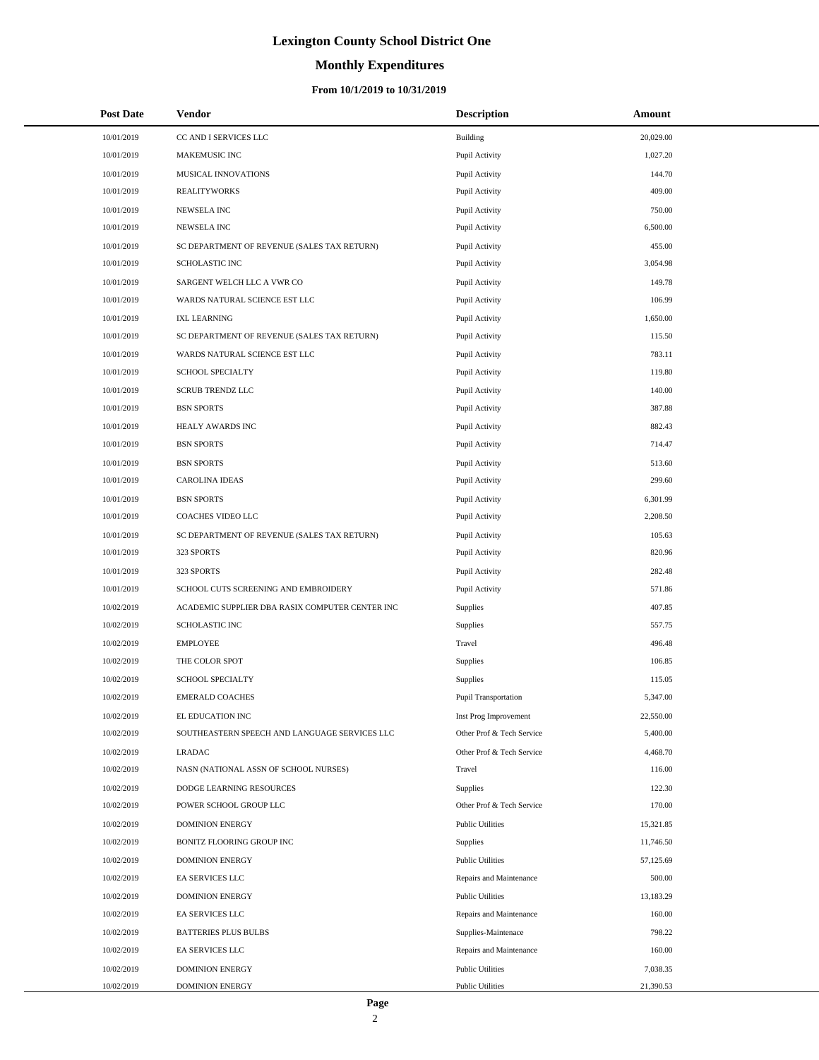# **Monthly Expenditures**

#### **From 10/1/2019 to 10/31/2019**

| <b>Post Date</b> | Vendor                                          | <b>Description</b>        | Amount    |
|------------------|-------------------------------------------------|---------------------------|-----------|
| 10/01/2019       | CC AND I SERVICES LLC                           | Building                  | 20,029.00 |
| 10/01/2019       | MAKEMUSIC INC                                   | Pupil Activity            | 1,027.20  |
| 10/01/2019       | <b>MUSICAL INNOVATIONS</b>                      | Pupil Activity            | 144.70    |
| 10/01/2019       | <b>REALITYWORKS</b>                             | Pupil Activity            | 409.00    |
| 10/01/2019       | NEWSELA INC                                     | Pupil Activity            | 750.00    |
| 10/01/2019       | NEWSELA INC                                     | Pupil Activity            | 6,500.00  |
| 10/01/2019       | SC DEPARTMENT OF REVENUE (SALES TAX RETURN)     | Pupil Activity            | 455.00    |
| 10/01/2019       | SCHOLASTIC INC                                  | Pupil Activity            | 3,054.98  |
| 10/01/2019       | SARGENT WELCH LLC A VWR CO                      | Pupil Activity            | 149.78    |
| 10/01/2019       | WARDS NATURAL SCIENCE EST LLC                   | Pupil Activity            | 106.99    |
| 10/01/2019       | <b>IXL LEARNING</b>                             | Pupil Activity            | 1,650.00  |
| 10/01/2019       | SC DEPARTMENT OF REVENUE (SALES TAX RETURN)     | Pupil Activity            | 115.50    |
| 10/01/2019       | WARDS NATURAL SCIENCE EST LLC                   | Pupil Activity            | 783.11    |
| 10/01/2019       | SCHOOL SPECIALTY                                | Pupil Activity            | 119.80    |
| 10/01/2019       | <b>SCRUB TRENDZ LLC</b>                         | Pupil Activity            | 140.00    |
| 10/01/2019       | <b>BSN SPORTS</b>                               | Pupil Activity            | 387.88    |
| 10/01/2019       | HEALY AWARDS INC                                | Pupil Activity            | 882.43    |
| 10/01/2019       | <b>BSN SPORTS</b>                               | Pupil Activity            | 714.47    |
| 10/01/2019       | <b>BSN SPORTS</b>                               | Pupil Activity            | 513.60    |
| 10/01/2019       | <b>CAROLINA IDEAS</b>                           | Pupil Activity            | 299.60    |
| 10/01/2019       | <b>BSN SPORTS</b>                               | Pupil Activity            | 6,301.99  |
| 10/01/2019       | COACHES VIDEO LLC                               | Pupil Activity            | 2,208.50  |
| 10/01/2019       | SC DEPARTMENT OF REVENUE (SALES TAX RETURN)     | Pupil Activity            | 105.63    |
| 10/01/2019       | 323 SPORTS                                      | Pupil Activity            | 820.96    |
| 10/01/2019       | 323 SPORTS                                      | Pupil Activity            | 282.48    |
| 10/01/2019       | SCHOOL CUTS SCREENING AND EMBROIDERY            | Pupil Activity            | 571.86    |
| 10/02/2019       | ACADEMIC SUPPLIER DBA RASIX COMPUTER CENTER INC | Supplies                  | 407.85    |
| 10/02/2019       | SCHOLASTIC INC                                  | Supplies                  | 557.75    |
| 10/02/2019       | <b>EMPLOYEE</b>                                 | Travel                    | 496.48    |
| 10/02/2019       | THE COLOR SPOT                                  | Supplies                  | 106.85    |
| 10/02/2019       | SCHOOL SPECIALTY                                | Supplies                  | 115.05    |
| 10/02/2019       | <b>EMERALD COACHES</b>                          | Pupil Transportation      | 5,347.00  |
| 10/02/2019       | EL EDUCATION INC                                | Inst Prog Improvement     | 22,550.00 |
| 10/02/2019       | SOUTHEASTERN SPEECH AND LANGUAGE SERVICES LLC   | Other Prof & Tech Service | 5,400.00  |
| 10/02/2019       | <b>LRADAC</b>                                   | Other Prof & Tech Service | 4,468.70  |
| 10/02/2019       | NASN (NATIONAL ASSN OF SCHOOL NURSES)           | Travel                    | 116.00    |
| 10/02/2019       | DODGE LEARNING RESOURCES                        | Supplies                  | 122.30    |
| 10/02/2019       | POWER SCHOOL GROUP LLC                          | Other Prof & Tech Service | 170.00    |
| 10/02/2019       | <b>DOMINION ENERGY</b>                          | <b>Public Utilities</b>   | 15,321.85 |
| 10/02/2019       | BONITZ FLOORING GROUP INC                       | Supplies                  | 11,746.50 |
| 10/02/2019       | <b>DOMINION ENERGY</b>                          | <b>Public Utilities</b>   | 57,125.69 |
| 10/02/2019       | EA SERVICES LLC                                 | Repairs and Maintenance   | 500.00    |
| 10/02/2019       | <b>DOMINION ENERGY</b>                          | <b>Public Utilities</b>   | 13,183.29 |
| 10/02/2019       | EA SERVICES LLC                                 | Repairs and Maintenance   | 160.00    |
| 10/02/2019       | <b>BATTERIES PLUS BULBS</b>                     | Supplies-Maintenace       | 798.22    |
| 10/02/2019       | EA SERVICES LLC                                 | Repairs and Maintenance   | 160.00    |
| 10/02/2019       | <b>DOMINION ENERGY</b>                          | <b>Public Utilities</b>   | 7,038.35  |
| 10/02/2019       | <b>DOMINION ENERGY</b>                          | <b>Public Utilities</b>   | 21,390.53 |

L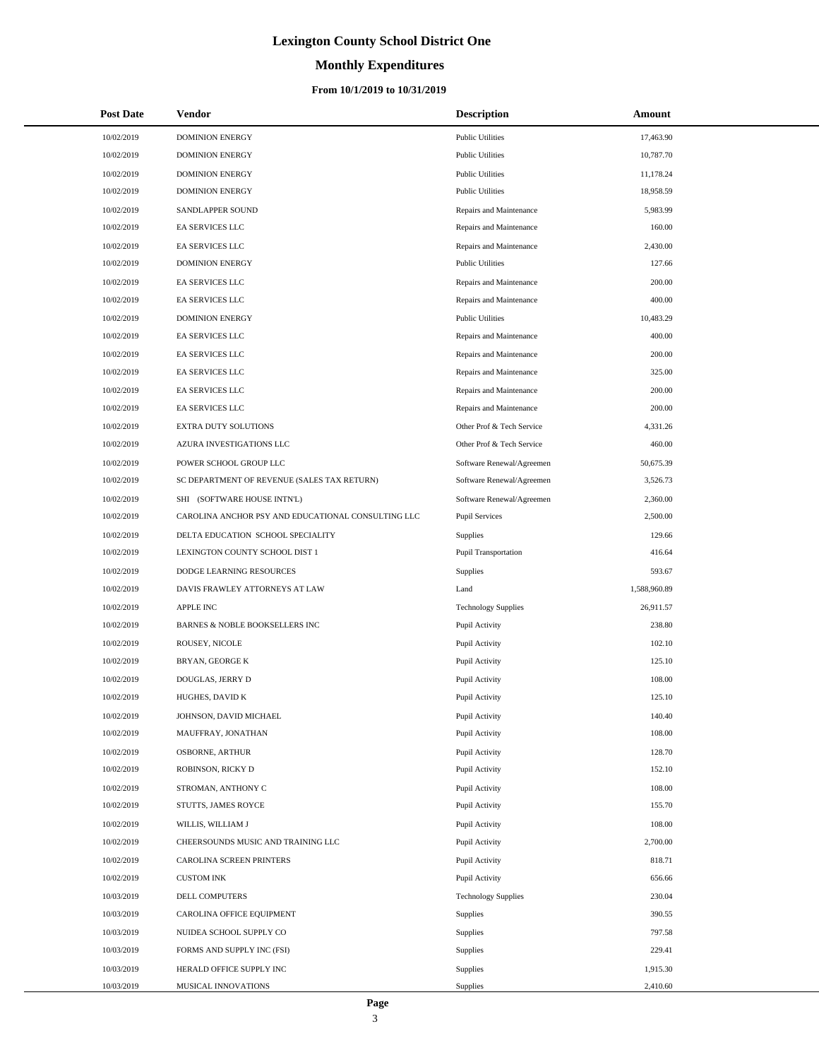# **Monthly Expenditures**

#### **From 10/1/2019 to 10/31/2019**

| <b>Post Date</b> | <b>Vendor</b>                                      | <b>Description</b>          | Amount       |
|------------------|----------------------------------------------------|-----------------------------|--------------|
| 10/02/2019       | <b>DOMINION ENERGY</b>                             | <b>Public Utilities</b>     | 17,463.90    |
| 10/02/2019       | <b>DOMINION ENERGY</b>                             | <b>Public Utilities</b>     | 10,787.70    |
| 10/02/2019       | <b>DOMINION ENERGY</b>                             | <b>Public Utilities</b>     | 11,178.24    |
| 10/02/2019       | <b>DOMINION ENERGY</b>                             | <b>Public Utilities</b>     | 18,958.59    |
| 10/02/2019       | SANDLAPPER SOUND                                   | Repairs and Maintenance     | 5,983.99     |
| 10/02/2019       | EA SERVICES LLC                                    | Repairs and Maintenance     | 160.00       |
| 10/02/2019       | EA SERVICES LLC                                    | Repairs and Maintenance     | 2,430.00     |
| 10/02/2019       | <b>DOMINION ENERGY</b>                             | <b>Public Utilities</b>     | 127.66       |
| 10/02/2019       | EA SERVICES LLC                                    | Repairs and Maintenance     | 200.00       |
| 10/02/2019       | EA SERVICES LLC                                    | Repairs and Maintenance     | 400.00       |
| 10/02/2019       | <b>DOMINION ENERGY</b>                             | <b>Public Utilities</b>     | 10,483.29    |
| 10/02/2019       | EA SERVICES LLC                                    | Repairs and Maintenance     | 400.00       |
| 10/02/2019       | EA SERVICES LLC                                    | Repairs and Maintenance     | 200.00       |
| 10/02/2019       | EA SERVICES LLC                                    | Repairs and Maintenance     | 325.00       |
| 10/02/2019       | <b>EA SERVICES LLC</b>                             | Repairs and Maintenance     | 200.00       |
| 10/02/2019       | EA SERVICES LLC                                    | Repairs and Maintenance     | 200.00       |
| 10/02/2019       | EXTRA DUTY SOLUTIONS                               | Other Prof & Tech Service   | 4,331.26     |
| 10/02/2019       | AZURA INVESTIGATIONS LLC                           | Other Prof & Tech Service   | 460.00       |
| 10/02/2019       | POWER SCHOOL GROUP LLC                             | Software Renewal/Agreemen   | 50,675.39    |
| 10/02/2019       | SC DEPARTMENT OF REVENUE (SALES TAX RETURN)        | Software Renewal/Agreemen   | 3,526.73     |
| 10/02/2019       | SHI (SOFTWARE HOUSE INTN'L)                        | Software Renewal/Agreemen   | 2,360.00     |
| 10/02/2019       | CAROLINA ANCHOR PSY AND EDUCATIONAL CONSULTING LLC | <b>Pupil Services</b>       | 2,500.00     |
| 10/02/2019       | DELTA EDUCATION SCHOOL SPECIALITY                  | <b>Supplies</b>             | 129.66       |
| 10/02/2019       | LEXINGTON COUNTY SCHOOL DIST 1                     | <b>Pupil Transportation</b> | 416.64       |
| 10/02/2019       | DODGE LEARNING RESOURCES                           | <b>Supplies</b>             | 593.67       |
| 10/02/2019       | DAVIS FRAWLEY ATTORNEYS AT LAW                     | Land                        | 1,588,960.89 |
| 10/02/2019       | <b>APPLE INC</b>                                   | <b>Technology Supplies</b>  | 26,911.57    |
| 10/02/2019       | BARNES & NOBLE BOOKSELLERS INC                     | Pupil Activity              | 238.80       |
| 10/02/2019       | ROUSEY, NICOLE                                     | Pupil Activity              | 102.10       |
| 10/02/2019       | BRYAN, GEORGE K                                    | Pupil Activity              | 125.10       |
| 10/02/2019       | DOUGLAS, JERRY D                                   | Pupil Activity              | 108.00       |
| 10/02/2019       | HUGHES, DAVID K                                    | Pupil Activity              | 125.10       |
| 10/02/2019       | JOHNSON, DAVID MICHAEL                             | Pupil Activity              | 140.40       |
| 10/02/2019       | MAUFFRAY, JONATHAN                                 | Pupil Activity              | 108.00       |
| 10/02/2019       | OSBORNE, ARTHUR                                    | Pupil Activity              | 128.70       |
| 10/02/2019       | ROBINSON, RICKY D                                  | Pupil Activity              | 152.10       |
| 10/02/2019       | STROMAN, ANTHONY C                                 | Pupil Activity              | 108.00       |
| 10/02/2019       | STUTTS, JAMES ROYCE                                | Pupil Activity              | 155.70       |
| 10/02/2019       | WILLIS, WILLIAM J                                  | Pupil Activity              | 108.00       |
| 10/02/2019       | CHEERSOUNDS MUSIC AND TRAINING LLC                 | Pupil Activity              | 2,700.00     |
| 10/02/2019       | CAROLINA SCREEN PRINTERS                           | Pupil Activity              | 818.71       |
| 10/02/2019       | <b>CUSTOM INK</b>                                  | Pupil Activity              | 656.66       |
| 10/03/2019       | DELL COMPUTERS                                     | <b>Technology Supplies</b>  | 230.04       |
| 10/03/2019       | CAROLINA OFFICE EQUIPMENT                          | <b>Supplies</b>             | 390.55       |
| 10/03/2019       | NUIDEA SCHOOL SUPPLY CO                            | <b>Supplies</b>             | 797.58       |
| 10/03/2019       | FORMS AND SUPPLY INC (FSI)                         | <b>Supplies</b>             | 229.41       |
| 10/03/2019       | HERALD OFFICE SUPPLY INC                           | <b>Supplies</b>             | 1,915.30     |
| 10/03/2019       | MUSICAL INNOVATIONS                                | <b>Supplies</b>             | 2,410.60     |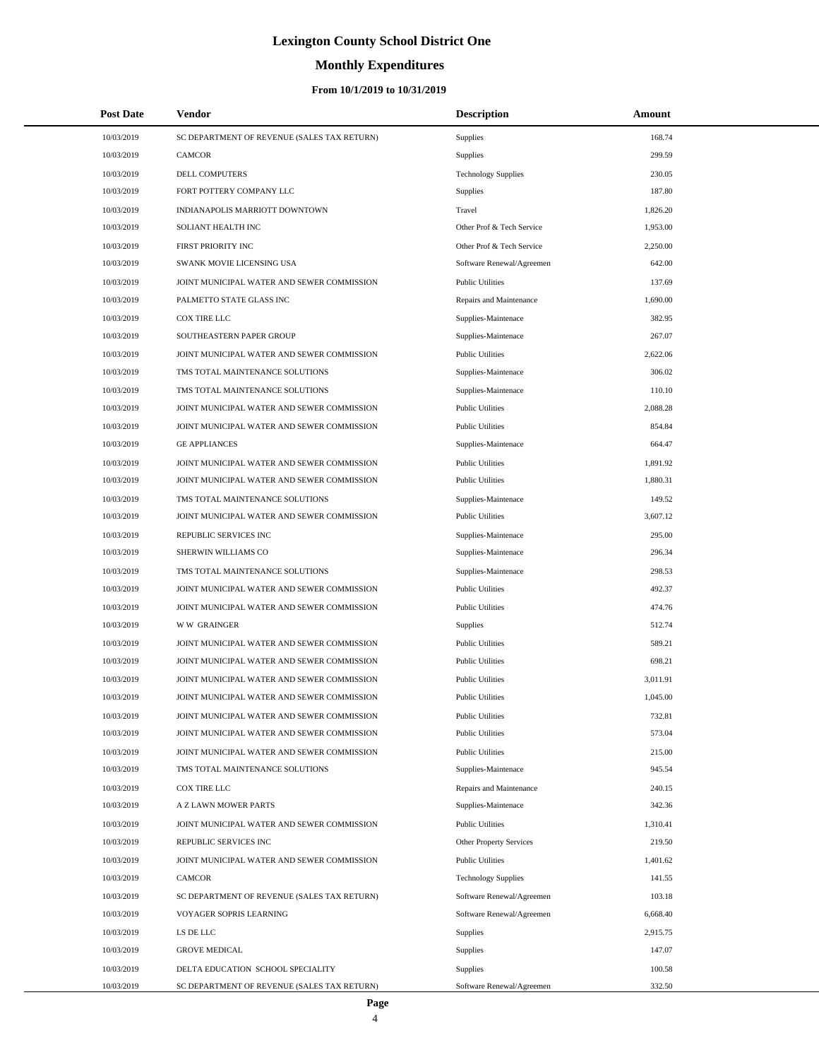# **Monthly Expenditures**

| <b>Post Date</b> | <b>Vendor</b>                               | <b>Description</b>             | Amount   |
|------------------|---------------------------------------------|--------------------------------|----------|
| 10/03/2019       | SC DEPARTMENT OF REVENUE (SALES TAX RETURN) | Supplies                       | 168.74   |
| 10/03/2019       | CAMCOR                                      | Supplies                       | 299.59   |
| 10/03/2019       | DELL COMPUTERS                              | <b>Technology Supplies</b>     | 230.05   |
| 10/03/2019       | FORT POTTERY COMPANY LLC                    | Supplies                       | 187.80   |
| 10/03/2019       | INDIANAPOLIS MARRIOTT DOWNTOWN              | Travel                         | 1,826.20 |
| 10/03/2019       | SOLIANT HEALTH INC                          | Other Prof & Tech Service      | 1,953.00 |
| 10/03/2019       | FIRST PRIORITY INC                          | Other Prof & Tech Service      | 2,250.00 |
| 10/03/2019       | SWANK MOVIE LICENSING USA                   | Software Renewal/Agreemen      | 642.00   |
| 10/03/2019       | JOINT MUNICIPAL WATER AND SEWER COMMISSION  | <b>Public Utilities</b>        | 137.69   |
| 10/03/2019       | PALMETTO STATE GLASS INC                    | Repairs and Maintenance        | 1,690.00 |
| 10/03/2019       | <b>COX TIRE LLC</b>                         | Supplies-Maintenace            | 382.95   |
| 10/03/2019       | SOUTHEASTERN PAPER GROUP                    | Supplies-Maintenace            | 267.07   |
| 10/03/2019       | JOINT MUNICIPAL WATER AND SEWER COMMISSION  | <b>Public Utilities</b>        | 2,622.06 |
| 10/03/2019       | TMS TOTAL MAINTENANCE SOLUTIONS             | Supplies-Maintenace            | 306.02   |
| 10/03/2019       | TMS TOTAL MAINTENANCE SOLUTIONS             | Supplies-Maintenace            | 110.10   |
| 10/03/2019       | JOINT MUNICIPAL WATER AND SEWER COMMISSION  | <b>Public Utilities</b>        | 2,088.28 |
| 10/03/2019       | JOINT MUNICIPAL WATER AND SEWER COMMISSION  | <b>Public Utilities</b>        | 854.84   |
| 10/03/2019       | <b>GE APPLIANCES</b>                        | Supplies-Maintenace            | 664.47   |
| 10/03/2019       | JOINT MUNICIPAL WATER AND SEWER COMMISSION  | <b>Public Utilities</b>        | 1,891.92 |
| 10/03/2019       | JOINT MUNICIPAL WATER AND SEWER COMMISSION  | <b>Public Utilities</b>        | 1.880.31 |
| 10/03/2019       | TMS TOTAL MAINTENANCE SOLUTIONS             | Supplies-Maintenace            | 149.52   |
| 10/03/2019       | JOINT MUNICIPAL WATER AND SEWER COMMISSION  | <b>Public Utilities</b>        | 3,607.12 |
| 10/03/2019       | REPUBLIC SERVICES INC                       | Supplies-Maintenace            | 295.00   |
| 10/03/2019       | SHERWIN WILLIAMS CO                         | Supplies-Maintenace            | 296.34   |
| 10/03/2019       | TMS TOTAL MAINTENANCE SOLUTIONS             | Supplies-Maintenace            | 298.53   |
| 10/03/2019       | JOINT MUNICIPAL WATER AND SEWER COMMISSION  | <b>Public Utilities</b>        | 492.37   |
| 10/03/2019       | JOINT MUNICIPAL WATER AND SEWER COMMISSION  | <b>Public Utilities</b>        | 474.76   |
| 10/03/2019       | <b>WW GRAINGER</b>                          | <b>Supplies</b>                | 512.74   |
| 10/03/2019       | JOINT MUNICIPAL WATER AND SEWER COMMISSION  | <b>Public Utilities</b>        | 589.21   |
| 10/03/2019       | JOINT MUNICIPAL WATER AND SEWER COMMISSION  | <b>Public Utilities</b>        | 698.21   |
| 10/03/2019       | JOINT MUNICIPAL WATER AND SEWER COMMISSION  | <b>Public Utilities</b>        | 3,011.91 |
| 10/03/2019       | JOINT MUNICIPAL WATER AND SEWER COMMISSION  | <b>Public Utilities</b>        | 1,045.00 |
| 10/03/2019       | JOINT MUNICIPAL WATER AND SEWER COMMISSION  | <b>Public Utilities</b>        | 732.81   |
| 10/03/2019       | JOINT MUNICIPAL WATER AND SEWER COMMISSION  | <b>Public Utilities</b>        | 573.04   |
| 10/03/2019       | JOINT MUNICIPAL WATER AND SEWER COMMISSION  | <b>Public Utilities</b>        | 215.00   |
| 10/03/2019       | TMS TOTAL MAINTENANCE SOLUTIONS             | Supplies-Maintenace            | 945.54   |
| 10/03/2019       | COX TIRE LLC                                | Repairs and Maintenance        | 240.15   |
| 10/03/2019       | <b>A Z LAWN MOWER PARTS</b>                 | Supplies-Maintenace            | 342.36   |
| 10/03/2019       | JOINT MUNICIPAL WATER AND SEWER COMMISSION  | <b>Public Utilities</b>        | 1,310.41 |
| 10/03/2019       | REPUBLIC SERVICES INC                       | <b>Other Property Services</b> | 219.50   |
| 10/03/2019       | JOINT MUNICIPAL WATER AND SEWER COMMISSION  | <b>Public Utilities</b>        | 1,401.62 |
| 10/03/2019       | CAMCOR                                      | <b>Technology Supplies</b>     | 141.55   |
| 10/03/2019       | SC DEPARTMENT OF REVENUE (SALES TAX RETURN) | Software Renewal/Agreemen      | 103.18   |
| 10/03/2019       | VOYAGER SOPRIS LEARNING                     | Software Renewal/Agreemen      | 6,668.40 |
| 10/03/2019       | LS DE LLC                                   | <b>Supplies</b>                | 2,915.75 |
| 10/03/2019       | <b>GROVE MEDICAL</b>                        | Supplies                       | 147.07   |
| 10/03/2019       | DELTA EDUCATION SCHOOL SPECIALITY           | Supplies                       | 100.58   |
| 10/03/2019       | SC DEPARTMENT OF REVENUE (SALES TAX RETURN) | Software Renewal/Agreemen      | 332.50   |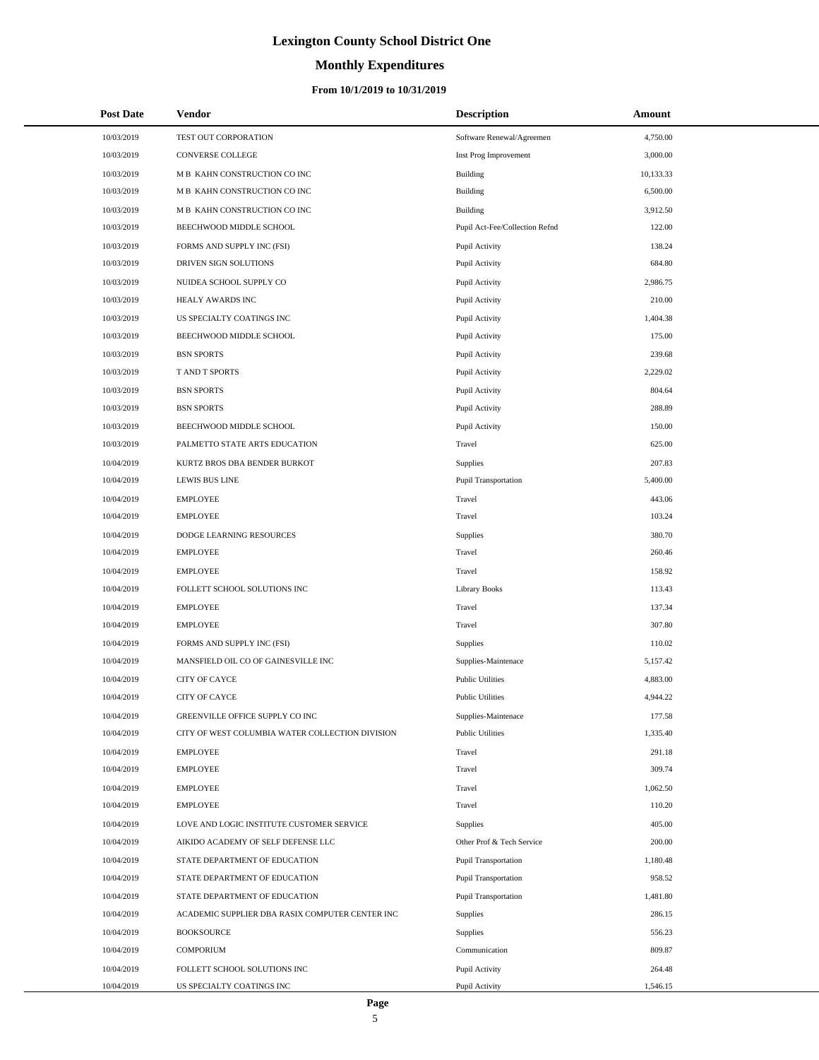# **Monthly Expenditures**

#### **From 10/1/2019 to 10/31/2019**

| <b>Post Date</b> | <b>Vendor</b>                                   | <b>Description</b>             | Amount    |
|------------------|-------------------------------------------------|--------------------------------|-----------|
| 10/03/2019       | TEST OUT CORPORATION                            | Software Renewal/Agreemen      | 4,750.00  |
| 10/03/2019       | <b>CONVERSE COLLEGE</b>                         | Inst Prog Improvement          | 3,000.00  |
| 10/03/2019       | M B KAHN CONSTRUCTION CO INC                    | Building                       | 10,133.33 |
| 10/03/2019       | M B KAHN CONSTRUCTION CO INC                    | <b>Building</b>                | 6,500.00  |
| 10/03/2019       | M B KAHN CONSTRUCTION CO INC                    | Building                       | 3,912.50  |
| 10/03/2019       | BEECHWOOD MIDDLE SCHOOL                         | Pupil Act-Fee/Collection Refnd | 122.00    |
| 10/03/2019       | FORMS AND SUPPLY INC (FSI)                      | Pupil Activity                 | 138.24    |
| 10/03/2019       | DRIVEN SIGN SOLUTIONS                           | Pupil Activity                 | 684.80    |
| 10/03/2019       | NUIDEA SCHOOL SUPPLY CO                         | Pupil Activity                 | 2,986.75  |
| 10/03/2019       | HEALY AWARDS INC                                | Pupil Activity                 | 210.00    |
| 10/03/2019       | US SPECIALTY COATINGS INC                       | Pupil Activity                 | 1,404.38  |
| 10/03/2019       | BEECHWOOD MIDDLE SCHOOL                         | Pupil Activity                 | 175.00    |
| 10/03/2019       | <b>BSN SPORTS</b>                               | Pupil Activity                 | 239.68    |
| 10/03/2019       | <b>TAND T SPORTS</b>                            | Pupil Activity                 | 2,229.02  |
| 10/03/2019       | <b>BSN SPORTS</b>                               | Pupil Activity                 | 804.64    |
| 10/03/2019       | <b>BSN SPORTS</b>                               | Pupil Activity                 | 288.89    |
| 10/03/2019       | BEECHWOOD MIDDLE SCHOOL                         | Pupil Activity                 | 150.00    |
| 10/03/2019       | PALMETTO STATE ARTS EDUCATION                   | Travel                         | 625.00    |
| 10/04/2019       | KURTZ BROS DBA BENDER BURKOT                    | Supplies                       | 207.83    |
| 10/04/2019       | <b>LEWIS BUS LINE</b>                           | Pupil Transportation           | 5,400.00  |
| 10/04/2019       | <b>EMPLOYEE</b>                                 | Travel                         | 443.06    |
| 10/04/2019       | <b>EMPLOYEE</b>                                 | Travel                         | 103.24    |
| 10/04/2019       | DODGE LEARNING RESOURCES                        | Supplies                       | 380.70    |
| 10/04/2019       | <b>EMPLOYEE</b>                                 | Travel                         | 260.46    |
| 10/04/2019       | <b>EMPLOYEE</b>                                 | Travel                         | 158.92    |
| 10/04/2019       | FOLLETT SCHOOL SOLUTIONS INC                    | <b>Library Books</b>           | 113.43    |
| 10/04/2019       | <b>EMPLOYEE</b>                                 | Travel                         | 137.34    |
| 10/04/2019       | <b>EMPLOYEE</b>                                 | Travel                         | 307.80    |
| 10/04/2019       | FORMS AND SUPPLY INC (FSI)                      | <b>Supplies</b>                | 110.02    |
| 10/04/2019       | MANSFIELD OIL CO OF GAINESVILLE INC             | Supplies-Maintenace            | 5,157.42  |
| 10/04/2019       | CITY OF CAYCE                                   | <b>Public Utilities</b>        | 4,883.00  |
| 10/04/2019       | <b>CITY OF CAYCE</b>                            | <b>Public Utilities</b>        | 4,944.22  |
| 10/04/2019       | GREENVILLE OFFICE SUPPLY CO INC                 | Supplies-Maintenace            | 177.58    |
| 10/04/2019       | CITY OF WEST COLUMBIA WATER COLLECTION DIVISION | <b>Public Utilities</b>        | 1,335.40  |
| 10/04/2019       | <b>EMPLOYEE</b>                                 | Travel                         | 291.18    |
| 10/04/2019       | <b>EMPLOYEE</b>                                 | Travel                         | 309.74    |
| 10/04/2019       | <b>EMPLOYEE</b>                                 | Travel                         | 1,062.50  |
| 10/04/2019       | <b>EMPLOYEE</b>                                 | Travel                         | 110.20    |
| 10/04/2019       | LOVE AND LOGIC INSTITUTE CUSTOMER SERVICE       | Supplies                       | 405.00    |
| 10/04/2019       | AIKIDO ACADEMY OF SELF DEFENSE LLC              | Other Prof & Tech Service      | 200.00    |
| 10/04/2019       | STATE DEPARTMENT OF EDUCATION                   | Pupil Transportation           | 1,180.48  |
| 10/04/2019       | STATE DEPARTMENT OF EDUCATION                   | Pupil Transportation           | 958.52    |
| 10/04/2019       | STATE DEPARTMENT OF EDUCATION                   | Pupil Transportation           | 1,481.80  |
| 10/04/2019       | ACADEMIC SUPPLIER DBA RASIX COMPUTER CENTER INC | Supplies                       | 286.15    |
| 10/04/2019       | <b>BOOKSOURCE</b>                               | Supplies                       | 556.23    |
| 10/04/2019       | <b>COMPORIUM</b>                                | Communication                  | 809.87    |
| 10/04/2019       | FOLLETT SCHOOL SOLUTIONS INC                    | Pupil Activity                 | 264.48    |
| 10/04/2019       | US SPECIALTY COATINGS INC                       | Pupil Activity                 | 1,546.15  |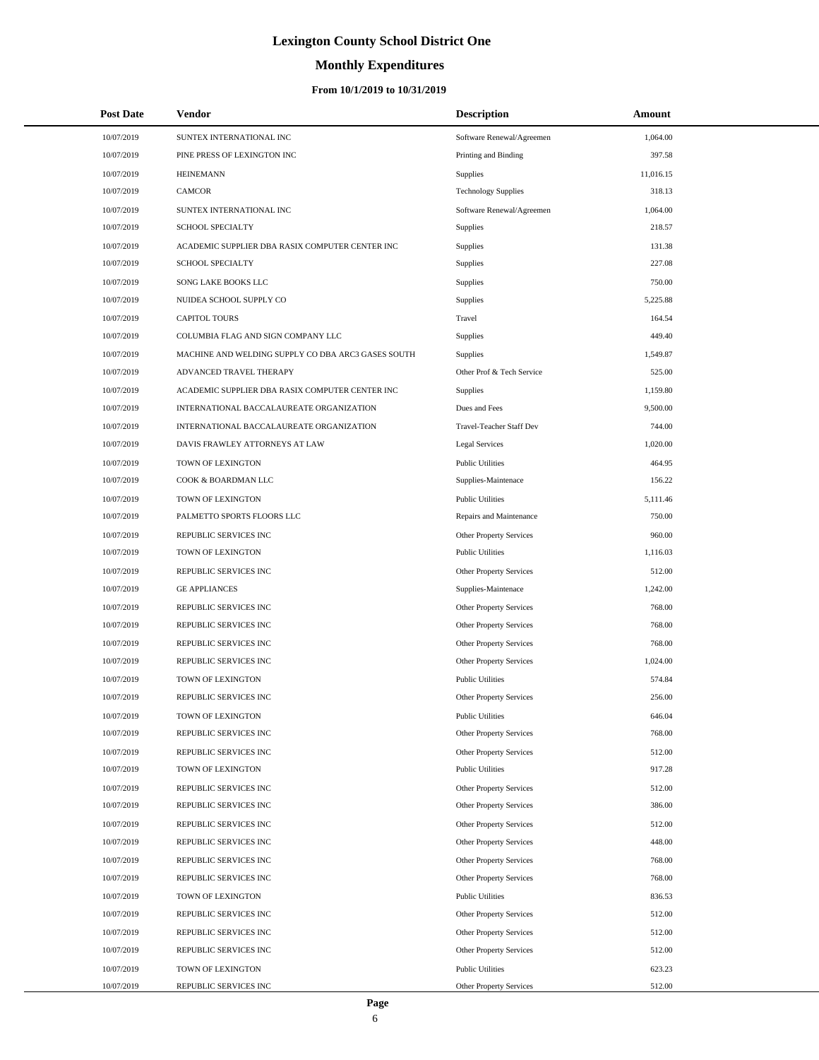# **Monthly Expenditures**

| <b>Post Date</b> | <b>Vendor</b>                                      | <b>Description</b>             | Amount    |  |
|------------------|----------------------------------------------------|--------------------------------|-----------|--|
| 10/07/2019       | SUNTEX INTERNATIONAL INC                           | Software Renewal/Agreemen      | 1,064.00  |  |
| 10/07/2019       | PINE PRESS OF LEXINGTON INC                        | Printing and Binding           | 397.58    |  |
| 10/07/2019       | <b>HEINEMANN</b>                                   | <b>Supplies</b>                | 11,016.15 |  |
| 10/07/2019       | CAMCOR                                             | <b>Technology Supplies</b>     | 318.13    |  |
| 10/07/2019       | SUNTEX INTERNATIONAL INC                           | Software Renewal/Agreemen      | 1,064.00  |  |
| 10/07/2019       | <b>SCHOOL SPECIALTY</b>                            | <b>Supplies</b>                | 218.57    |  |
| 10/07/2019       | ACADEMIC SUPPLIER DBA RASIX COMPUTER CENTER INC    | Supplies                       | 131.38    |  |
| 10/07/2019       | <b>SCHOOL SPECIALTY</b>                            | Supplies                       | 227.08    |  |
| 10/07/2019       | SONG LAKE BOOKS LLC                                | Supplies                       | 750.00    |  |
| 10/07/2019       | NUIDEA SCHOOL SUPPLY CO                            | Supplies                       | 5,225.88  |  |
| 10/07/2019       | <b>CAPITOL TOURS</b>                               | Travel                         | 164.54    |  |
| 10/07/2019       | COLUMBIA FLAG AND SIGN COMPANY LLC                 | Supplies                       | 449.40    |  |
| 10/07/2019       | MACHINE AND WELDING SUPPLY CO DBA ARC3 GASES SOUTH | Supplies                       | 1,549.87  |  |
| 10/07/2019       | ADVANCED TRAVEL THERAPY                            | Other Prof & Tech Service      | 525.00    |  |
| 10/07/2019       | ACADEMIC SUPPLIER DBA RASIX COMPUTER CENTER INC    | Supplies                       | 1,159.80  |  |
| 10/07/2019       | INTERNATIONAL BACCALAUREATE ORGANIZATION           | Dues and Fees                  | 9,500.00  |  |
| 10/07/2019       | INTERNATIONAL BACCALAUREATE ORGANIZATION           | Travel-Teacher Staff Dev       | 744.00    |  |
| 10/07/2019       | DAVIS FRAWLEY ATTORNEYS AT LAW                     | Legal Services                 | 1,020.00  |  |
| 10/07/2019       | TOWN OF LEXINGTON                                  | <b>Public Utilities</b>        | 464.95    |  |
| 10/07/2019       | COOK & BOARDMAN LLC                                | Supplies-Maintenace            | 156.22    |  |
| 10/07/2019       | TOWN OF LEXINGTON                                  | <b>Public Utilities</b>        | 5,111.46  |  |
| 10/07/2019       | PALMETTO SPORTS FLOORS LLC                         | Repairs and Maintenance        | 750.00    |  |
| 10/07/2019       | REPUBLIC SERVICES INC                              | Other Property Services        | 960.00    |  |
| 10/07/2019       | TOWN OF LEXINGTON                                  | <b>Public Utilities</b>        | 1,116.03  |  |
| 10/07/2019       | REPUBLIC SERVICES INC                              | Other Property Services        | 512.00    |  |
| 10/07/2019       | <b>GE APPLIANCES</b>                               | Supplies-Maintenace            | 1,242.00  |  |
| 10/07/2019       | REPUBLIC SERVICES INC                              | Other Property Services        | 768.00    |  |
| 10/07/2019       | REPUBLIC SERVICES INC                              | Other Property Services        | 768.00    |  |
| 10/07/2019       | REPUBLIC SERVICES INC                              | Other Property Services        | 768.00    |  |
| 10/07/2019       | REPUBLIC SERVICES INC                              | Other Property Services        | 1,024.00  |  |
| 10/07/2019       | TOWN OF LEXINGTON                                  | <b>Public Utilities</b>        | 574.84    |  |
| 10/07/2019       | REPUBLIC SERVICES INC                              | Other Property Services        | 256.00    |  |
| 10/07/2019       | TOWN OF LEXINGTON                                  | <b>Public Utilities</b>        | 646.04    |  |
| 10/07/2019       | REPUBLIC SERVICES INC                              | Other Property Services        | 768.00    |  |
| 10/07/2019       | REPUBLIC SERVICES INC                              | Other Property Services        | 512.00    |  |
| 10/07/2019       | TOWN OF LEXINGTON                                  | <b>Public Utilities</b>        | 917.28    |  |
| 10/07/2019       | REPUBLIC SERVICES INC                              | <b>Other Property Services</b> | 512.00    |  |
| 10/07/2019       | REPUBLIC SERVICES INC                              | Other Property Services        | 386.00    |  |
| 10/07/2019       | REPUBLIC SERVICES INC                              | Other Property Services        | 512.00    |  |
| 10/07/2019       | REPUBLIC SERVICES INC                              | Other Property Services        | 448.00    |  |
| 10/07/2019       | REPUBLIC SERVICES INC                              | <b>Other Property Services</b> | 768.00    |  |
| 10/07/2019       | REPUBLIC SERVICES INC                              | Other Property Services        | 768.00    |  |
| 10/07/2019       | TOWN OF LEXINGTON                                  | <b>Public Utilities</b>        | 836.53    |  |
| 10/07/2019       | REPUBLIC SERVICES INC                              | Other Property Services        | 512.00    |  |
| 10/07/2019       | REPUBLIC SERVICES INC                              | <b>Other Property Services</b> | 512.00    |  |
| 10/07/2019       | REPUBLIC SERVICES INC                              | Other Property Services        | 512.00    |  |
| 10/07/2019       | TOWN OF LEXINGTON                                  | <b>Public Utilities</b>        | 623.23    |  |
| 10/07/2019       | REPUBLIC SERVICES INC                              | Other Property Services        | 512.00    |  |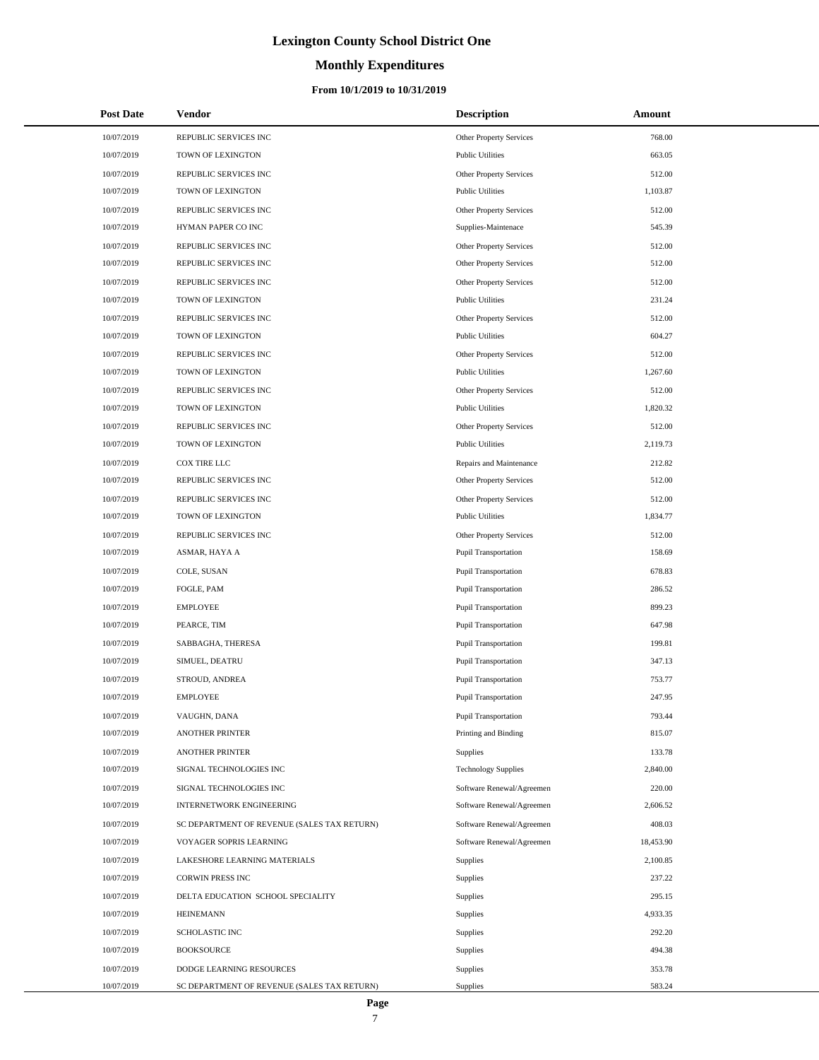### **Monthly Expenditures**

| <b>Post Date</b> | <b>Vendor</b>                               | <b>Description</b>             | Amount    |
|------------------|---------------------------------------------|--------------------------------|-----------|
| 10/07/2019       | REPUBLIC SERVICES INC                       | Other Property Services        | 768.00    |
| 10/07/2019       | TOWN OF LEXINGTON                           | <b>Public Utilities</b>        | 663.05    |
| 10/07/2019       | REPUBLIC SERVICES INC                       | Other Property Services        | 512.00    |
| 10/07/2019       | TOWN OF LEXINGTON                           | <b>Public Utilities</b>        | 1,103.87  |
| 10/07/2019       | REPUBLIC SERVICES INC                       | Other Property Services        | 512.00    |
| 10/07/2019       | HYMAN PAPER CO INC                          | Supplies-Maintenace            | 545.39    |
| 10/07/2019       | REPUBLIC SERVICES INC                       | Other Property Services        | 512.00    |
| 10/07/2019       | REPUBLIC SERVICES INC                       | Other Property Services        | 512.00    |
| 10/07/2019       | REPUBLIC SERVICES INC                       | Other Property Services        | 512.00    |
| 10/07/2019       | TOWN OF LEXINGTON                           | <b>Public Utilities</b>        | 231.24    |
| 10/07/2019       | REPUBLIC SERVICES INC                       | Other Property Services        | 512.00    |
| 10/07/2019       | TOWN OF LEXINGTON                           | <b>Public Utilities</b>        | 604.27    |
| 10/07/2019       | REPUBLIC SERVICES INC                       | Other Property Services        | 512.00    |
| 10/07/2019       | TOWN OF LEXINGTON                           | <b>Public Utilities</b>        | 1,267.60  |
| 10/07/2019       | REPUBLIC SERVICES INC                       | Other Property Services        | 512.00    |
| 10/07/2019       | TOWN OF LEXINGTON                           | <b>Public Utilities</b>        | 1,820.32  |
| 10/07/2019       | REPUBLIC SERVICES INC                       | <b>Other Property Services</b> | 512.00    |
| 10/07/2019       | TOWN OF LEXINGTON                           | <b>Public Utilities</b>        | 2,119.73  |
| 10/07/2019       | COX TIRE LLC                                | Repairs and Maintenance        | 212.82    |
| 10/07/2019       | REPUBLIC SERVICES INC                       | <b>Other Property Services</b> | 512.00    |
| 10/07/2019       | REPUBLIC SERVICES INC                       | Other Property Services        | 512.00    |
| 10/07/2019       | TOWN OF LEXINGTON                           | <b>Public Utilities</b>        | 1,834.77  |
| 10/07/2019       | REPUBLIC SERVICES INC                       | Other Property Services        | 512.00    |
| 10/07/2019       | ASMAR, HAYA A                               | Pupil Transportation           | 158.69    |
| 10/07/2019       | COLE, SUSAN                                 | Pupil Transportation           | 678.83    |
| 10/07/2019       | FOGLE, PAM                                  | Pupil Transportation           | 286.52    |
| 10/07/2019       | <b>EMPLOYEE</b>                             | Pupil Transportation           | 899.23    |
| 10/07/2019       | PEARCE, TIM                                 | Pupil Transportation           | 647.98    |
| 10/07/2019       | SABBAGHA, THERESA                           | Pupil Transportation           | 199.81    |
| 10/07/2019       | SIMUEL, DEATRU                              | Pupil Transportation           | 347.13    |
| 10/07/2019       | STROUD, ANDREA                              | Pupil Transportation           | 753.77    |
| 10/07/2019       | <b>EMPLOYEE</b>                             | Pupil Transportation           | 247.95    |
| 10/07/2019       | VAUGHN, DANA                                | Pupil Transportation           | 793.44    |
| 10/07/2019       | <b>ANOTHER PRINTER</b>                      | Printing and Binding           | 815.07    |
| 10/07/2019       | <b>ANOTHER PRINTER</b>                      | Supplies                       | 133.78    |
| 10/07/2019       | SIGNAL TECHNOLOGIES INC                     | <b>Technology Supplies</b>     | 2,840.00  |
| 10/07/2019       | SIGNAL TECHNOLOGIES INC                     | Software Renewal/Agreemen      | 220.00    |
| 10/07/2019       | INTERNETWORK ENGINEERING                    | Software Renewal/Agreemen      | 2,606.52  |
| 10/07/2019       | SC DEPARTMENT OF REVENUE (SALES TAX RETURN) | Software Renewal/Agreemen      | 408.03    |
| 10/07/2019       | VOYAGER SOPRIS LEARNING                     | Software Renewal/Agreemen      | 18,453.90 |
| 10/07/2019       | LAKESHORE LEARNING MATERIALS                | Supplies                       | 2,100.85  |
| 10/07/2019       | <b>CORWIN PRESS INC</b>                     | Supplies                       | 237.22    |
| 10/07/2019       | DELTA EDUCATION SCHOOL SPECIALITY           | Supplies                       | 295.15    |
| 10/07/2019       | <b>HEINEMANN</b>                            | Supplies                       | 4,933.35  |
| 10/07/2019       | <b>SCHOLASTIC INC</b>                       | Supplies                       | 292.20    |
| 10/07/2019       | <b>BOOKSOURCE</b>                           | Supplies                       | 494.38    |
| 10/07/2019       | DODGE LEARNING RESOURCES                    | Supplies                       | 353.78    |
| 10/07/2019       | SC DEPARTMENT OF REVENUE (SALES TAX RETURN) | Supplies                       | 583.24    |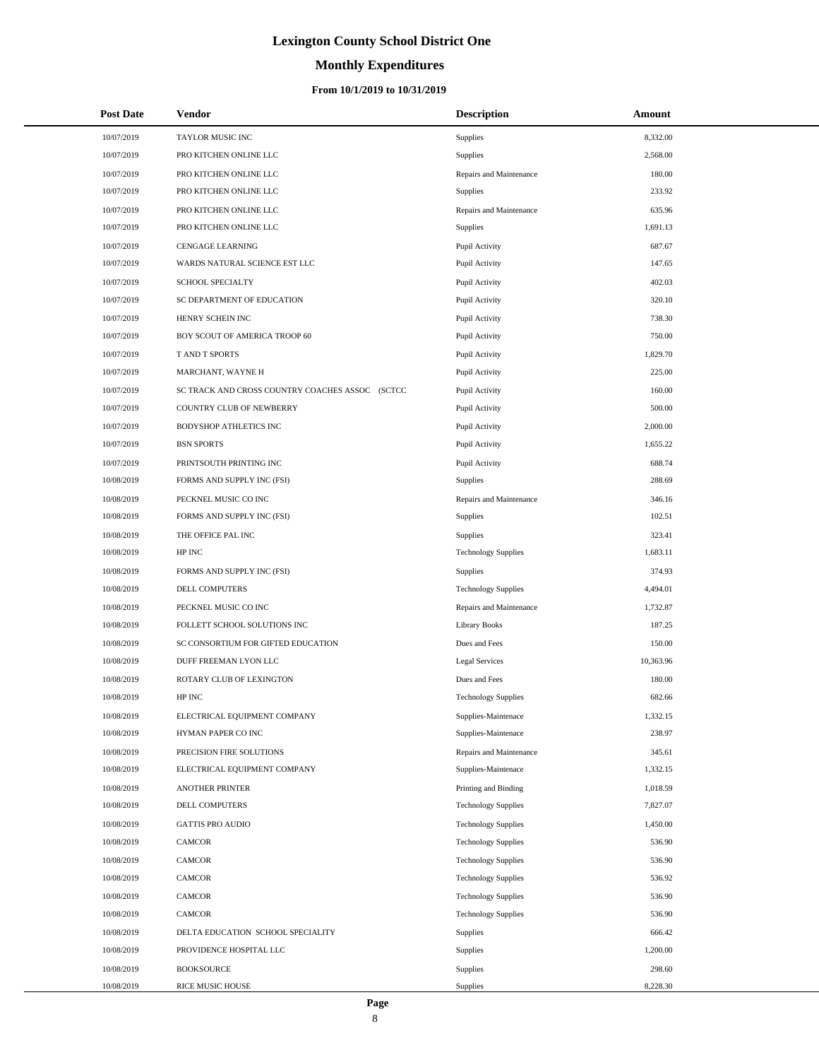# **Monthly Expenditures**

#### **From 10/1/2019 to 10/31/2019**

| <b>Post Date</b> | Vendor                                          | <b>Description</b>         | Amount    |
|------------------|-------------------------------------------------|----------------------------|-----------|
| 10/07/2019       | TAYLOR MUSIC INC                                | Supplies                   | 8,332.00  |
| 10/07/2019       | PRO KITCHEN ONLINE LLC                          | Supplies                   | 2,568.00  |
| 10/07/2019       | PRO KITCHEN ONLINE LLC                          | Repairs and Maintenance    | 180.00    |
| 10/07/2019       | PRO KITCHEN ONLINE LLC                          | Supplies                   | 233.92    |
| 10/07/2019       | PRO KITCHEN ONLINE LLC                          | Repairs and Maintenance    | 635.96    |
| 10/07/2019       | PRO KITCHEN ONLINE LLC                          | <b>Supplies</b>            | 1,691.13  |
| 10/07/2019       | <b>CENGAGE LEARNING</b>                         | Pupil Activity             | 687.67    |
| 10/07/2019       | WARDS NATURAL SCIENCE EST LLC                   | Pupil Activity             | 147.65    |
| 10/07/2019       | SCHOOL SPECIALTY                                | Pupil Activity             | 402.03    |
| 10/07/2019       | SC DEPARTMENT OF EDUCATION                      | Pupil Activity             | 320.10    |
| 10/07/2019       | HENRY SCHEIN INC                                | Pupil Activity             | 738.30    |
| 10/07/2019       | BOY SCOUT OF AMERICA TROOP 60                   | Pupil Activity             | 750.00    |
| 10/07/2019       | <b>TAND T SPORTS</b>                            | Pupil Activity             | 1,829.70  |
| 10/07/2019       | MARCHANT, WAYNE H                               | Pupil Activity             | 225.00    |
| 10/07/2019       | SC TRACK AND CROSS COUNTRY COACHES ASSOC (SCTCC | Pupil Activity             | 160.00    |
| 10/07/2019       | COUNTRY CLUB OF NEWBERRY                        | Pupil Activity             | 500.00    |
| 10/07/2019       | <b>BODYSHOP ATHLETICS INC</b>                   | Pupil Activity             | 2,000.00  |
| 10/07/2019       | <b>BSN SPORTS</b>                               | Pupil Activity             | 1,655.22  |
| 10/07/2019       | PRINTSOUTH PRINTING INC                         | Pupil Activity             | 688.74    |
| 10/08/2019       | FORMS AND SUPPLY INC (FSI)                      | Supplies                   | 288.69    |
| 10/08/2019       | PECKNEL MUSIC CO INC                            | Repairs and Maintenance    | 346.16    |
| 10/08/2019       | FORMS AND SUPPLY INC (FSI)                      | <b>Supplies</b>            | 102.51    |
| 10/08/2019       | THE OFFICE PAL INC                              | Supplies                   | 323.41    |
| 10/08/2019       | HP INC                                          | <b>Technology Supplies</b> | 1,683.11  |
| 10/08/2019       | FORMS AND SUPPLY INC (FSI)                      | Supplies                   | 374.93    |
| 10/08/2019       | DELL COMPUTERS                                  | <b>Technology Supplies</b> | 4,494.01  |
| 10/08/2019       | PECKNEL MUSIC CO INC                            | Repairs and Maintenance    | 1,732.87  |
| 10/08/2019       | FOLLETT SCHOOL SOLUTIONS INC                    | <b>Library Books</b>       | 187.25    |
| 10/08/2019       | SC CONSORTIUM FOR GIFTED EDUCATION              | Dues and Fees              | 150.00    |
| 10/08/2019       | DUFF FREEMAN LYON LLC                           | Legal Services             | 10,363.96 |
| 10/08/2019       | ROTARY CLUB OF LEXINGTON                        | Dues and Fees              | 180.00    |
| 10/08/2019       | HP INC                                          | <b>Technology Supplies</b> | 682.66    |
| 10/08/2019       | ELECTRICAL EQUIPMENT COMPANY                    | Supplies-Maintenace        | 1,332.15  |
| 10/08/2019       | HYMAN PAPER CO INC                              | Supplies-Maintenace        | 238.97    |
| 10/08/2019       | PRECISION FIRE SOLUTIONS                        | Repairs and Maintenance    | 345.61    |
| 10/08/2019       | ELECTRICAL EQUIPMENT COMPANY                    | Supplies-Maintenace        | 1,332.15  |
| 10/08/2019       | <b>ANOTHER PRINTER</b>                          | Printing and Binding       | 1,018.59  |
| 10/08/2019       | DELL COMPUTERS                                  | <b>Technology Supplies</b> | 7,827.07  |
| 10/08/2019       | <b>GATTIS PRO AUDIO</b>                         | <b>Technology Supplies</b> | 1,450.00  |
| 10/08/2019       | CAMCOR                                          | <b>Technology Supplies</b> | 536.90    |
| 10/08/2019       | CAMCOR                                          | <b>Technology Supplies</b> | 536.90    |
| 10/08/2019       | <b>CAMCOR</b>                                   | <b>Technology Supplies</b> | 536.92    |
| 10/08/2019       | CAMCOR                                          | <b>Technology Supplies</b> | 536.90    |
| 10/08/2019       | CAMCOR                                          | <b>Technology Supplies</b> | 536.90    |
| 10/08/2019       | DELTA EDUCATION SCHOOL SPECIALITY               | Supplies                   | 666.42    |
| 10/08/2019       | PROVIDENCE HOSPITAL LLC                         | Supplies                   | 1,200.00  |
| 10/08/2019       | <b>BOOKSOURCE</b>                               | Supplies                   | 298.60    |
| 10/08/2019       | RICE MUSIC HOUSE                                | Supplies                   | 8,228.30  |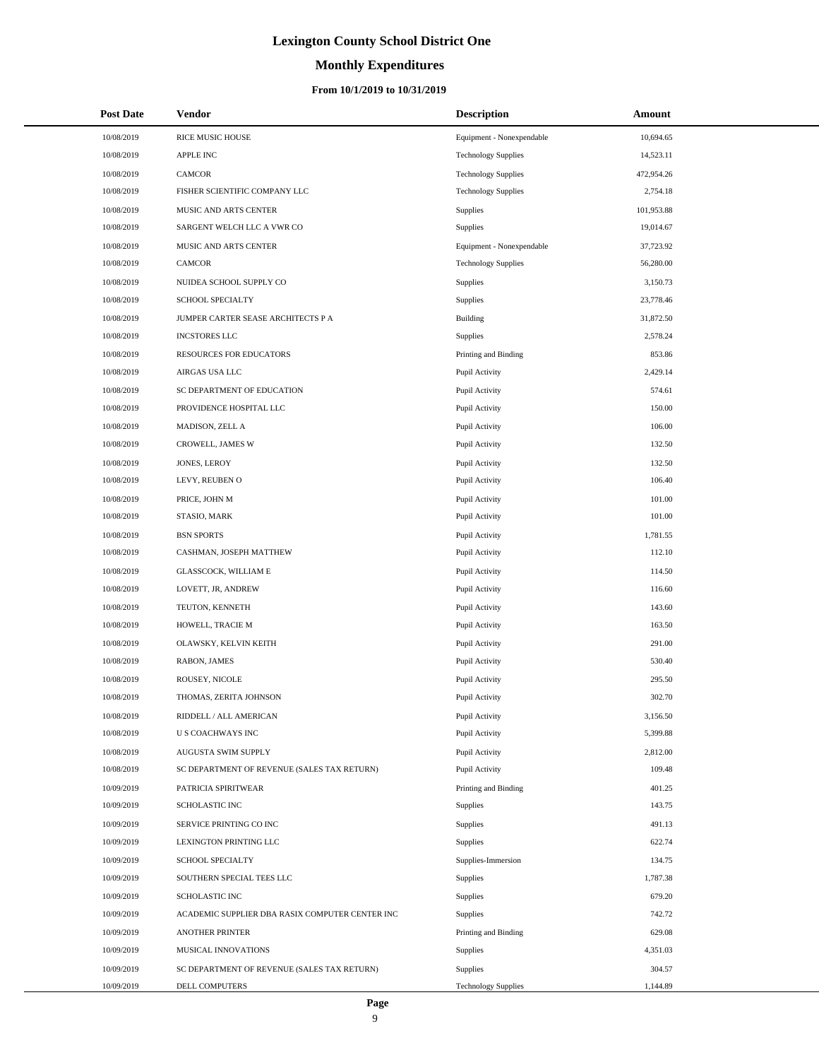### **Monthly Expenditures**

#### **From 10/1/2019 to 10/31/2019**

| <b>Post Date</b> | Vendor                                          | <b>Description</b>         | Amount     |
|------------------|-------------------------------------------------|----------------------------|------------|
| 10/08/2019       | RICE MUSIC HOUSE                                | Equipment - Nonexpendable  | 10,694.65  |
| 10/08/2019       | <b>APPLE INC</b>                                | <b>Technology Supplies</b> | 14,523.11  |
| 10/08/2019       | <b>CAMCOR</b>                                   | <b>Technology Supplies</b> | 472,954.26 |
| 10/08/2019       | FISHER SCIENTIFIC COMPANY LLC                   | <b>Technology Supplies</b> | 2,754.18   |
| 10/08/2019       | MUSIC AND ARTS CENTER                           | Supplies                   | 101,953.88 |
| 10/08/2019       | SARGENT WELCH LLC A VWR CO                      | Supplies                   | 19,014.67  |
| 10/08/2019       | MUSIC AND ARTS CENTER                           | Equipment - Nonexpendable  | 37,723.92  |
| 10/08/2019       | <b>CAMCOR</b>                                   | <b>Technology Supplies</b> | 56,280.00  |
| 10/08/2019       | NUIDEA SCHOOL SUPPLY CO                         | Supplies                   | 3,150.73   |
| 10/08/2019       | <b>SCHOOL SPECIALTY</b>                         | Supplies                   | 23,778.46  |
| 10/08/2019       | JUMPER CARTER SEASE ARCHITECTS P A              | Building                   | 31,872.50  |
| 10/08/2019       | <b>INCSTORES LLC</b>                            | Supplies                   | 2,578.24   |
| 10/08/2019       | RESOURCES FOR EDUCATORS                         | Printing and Binding       | 853.86     |
| 10/08/2019       | AIRGAS USA LLC                                  | Pupil Activity             | 2,429.14   |
| 10/08/2019       | SC DEPARTMENT OF EDUCATION                      | Pupil Activity             | 574.61     |
| 10/08/2019       | PROVIDENCE HOSPITAL LLC                         | Pupil Activity             | 150.00     |
| 10/08/2019       | MADISON, ZELL A                                 | Pupil Activity             | 106.00     |
| 10/08/2019       | CROWELL, JAMES W                                | Pupil Activity             | 132.50     |
| 10/08/2019       | JONES, LEROY                                    | Pupil Activity             | 132.50     |
| 10/08/2019       | LEVY, REUBEN O                                  | Pupil Activity             | 106.40     |
| 10/08/2019       | PRICE, JOHN M                                   | Pupil Activity             | 101.00     |
| 10/08/2019       | STASIO, MARK                                    | Pupil Activity             | 101.00     |
| 10/08/2019       | <b>BSN SPORTS</b>                               | Pupil Activity             | 1,781.55   |
| 10/08/2019       | CASHMAN, JOSEPH MATTHEW                         | Pupil Activity             | 112.10     |
| 10/08/2019       | GLASSCOCK, WILLIAM E                            | Pupil Activity             | 114.50     |
| 10/08/2019       | LOVETT, JR, ANDREW                              | Pupil Activity             | 116.60     |
| 10/08/2019       | TEUTON, KENNETH                                 | Pupil Activity             | 143.60     |
| 10/08/2019       | HOWELL, TRACIE M                                | Pupil Activity             | 163.50     |
| 10/08/2019       | OLAWSKY, KELVIN KEITH                           | Pupil Activity             | 291.00     |
| 10/08/2019       | RABON, JAMES                                    | Pupil Activity             | 530.40     |
| 10/08/2019       | ROUSEY, NICOLE                                  | Pupil Activity             | 295.50     |
| 10/08/2019       | THOMAS, ZERITA JOHNSON                          | Pupil Activity             | 302.70     |
| 10/08/2019       | RIDDELL / ALL AMERICAN                          | Pupil Activity             | 3,156.50   |
| 10/08/2019       | <b>US COACHWAYS INC</b>                         | Pupil Activity             | 5,399.88   |
| 10/08/2019       | AUGUSTA SWIM SUPPLY                             | Pupil Activity             | 2,812.00   |
| 10/08/2019       | SC DEPARTMENT OF REVENUE (SALES TAX RETURN)     | Pupil Activity             | 109.48     |
| 10/09/2019       | PATRICIA SPIRITWEAR                             | Printing and Binding       | 401.25     |
| 10/09/2019       | <b>SCHOLASTIC INC</b>                           | Supplies                   | 143.75     |
| 10/09/2019       | SERVICE PRINTING CO INC                         | Supplies                   | 491.13     |
| 10/09/2019       | LEXINGTON PRINTING LLC                          | Supplies                   | 622.74     |
| 10/09/2019       | SCHOOL SPECIALTY                                | Supplies-Immersion         | 134.75     |
| 10/09/2019       | SOUTHERN SPECIAL TEES LLC                       | Supplies                   | 1,787.38   |
| 10/09/2019       | SCHOLASTIC INC                                  | Supplies                   | 679.20     |
| 10/09/2019       | ACADEMIC SUPPLIER DBA RASIX COMPUTER CENTER INC | Supplies                   | 742.72     |
| 10/09/2019       | <b>ANOTHER PRINTER</b>                          | Printing and Binding       | 629.08     |
| 10/09/2019       | MUSICAL INNOVATIONS                             | Supplies                   | 4,351.03   |
| 10/09/2019       | SC DEPARTMENT OF REVENUE (SALES TAX RETURN)     | Supplies                   | 304.57     |
| 10/09/2019       | DELL COMPUTERS                                  | <b>Technology Supplies</b> | 1,144.89   |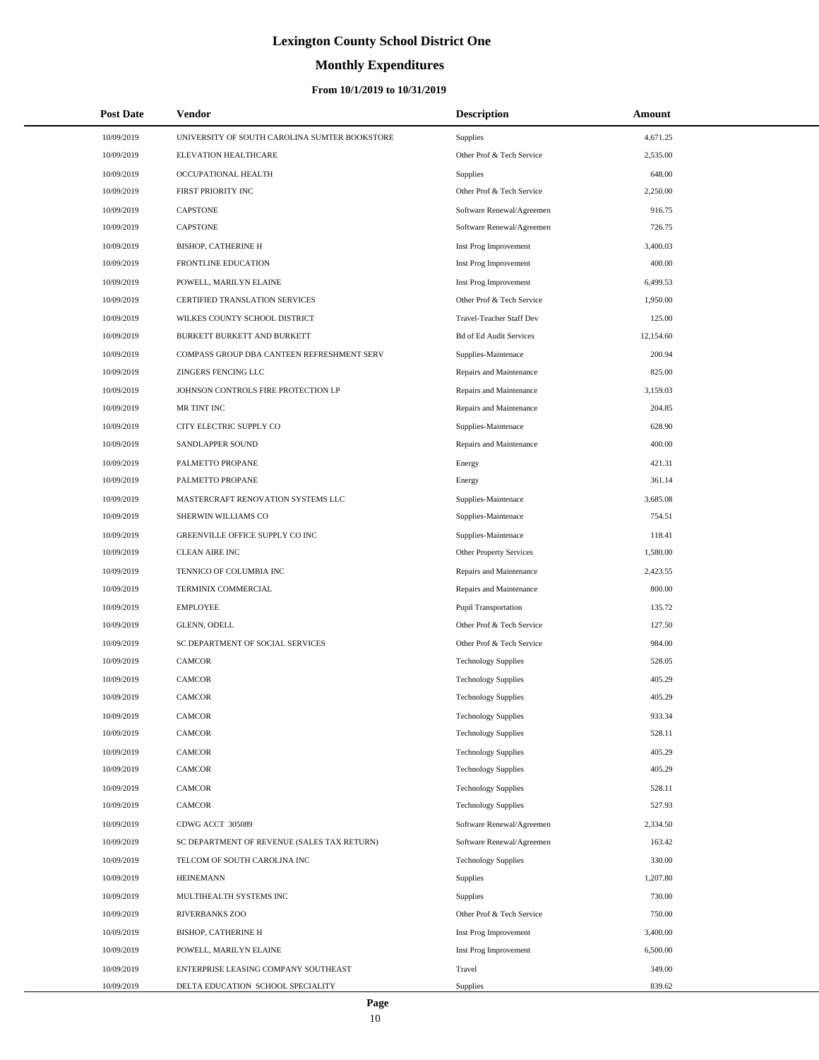# **Monthly Expenditures**

### **From 10/1/2019 to 10/31/2019**

| <b>Post Date</b> | Vendor                                        | <b>Description</b>             | Amount    |
|------------------|-----------------------------------------------|--------------------------------|-----------|
| 10/09/2019       | UNIVERSITY OF SOUTH CAROLINA SUMTER BOOKSTORE | Supplies                       | 4,671.25  |
| 10/09/2019       | ELEVATION HEALTHCARE                          | Other Prof & Tech Service      | 2,535.00  |
| 10/09/2019       | OCCUPATIONAL HEALTH                           | Supplies                       | 648.00    |
| 10/09/2019       | FIRST PRIORITY INC                            | Other Prof & Tech Service      | 2,250.00  |
| 10/09/2019       | <b>CAPSTONE</b>                               | Software Renewal/Agreemen      | 916.75    |
| 10/09/2019       | <b>CAPSTONE</b>                               | Software Renewal/Agreemen      | 726.75    |
| 10/09/2019       | <b>BISHOP, CATHERINE H</b>                    | Inst Prog Improvement          | 3,400.03  |
| 10/09/2019       | <b>FRONTLINE EDUCATION</b>                    | Inst Prog Improvement          | 400.00    |
| 10/09/2019       | POWELL, MARILYN ELAINE                        | Inst Prog Improvement          | 6,499.53  |
| 10/09/2019       | CERTIFIED TRANSLATION SERVICES                | Other Prof & Tech Service      | 1,950.00  |
| 10/09/2019       | WILKES COUNTY SCHOOL DISTRICT                 | Travel-Teacher Staff Dev       | 125.00    |
| 10/09/2019       | BURKETT BURKETT AND BURKETT                   | <b>Bd of Ed Audit Services</b> | 12,154.60 |
| 10/09/2019       | COMPASS GROUP DBA CANTEEN REFRESHMENT SERV    | Supplies-Maintenace            | 200.94    |
| 10/09/2019       | ZINGERS FENCING LLC                           | Repairs and Maintenance        | 825.00    |
| 10/09/2019       | JOHNSON CONTROLS FIRE PROTECTION LP           | Repairs and Maintenance        | 3,159.03  |
| 10/09/2019       | MR TINT INC                                   | Repairs and Maintenance        | 204.85    |
| 10/09/2019       | CITY ELECTRIC SUPPLY CO                       | Supplies-Maintenace            | 628.90    |
| 10/09/2019       | SANDLAPPER SOUND                              | Repairs and Maintenance        | 400.00    |
| 10/09/2019       | PALMETTO PROPANE                              | Energy                         | 421.31    |
| 10/09/2019       | PALMETTO PROPANE                              | Energy                         | 361.14    |
| 10/09/2019       | MASTERCRAFT RENOVATION SYSTEMS LLC            | Supplies-Maintenace            | 3,685.08  |
| 10/09/2019       | SHERWIN WILLIAMS CO                           | Supplies-Maintenace            | 754.51    |
| 10/09/2019       | GREENVILLE OFFICE SUPPLY CO INC               | Supplies-Maintenace            | 118.41    |
| 10/09/2019       | <b>CLEAN AIRE INC</b>                         | Other Property Services        | 1,580.00  |
| 10/09/2019       | TENNICO OF COLUMBIA INC                       | Repairs and Maintenance        | 2,423.55  |
| 10/09/2019       | TERMINIX COMMERCIAL                           | Repairs and Maintenance        | 800.00    |
| 10/09/2019       | <b>EMPLOYEE</b>                               | Pupil Transportation           | 135.72    |
| 10/09/2019       | GLENN, ODELL                                  | Other Prof & Tech Service      | 127.50    |
| 10/09/2019       | SC DEPARTMENT OF SOCIAL SERVICES              | Other Prof & Tech Service      | 984.00    |
| 10/09/2019       | <b>CAMCOR</b>                                 | <b>Technology Supplies</b>     | 528.05    |
| 10/09/2019       | <b>CAMCOR</b>                                 | <b>Technology Supplies</b>     | 405.29    |
| 10/09/2019       | <b>CAMCOR</b>                                 | <b>Technology Supplies</b>     | 405.29    |
| 10/09/2019       | CAMCOR                                        | <b>Technology Supplies</b>     | 933.34    |
| 10/09/2019       | CAMCOR                                        | <b>Technology Supplies</b>     | 528.11    |
| 10/09/2019       | CAMCOR                                        | <b>Technology Supplies</b>     | 405.29    |
| 10/09/2019       | CAMCOR                                        | <b>Technology Supplies</b>     | 405.29    |
| 10/09/2019       | <b>CAMCOR</b>                                 | <b>Technology Supplies</b>     | 528.11    |
| 10/09/2019       | CAMCOR                                        | <b>Technology Supplies</b>     | 527.93    |
| 10/09/2019       | CDWG ACCT 305089                              | Software Renewal/Agreemen      | 2,334.50  |
| 10/09/2019       | SC DEPARTMENT OF REVENUE (SALES TAX RETURN)   | Software Renewal/Agreemen      | 163.42    |
| 10/09/2019       | TELCOM OF SOUTH CAROLINA INC                  | <b>Technology Supplies</b>     | 330.00    |
| 10/09/2019       | <b>HEINEMANN</b>                              | Supplies                       | 1,207.80  |
| 10/09/2019       | MULTIHEALTH SYSTEMS INC                       | Supplies                       | 730.00    |
| 10/09/2019       | RIVERBANKS ZOO                                | Other Prof & Tech Service      | 750.00    |
| 10/09/2019       | <b>BISHOP, CATHERINE H</b>                    | Inst Prog Improvement          | 3,400.00  |
| 10/09/2019       | POWELL, MARILYN ELAINE                        | Inst Prog Improvement          | 6,500.00  |
| 10/09/2019       | ENTERPRISE LEASING COMPANY SOUTHEAST          | Travel                         | 349.00    |
| 10/09/2019       | DELTA EDUCATION SCHOOL SPECIALITY             | Supplies                       | 839.62    |

÷.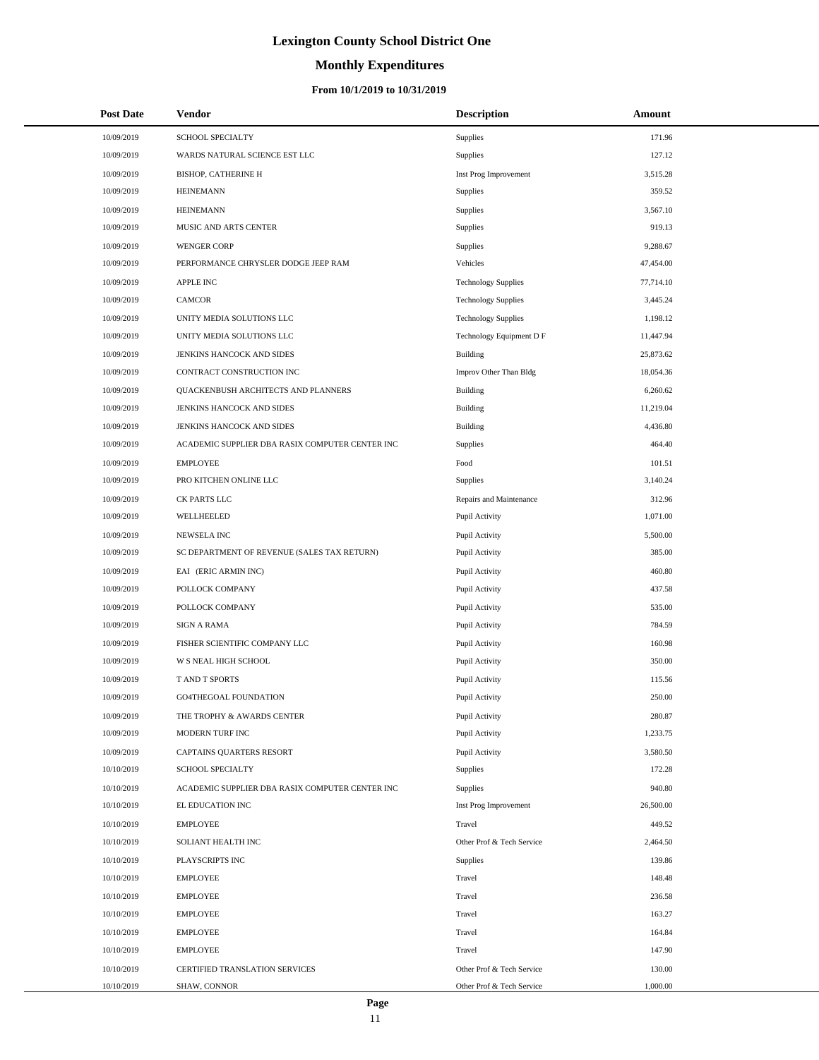# **Monthly Expenditures**

### **From 10/1/2019 to 10/31/2019**

| <b>Post Date</b> | <b>Vendor</b>                                   | <b>Description</b>         | Amount    |  |
|------------------|-------------------------------------------------|----------------------------|-----------|--|
| 10/09/2019       | SCHOOL SPECIALTY                                | Supplies                   | 171.96    |  |
| 10/09/2019       | WARDS NATURAL SCIENCE EST LLC                   | Supplies                   | 127.12    |  |
| 10/09/2019       | <b>BISHOP, CATHERINE H</b>                      | Inst Prog Improvement      | 3,515.28  |  |
| 10/09/2019       | <b>HEINEMANN</b>                                | Supplies                   | 359.52    |  |
| 10/09/2019       | <b>HEINEMANN</b>                                | Supplies                   | 3,567.10  |  |
| 10/09/2019       | MUSIC AND ARTS CENTER                           | Supplies                   | 919.13    |  |
| 10/09/2019       | <b>WENGER CORP</b>                              | Supplies                   | 9,288.67  |  |
| 10/09/2019       | PERFORMANCE CHRYSLER DODGE JEEP RAM             | Vehicles                   | 47,454.00 |  |
| 10/09/2019       | <b>APPLE INC</b>                                | <b>Technology Supplies</b> | 77,714.10 |  |
| 10/09/2019       | <b>CAMCOR</b>                                   | <b>Technology Supplies</b> | 3,445.24  |  |
| 10/09/2019       | UNITY MEDIA SOLUTIONS LLC                       | <b>Technology Supplies</b> | 1,198.12  |  |
| 10/09/2019       | UNITY MEDIA SOLUTIONS LLC                       | Technology Equipment D F   | 11,447.94 |  |
| 10/09/2019       | JENKINS HANCOCK AND SIDES                       | Building                   | 25,873.62 |  |
| 10/09/2019       | CONTRACT CONSTRUCTION INC                       | Improv Other Than Bldg     | 18,054.36 |  |
| 10/09/2019       | QUACKENBUSH ARCHITECTS AND PLANNERS             | Building                   | 6,260.62  |  |
| 10/09/2019       | JENKINS HANCOCK AND SIDES                       | Building                   | 11,219.04 |  |
| 10/09/2019       | JENKINS HANCOCK AND SIDES                       | Building                   | 4,436.80  |  |
| 10/09/2019       | ACADEMIC SUPPLIER DBA RASIX COMPUTER CENTER INC | Supplies                   | 464.40    |  |
| 10/09/2019       | <b>EMPLOYEE</b>                                 | Food                       | 101.51    |  |
| 10/09/2019       | PRO KITCHEN ONLINE LLC                          | Supplies                   | 3,140.24  |  |
| 10/09/2019       | CK PARTS LLC                                    | Repairs and Maintenance    | 312.96    |  |
| 10/09/2019       | WELLHEELED                                      | Pupil Activity             | 1,071.00  |  |
| 10/09/2019       | NEWSELA INC                                     | Pupil Activity             | 5,500.00  |  |
| 10/09/2019       | SC DEPARTMENT OF REVENUE (SALES TAX RETURN)     | Pupil Activity             | 385.00    |  |
| 10/09/2019       | EAI (ERIC ARMIN INC)                            | Pupil Activity             | 460.80    |  |
| 10/09/2019       | POLLOCK COMPANY                                 | Pupil Activity             | 437.58    |  |
| 10/09/2019       | POLLOCK COMPANY                                 | Pupil Activity             | 535.00    |  |
| 10/09/2019       | <b>SIGN A RAMA</b>                              | Pupil Activity             | 784.59    |  |
| 10/09/2019       | FISHER SCIENTIFIC COMPANY LLC                   | Pupil Activity             | 160.98    |  |
| 10/09/2019       | W S NEAL HIGH SCHOOL                            | Pupil Activity             | 350.00    |  |
| 10/09/2019       | T AND T SPORTS                                  | Pupil Activity             | 115.56    |  |
| 10/09/2019       | <b>GO4THEGOAL FOUNDATION</b>                    | Pupil Activity             | 250.00    |  |
| 10/09/2019       | THE TROPHY & AWARDS CENTER                      | Pupil Activity             | 280.87    |  |
| 10/09/2019       | MODERN TURF INC                                 | Pupil Activity             | 1,233.75  |  |
| 10/09/2019       | CAPTAINS QUARTERS RESORT                        | Pupil Activity             | 3,580.50  |  |
| 10/10/2019       | SCHOOL SPECIALTY                                | Supplies                   | 172.28    |  |
| 10/10/2019       | ACADEMIC SUPPLIER DBA RASIX COMPUTER CENTER INC | Supplies                   | 940.80    |  |
| 10/10/2019       | EL EDUCATION INC                                | Inst Prog Improvement      | 26,500.00 |  |
| 10/10/2019       | <b>EMPLOYEE</b>                                 | Travel                     | 449.52    |  |
| 10/10/2019       | SOLIANT HEALTH INC                              | Other Prof & Tech Service  | 2,464.50  |  |
| 10/10/2019       | PLAYSCRIPTS INC                                 | <b>Supplies</b>            | 139.86    |  |
| 10/10/2019       | <b>EMPLOYEE</b>                                 | Travel                     | 148.48    |  |
| 10/10/2019       | <b>EMPLOYEE</b>                                 | Travel                     | 236.58    |  |
| 10/10/2019       | <b>EMPLOYEE</b>                                 | Travel                     | 163.27    |  |
| 10/10/2019       | <b>EMPLOYEE</b>                                 | Travel                     | 164.84    |  |
| 10/10/2019       | <b>EMPLOYEE</b>                                 | Travel                     | 147.90    |  |
| 10/10/2019       | CERTIFIED TRANSLATION SERVICES                  | Other Prof & Tech Service  | 130.00    |  |
| 10/10/2019       | SHAW, CONNOR                                    | Other Prof & Tech Service  | 1,000.00  |  |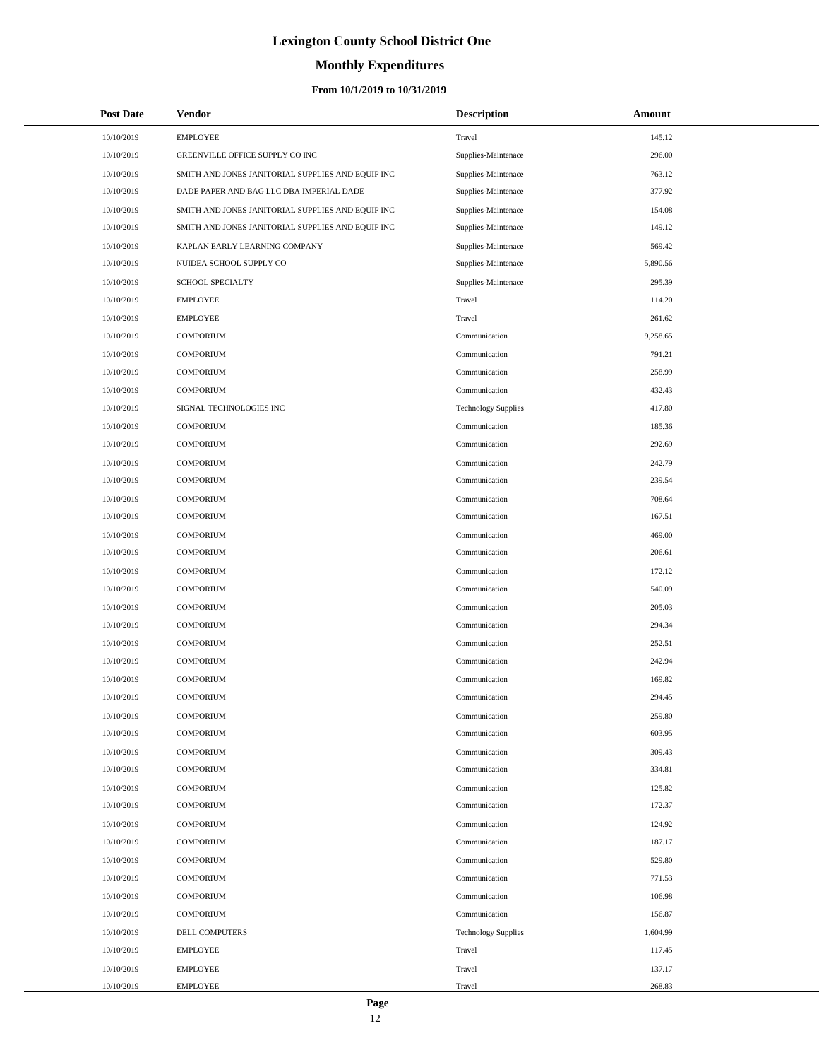# **Monthly Expenditures**

| <b>Post Date</b> | <b>Vendor</b>                                     | <b>Description</b>         | Amount   |
|------------------|---------------------------------------------------|----------------------------|----------|
| 10/10/2019       | <b>EMPLOYEE</b>                                   | Travel                     | 145.12   |
| 10/10/2019       | GREENVILLE OFFICE SUPPLY CO INC                   | Supplies-Maintenace        | 296.00   |
| 10/10/2019       | SMITH AND JONES JANITORIAL SUPPLIES AND EQUIP INC | Supplies-Maintenace        | 763.12   |
| 10/10/2019       | DADE PAPER AND BAG LLC DBA IMPERIAL DADE          | Supplies-Maintenace        | 377.92   |
| 10/10/2019       | SMITH AND JONES JANITORIAL SUPPLIES AND EQUIP INC | Supplies-Maintenace        | 154.08   |
| 10/10/2019       | SMITH AND JONES JANITORIAL SUPPLIES AND EQUIP INC | Supplies-Maintenace        | 149.12   |
| 10/10/2019       | KAPLAN EARLY LEARNING COMPANY                     | Supplies-Maintenace        | 569.42   |
| 10/10/2019       | NUIDEA SCHOOL SUPPLY CO                           | Supplies-Maintenace        | 5,890.56 |
| 10/10/2019       | <b>SCHOOL SPECIALTY</b>                           | Supplies-Maintenace        | 295.39   |
| 10/10/2019       | <b>EMPLOYEE</b>                                   | Travel                     | 114.20   |
| 10/10/2019       | <b>EMPLOYEE</b>                                   | Travel                     | 261.62   |
| 10/10/2019       | <b>COMPORIUM</b>                                  | Communication              | 9,258.65 |
| 10/10/2019       | <b>COMPORIUM</b>                                  | Communication              | 791.21   |
| 10/10/2019       | <b>COMPORIUM</b>                                  | Communication              | 258.99   |
| 10/10/2019       | <b>COMPORIUM</b>                                  | Communication              | 432.43   |
| 10/10/2019       | SIGNAL TECHNOLOGIES INC                           | <b>Technology Supplies</b> | 417.80   |
| 10/10/2019       | <b>COMPORIUM</b>                                  | Communication              | 185.36   |
| 10/10/2019       | <b>COMPORIUM</b>                                  | Communication              | 292.69   |
| 10/10/2019       | <b>COMPORIUM</b>                                  | Communication              | 242.79   |
| 10/10/2019       | <b>COMPORIUM</b>                                  | Communication              | 239.54   |
| 10/10/2019       | <b>COMPORIUM</b>                                  | Communication              | 708.64   |
| 10/10/2019       | <b>COMPORIUM</b>                                  | Communication              | 167.51   |
| 10/10/2019       | <b>COMPORIUM</b>                                  | Communication              | 469.00   |
| 10/10/2019       | <b>COMPORIUM</b>                                  | Communication              | 206.61   |
| 10/10/2019       | <b>COMPORIUM</b>                                  | Communication              | 172.12   |
| 10/10/2019       | <b>COMPORIUM</b>                                  | Communication              | 540.09   |
| 10/10/2019       | <b>COMPORIUM</b>                                  | Communication              | 205.03   |
| 10/10/2019       | <b>COMPORIUM</b>                                  | Communication              | 294.34   |
| 10/10/2019       | <b>COMPORIUM</b>                                  | Communication              | 252.51   |
| 10/10/2019       | <b>COMPORIUM</b>                                  | Communication              | 242.94   |
| 10/10/2019       | <b>COMPORIUM</b>                                  | Communication              | 169.82   |
| 10/10/2019       | <b>COMPORIUM</b>                                  | Communication              | 294.45   |
| 10/10/2019       | COMPORIUM                                         | Communication              | 259.80   |
| 10/10/2019       | <b>COMPORIUM</b>                                  | Communication              | 603.95   |
| 10/10/2019       | <b>COMPORIUM</b>                                  | Communication              | 309.43   |
| 10/10/2019       | <b>COMPORIUM</b>                                  | Communication              | 334.81   |
| 10/10/2019       | <b>COMPORIUM</b>                                  | Communication              | 125.82   |
| 10/10/2019       | <b>COMPORIUM</b>                                  | Communication              | 172.37   |
| 10/10/2019       | <b>COMPORIUM</b>                                  | Communication              | 124.92   |
| 10/10/2019       | <b>COMPORIUM</b>                                  | Communication              | 187.17   |
| 10/10/2019       | <b>COMPORIUM</b>                                  | Communication              | 529.80   |
| 10/10/2019       | <b>COMPORIUM</b>                                  | Communication              | 771.53   |
| 10/10/2019       | <b>COMPORIUM</b>                                  | Communication              | 106.98   |
| 10/10/2019       | <b>COMPORIUM</b>                                  | Communication              | 156.87   |
| 10/10/2019       | DELL COMPUTERS                                    | <b>Technology Supplies</b> | 1,604.99 |
| 10/10/2019       | <b>EMPLOYEE</b>                                   | Travel                     | 117.45   |
| 10/10/2019       | <b>EMPLOYEE</b>                                   | Travel                     | 137.17   |
| 10/10/2019       | <b>EMPLOYEE</b>                                   | Travel                     | 268.83   |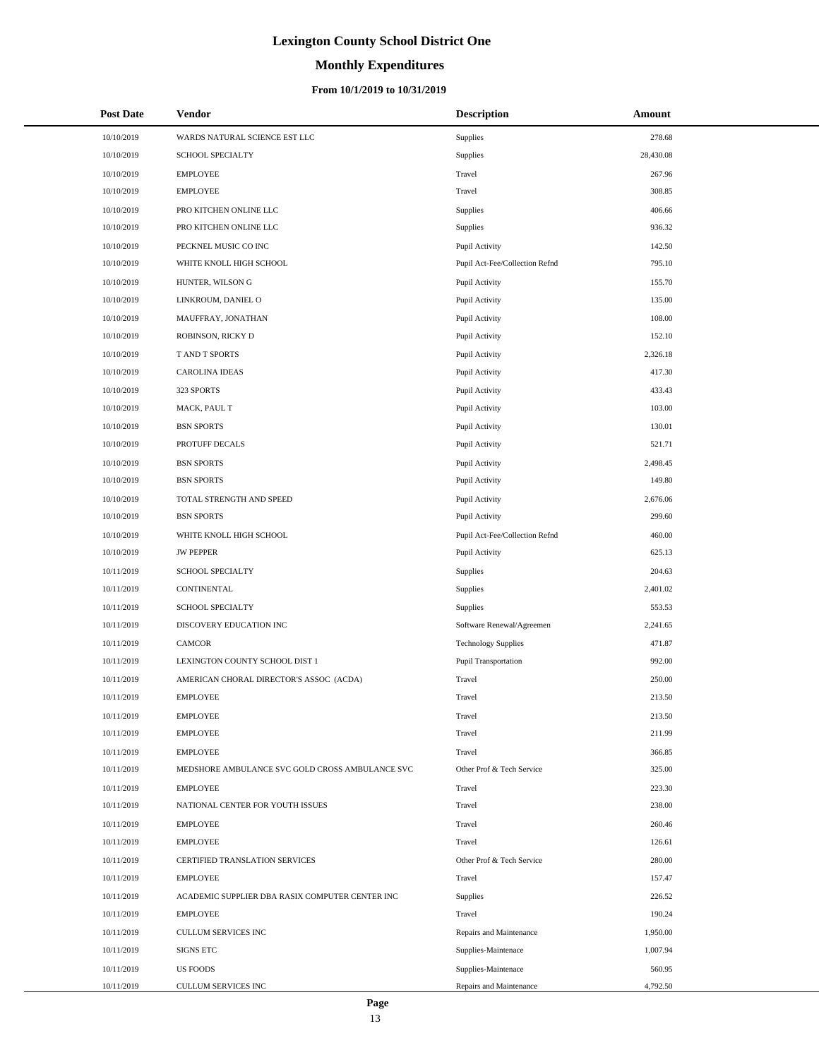# **Monthly Expenditures**

#### **From 10/1/2019 to 10/31/2019**

| <b>Post Date</b> | Vendor                                          | <b>Description</b>             | Amount    |  |
|------------------|-------------------------------------------------|--------------------------------|-----------|--|
| 10/10/2019       | WARDS NATURAL SCIENCE EST LLC                   | Supplies                       | 278.68    |  |
| 10/10/2019       | <b>SCHOOL SPECIALTY</b>                         | Supplies                       | 28,430.08 |  |
| 10/10/2019       | <b>EMPLOYEE</b>                                 | Travel                         | 267.96    |  |
| 10/10/2019       | <b>EMPLOYEE</b>                                 | Travel                         | 308.85    |  |
| 10/10/2019       | PRO KITCHEN ONLINE LLC                          | Supplies                       | 406.66    |  |
| 10/10/2019       | PRO KITCHEN ONLINE LLC                          | Supplies                       | 936.32    |  |
| 10/10/2019       | PECKNEL MUSIC CO INC                            | Pupil Activity                 | 142.50    |  |
| 10/10/2019       | WHITE KNOLL HIGH SCHOOL                         | Pupil Act-Fee/Collection Refnd | 795.10    |  |
| 10/10/2019       | HUNTER, WILSON G                                | Pupil Activity                 | 155.70    |  |
| 10/10/2019       | LINKROUM, DANIEL O                              | Pupil Activity                 | 135.00    |  |
| 10/10/2019       | MAUFFRAY, JONATHAN                              | Pupil Activity                 | 108.00    |  |
| 10/10/2019       | ROBINSON, RICKY D                               | Pupil Activity                 | 152.10    |  |
| 10/10/2019       | T AND T SPORTS                                  | Pupil Activity                 | 2,326.18  |  |
| 10/10/2019       | <b>CAROLINA IDEAS</b>                           | Pupil Activity                 | 417.30    |  |
| 10/10/2019       | 323 SPORTS                                      | Pupil Activity                 | 433.43    |  |
| 10/10/2019       | MACK, PAUL T                                    | Pupil Activity                 | 103.00    |  |
| 10/10/2019       | <b>BSN SPORTS</b>                               | Pupil Activity                 | 130.01    |  |
| 10/10/2019       | PROTUFF DECALS                                  | Pupil Activity                 | 521.71    |  |
| 10/10/2019       | <b>BSN SPORTS</b>                               | Pupil Activity                 | 2,498.45  |  |
| 10/10/2019       | <b>BSN SPORTS</b>                               | Pupil Activity                 | 149.80    |  |
| 10/10/2019       | TOTAL STRENGTH AND SPEED                        | Pupil Activity                 | 2,676.06  |  |
| 10/10/2019       | <b>BSN SPORTS</b>                               | Pupil Activity                 | 299.60    |  |
| 10/10/2019       | WHITE KNOLL HIGH SCHOOL                         | Pupil Act-Fee/Collection Refnd | 460.00    |  |
| 10/10/2019       | <b>JW PEPPER</b>                                | Pupil Activity                 | 625.13    |  |
| 10/11/2019       | SCHOOL SPECIALTY                                | Supplies                       | 204.63    |  |
| 10/11/2019       | CONTINENTAL                                     | Supplies                       | 2,401.02  |  |
| 10/11/2019       | SCHOOL SPECIALTY                                | Supplies                       | 553.53    |  |
| 10/11/2019       | DISCOVERY EDUCATION INC                         | Software Renewal/Agreemen      | 2,241.65  |  |
| 10/11/2019       | CAMCOR                                          | <b>Technology Supplies</b>     | 471.87    |  |
| 10/11/2019       | LEXINGTON COUNTY SCHOOL DIST 1                  | Pupil Transportation           | 992.00    |  |
| 10/11/2019       | AMERICAN CHORAL DIRECTOR'S ASSOC (ACDA)         | Travel                         | 250.00    |  |
| 10/11/2019       | <b>EMPLOYEE</b>                                 | Travel                         | 213.50    |  |
| 10/11/2019       | <b>EMPLOYEE</b>                                 | Travel                         | 213.50    |  |
| 10/11/2019       | <b>EMPLOYEE</b>                                 | Travel                         | 211.99    |  |
| 10/11/2019       | <b>EMPLOYEE</b>                                 | Travel                         | 366.85    |  |
| 10/11/2019       | MEDSHORE AMBULANCE SVC GOLD CROSS AMBULANCE SVC | Other Prof & Tech Service      | 325.00    |  |
| 10/11/2019       | <b>EMPLOYEE</b>                                 | Travel                         | 223.30    |  |
| 10/11/2019       | NATIONAL CENTER FOR YOUTH ISSUES                | Travel                         | 238.00    |  |
| 10/11/2019       | <b>EMPLOYEE</b>                                 | Travel                         | 260.46    |  |
| 10/11/2019       | <b>EMPLOYEE</b>                                 | Travel                         | 126.61    |  |
| 10/11/2019       | CERTIFIED TRANSLATION SERVICES                  | Other Prof & Tech Service      | 280.00    |  |
| 10/11/2019       | <b>EMPLOYEE</b>                                 | Travel                         | 157.47    |  |
| 10/11/2019       | ACADEMIC SUPPLIER DBA RASIX COMPUTER CENTER INC | Supplies                       | 226.52    |  |
| 10/11/2019       | <b>EMPLOYEE</b>                                 | Travel                         | 190.24    |  |
| 10/11/2019       | CULLUM SERVICES INC                             | Repairs and Maintenance        | 1,950.00  |  |
| 10/11/2019       | <b>SIGNS ETC</b>                                | Supplies-Maintenace            | 1,007.94  |  |
| 10/11/2019       | <b>US FOODS</b>                                 | Supplies-Maintenace            | 560.95    |  |
| 10/11/2019       | CULLUM SERVICES INC                             | Repairs and Maintenance        | 4,792.50  |  |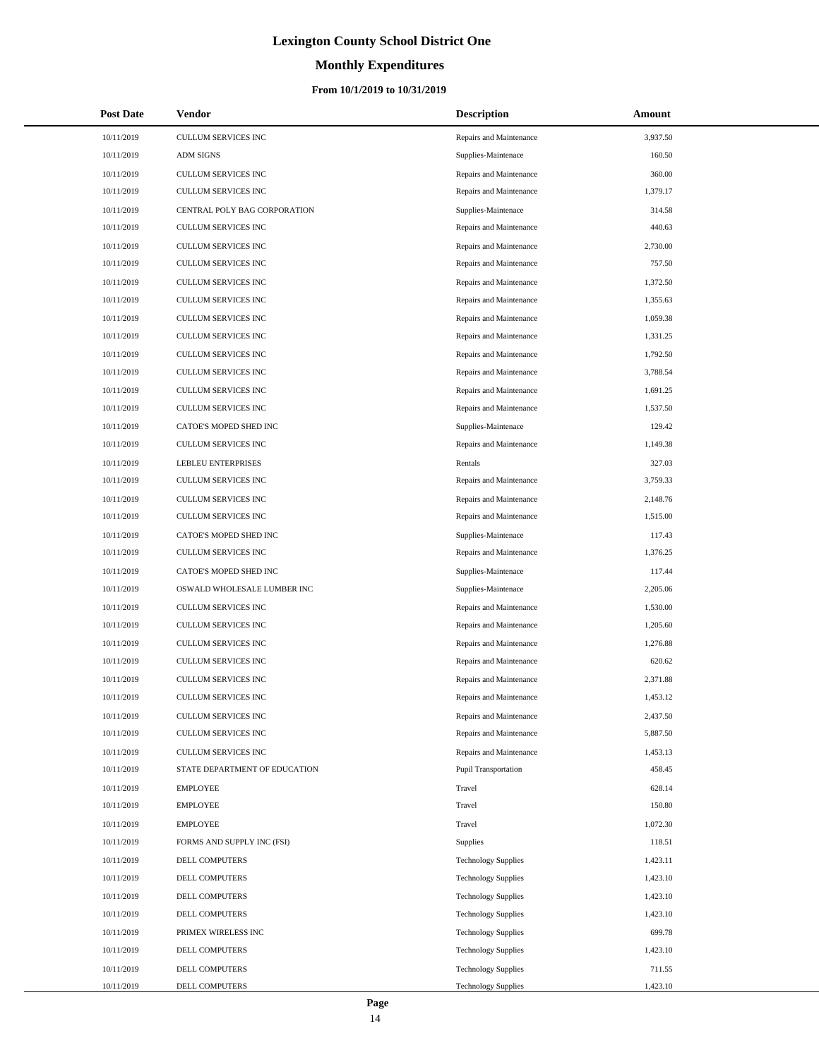# **Monthly Expenditures**

#### **From 10/1/2019 to 10/31/2019**

| <b>Post Date</b> | Vendor                        | <b>Description</b>         | <b>Amount</b> |
|------------------|-------------------------------|----------------------------|---------------|
| 10/11/2019       | <b>CULLUM SERVICES INC</b>    | Repairs and Maintenance    | 3,937.50      |
| 10/11/2019       | <b>ADM SIGNS</b>              | Supplies-Maintenace        | 160.50        |
| 10/11/2019       | CULLUM SERVICES INC           | Repairs and Maintenance    | 360.00        |
| 10/11/2019       | <b>CULLUM SERVICES INC</b>    | Repairs and Maintenance    | 1,379.17      |
| 10/11/2019       | CENTRAL POLY BAG CORPORATION  | Supplies-Maintenace        | 314.58        |
| 10/11/2019       | <b>CULLUM SERVICES INC</b>    | Repairs and Maintenance    | 440.63        |
| 10/11/2019       | CULLUM SERVICES INC           | Repairs and Maintenance    | 2,730.00      |
| 10/11/2019       | CULLUM SERVICES INC           | Repairs and Maintenance    | 757.50        |
| 10/11/2019       | CULLUM SERVICES INC           | Repairs and Maintenance    | 1,372.50      |
| 10/11/2019       | CULLUM SERVICES INC           | Repairs and Maintenance    | 1,355.63      |
| 10/11/2019       | CULLUM SERVICES INC           | Repairs and Maintenance    | 1,059.38      |
| 10/11/2019       | CULLUM SERVICES INC           | Repairs and Maintenance    | 1,331.25      |
| 10/11/2019       | CULLUM SERVICES INC           | Repairs and Maintenance    | 1,792.50      |
| 10/11/2019       | CULLUM SERVICES INC           | Repairs and Maintenance    | 3,788.54      |
| 10/11/2019       | CULLUM SERVICES INC           | Repairs and Maintenance    | 1,691.25      |
| 10/11/2019       | <b>CULLUM SERVICES INC</b>    | Repairs and Maintenance    | 1,537.50      |
| 10/11/2019       | CATOE'S MOPED SHED INC        | Supplies-Maintenace        | 129.42        |
| 10/11/2019       | <b>CULLUM SERVICES INC</b>    | Repairs and Maintenance    | 1,149.38      |
| 10/11/2019       | LEBLEU ENTERPRISES            | Rentals                    | 327.03        |
| 10/11/2019       | <b>CULLUM SERVICES INC</b>    | Repairs and Maintenance    | 3,759.33      |
| 10/11/2019       | CULLUM SERVICES INC           | Repairs and Maintenance    | 2,148.76      |
| 10/11/2019       | <b>CULLUM SERVICES INC</b>    | Repairs and Maintenance    | 1,515.00      |
| 10/11/2019       | CATOE'S MOPED SHED INC        | Supplies-Maintenace        | 117.43        |
| 10/11/2019       | CULLUM SERVICES INC           | Repairs and Maintenance    | 1,376.25      |
| 10/11/2019       | CATOE'S MOPED SHED INC        | Supplies-Maintenace        | 117.44        |
| 10/11/2019       | OSWALD WHOLESALE LUMBER INC   | Supplies-Maintenace        | 2,205.06      |
| 10/11/2019       | CULLUM SERVICES INC           | Repairs and Maintenance    | 1,530.00      |
| 10/11/2019       | CULLUM SERVICES INC           | Repairs and Maintenance    | 1,205.60      |
| 10/11/2019       | CULLUM SERVICES INC           | Repairs and Maintenance    | 1,276.88      |
| 10/11/2019       | CULLUM SERVICES INC           | Repairs and Maintenance    | 620.62        |
| 10/11/2019       | CULLUM SERVICES INC           | Repairs and Maintenance    | 2,371.88      |
| 10/11/2019       | <b>CULLUM SERVICES INC</b>    | Repairs and Maintenance    | 1,453.12      |
| 10/11/2019       | CULLUM SERVICES INC           | Repairs and Maintenance    | 2,437.50      |
| 10/11/2019       | CULLUM SERVICES INC           | Repairs and Maintenance    | 5,887.50      |
| 10/11/2019       | CULLUM SERVICES INC           | Repairs and Maintenance    | 1,453.13      |
| 10/11/2019       | STATE DEPARTMENT OF EDUCATION | Pupil Transportation       | 458.45        |
| 10/11/2019       | <b>EMPLOYEE</b>               | Travel                     | 628.14        |
| 10/11/2019       | <b>EMPLOYEE</b>               | Travel                     | 150.80        |
| 10/11/2019       | <b>EMPLOYEE</b>               | Travel                     | 1,072.30      |
| 10/11/2019       | FORMS AND SUPPLY INC (FSI)    | Supplies                   | 118.51        |
| 10/11/2019       | DELL COMPUTERS                | <b>Technology Supplies</b> | 1,423.11      |
| 10/11/2019       | DELL COMPUTERS                | <b>Technology Supplies</b> | 1,423.10      |
| 10/11/2019       | DELL COMPUTERS                | <b>Technology Supplies</b> | 1,423.10      |
| 10/11/2019       | DELL COMPUTERS                | <b>Technology Supplies</b> | 1,423.10      |
| 10/11/2019       | PRIMEX WIRELESS INC           | <b>Technology Supplies</b> | 699.78        |
| 10/11/2019       | DELL COMPUTERS                | <b>Technology Supplies</b> | 1,423.10      |
| 10/11/2019       | DELL COMPUTERS                | <b>Technology Supplies</b> | 711.55        |
| 10/11/2019       | DELL COMPUTERS                | <b>Technology Supplies</b> | 1,423.10      |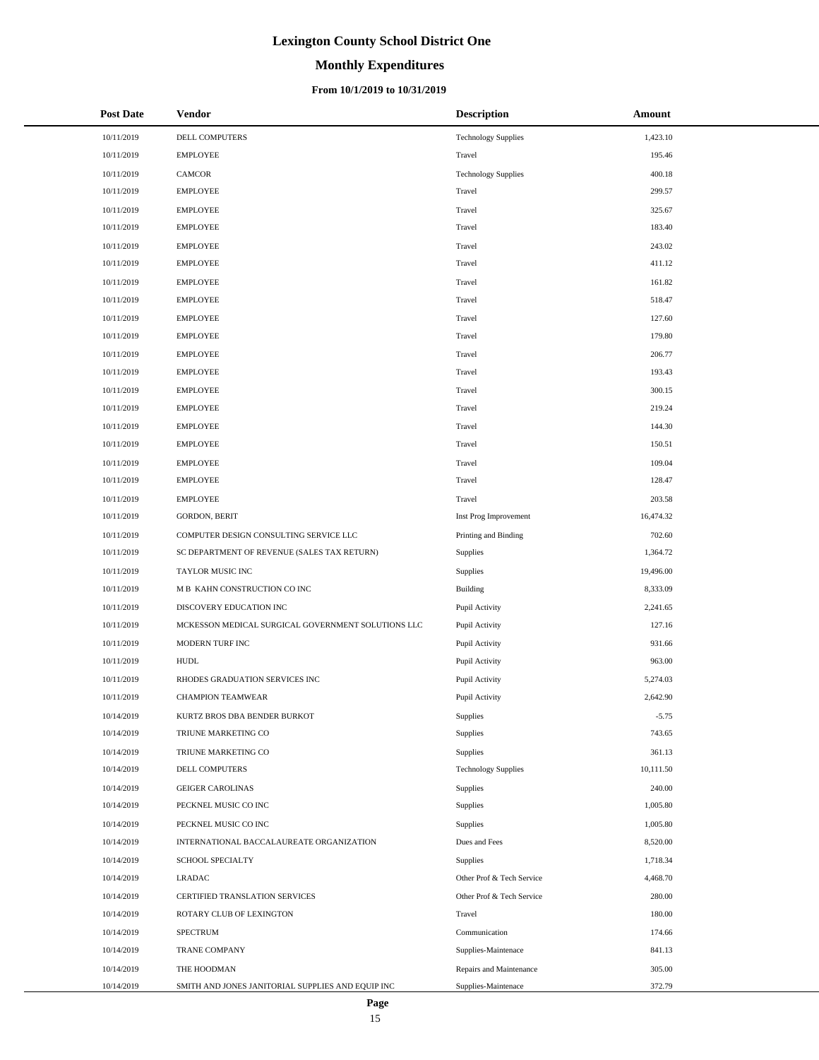# **Monthly Expenditures**

#### **From 10/1/2019 to 10/31/2019**

| <b>Post Date</b> | Vendor                                             | <b>Description</b>         | Amount    |
|------------------|----------------------------------------------------|----------------------------|-----------|
| 10/11/2019       | DELL COMPUTERS                                     | <b>Technology Supplies</b> | 1,423.10  |
| 10/11/2019       | <b>EMPLOYEE</b>                                    | Travel                     | 195.46    |
| 10/11/2019       | CAMCOR                                             | <b>Technology Supplies</b> | 400.18    |
| 10/11/2019       | <b>EMPLOYEE</b>                                    | Travel                     | 299.57    |
| 10/11/2019       | <b>EMPLOYEE</b>                                    | Travel                     | 325.67    |
| 10/11/2019       | <b>EMPLOYEE</b>                                    | Travel                     | 183.40    |
| 10/11/2019       | <b>EMPLOYEE</b>                                    | Travel                     | 243.02    |
| 10/11/2019       | <b>EMPLOYEE</b>                                    | Travel                     | 411.12    |
| 10/11/2019       | <b>EMPLOYEE</b>                                    | Travel                     | 161.82    |
| 10/11/2019       | <b>EMPLOYEE</b>                                    | Travel                     | 518.47    |
| 10/11/2019       | <b>EMPLOYEE</b>                                    | Travel                     | 127.60    |
| 10/11/2019       | <b>EMPLOYEE</b>                                    | Travel                     | 179.80    |
| 10/11/2019       | <b>EMPLOYEE</b>                                    | Travel                     | 206.77    |
| 10/11/2019       | <b>EMPLOYEE</b>                                    | Travel                     | 193.43    |
| 10/11/2019       | <b>EMPLOYEE</b>                                    | Travel                     | 300.15    |
| 10/11/2019       | <b>EMPLOYEE</b>                                    | Travel                     | 219.24    |
| 10/11/2019       | <b>EMPLOYEE</b>                                    | Travel                     | 144.30    |
| 10/11/2019       | <b>EMPLOYEE</b>                                    | Travel                     | 150.51    |
| 10/11/2019       | <b>EMPLOYEE</b>                                    | Travel                     | 109.04    |
| 10/11/2019       | <b>EMPLOYEE</b>                                    | Travel                     | 128.47    |
| 10/11/2019       | <b>EMPLOYEE</b>                                    | Travel                     | 203.58    |
| 10/11/2019       | <b>GORDON, BERIT</b>                               | Inst Prog Improvement      | 16,474.32 |
| 10/11/2019       | COMPUTER DESIGN CONSULTING SERVICE LLC             | Printing and Binding       | 702.60    |
| 10/11/2019       | SC DEPARTMENT OF REVENUE (SALES TAX RETURN)        | Supplies                   | 1,364.72  |
| 10/11/2019       | TAYLOR MUSIC INC                                   | Supplies                   | 19,496.00 |
| 10/11/2019       | M B KAHN CONSTRUCTION CO INC                       | Building                   | 8,333.09  |
| 10/11/2019       | DISCOVERY EDUCATION INC                            | Pupil Activity             | 2,241.65  |
| 10/11/2019       | MCKESSON MEDICAL SURGICAL GOVERNMENT SOLUTIONS LLC | Pupil Activity             | 127.16    |
| 10/11/2019       | MODERN TURF INC                                    | Pupil Activity             | 931.66    |
| 10/11/2019       | <b>HUDL</b>                                        | Pupil Activity             | 963.00    |
| 10/11/2019       | RHODES GRADUATION SERVICES INC                     | Pupil Activity             | 5,274.03  |
| 10/11/2019       | <b>CHAMPION TEAMWEAR</b>                           | Pupil Activity             | 2,642.90  |
| 10/14/2019       | KURTZ BROS DBA BENDER BURKOT                       | Supplies                   | $-5.75$   |
| 10/14/2019       | TRIUNE MARKETING CO                                | Supplies                   | 743.65    |
| 10/14/2019       | TRIUNE MARKETING CO                                | Supplies                   | 361.13    |
| 10/14/2019       | DELL COMPUTERS                                     | <b>Technology Supplies</b> | 10,111.50 |
| 10/14/2019       | <b>GEIGER CAROLINAS</b>                            | Supplies                   | 240.00    |
| 10/14/2019       | PECKNEL MUSIC CO INC                               | Supplies                   | 1,005.80  |
| 10/14/2019       | PECKNEL MUSIC CO INC                               | Supplies                   | 1,005.80  |
| 10/14/2019       | INTERNATIONAL BACCALAUREATE ORGANIZATION           | Dues and Fees              | 8,520.00  |
| 10/14/2019       | SCHOOL SPECIALTY                                   | Supplies                   | 1,718.34  |
| 10/14/2019       | <b>LRADAC</b>                                      | Other Prof & Tech Service  | 4,468.70  |
| 10/14/2019       | CERTIFIED TRANSLATION SERVICES                     | Other Prof & Tech Service  | 280.00    |
| 10/14/2019       | ROTARY CLUB OF LEXINGTON                           | Travel                     | 180.00    |
| 10/14/2019       | <b>SPECTRUM</b>                                    | Communication              | 174.66    |
| 10/14/2019       | TRANE COMPANY                                      | Supplies-Maintenace        | 841.13    |
| 10/14/2019       | THE HOODMAN                                        | Repairs and Maintenance    | 305.00    |
| 10/14/2019       | SMITH AND JONES JANITORIAL SUPPLIES AND EQUIP INC  | Supplies-Maintenace        | 372.79    |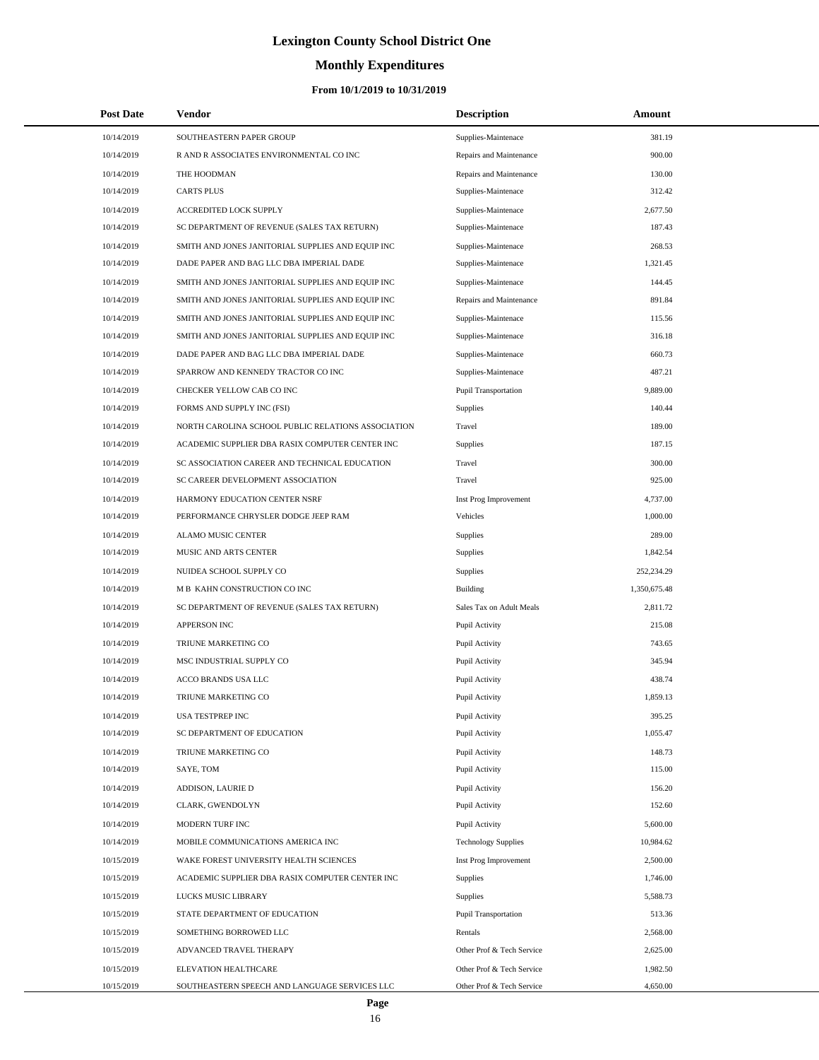# **Monthly Expenditures**

### **From 10/1/2019 to 10/31/2019**

| <b>Post Date</b> | <b>Vendor</b>                                      | <b>Description</b>         | Amount       |  |
|------------------|----------------------------------------------------|----------------------------|--------------|--|
| 10/14/2019       | SOUTHEASTERN PAPER GROUP                           | Supplies-Maintenace        | 381.19       |  |
| 10/14/2019       | R AND R ASSOCIATES ENVIRONMENTAL CO INC            | Repairs and Maintenance    | 900.00       |  |
| 10/14/2019       | THE HOODMAN                                        | Repairs and Maintenance    | 130.00       |  |
| 10/14/2019       | <b>CARTS PLUS</b>                                  | Supplies-Maintenace        | 312.42       |  |
| 10/14/2019       | ACCREDITED LOCK SUPPLY                             | Supplies-Maintenace        | 2,677.50     |  |
| 10/14/2019       | SC DEPARTMENT OF REVENUE (SALES TAX RETURN)        | Supplies-Maintenace        | 187.43       |  |
| 10/14/2019       | SMITH AND JONES JANITORIAL SUPPLIES AND EQUIP INC  | Supplies-Maintenace        | 268.53       |  |
| 10/14/2019       | DADE PAPER AND BAG LLC DBA IMPERIAL DADE           | Supplies-Maintenace        | 1,321.45     |  |
| 10/14/2019       | SMITH AND JONES JANITORIAL SUPPLIES AND EQUIP INC  | Supplies-Maintenace        | 144.45       |  |
| 10/14/2019       | SMITH AND JONES JANITORIAL SUPPLIES AND EQUIP INC  | Repairs and Maintenance    | 891.84       |  |
| 10/14/2019       | SMITH AND JONES JANITORIAL SUPPLIES AND EQUIP INC  | Supplies-Maintenace        | 115.56       |  |
| 10/14/2019       | SMITH AND JONES JANITORIAL SUPPLIES AND EQUIP INC  | Supplies-Maintenace        | 316.18       |  |
| 10/14/2019       | DADE PAPER AND BAG LLC DBA IMPERIAL DADE           | Supplies-Maintenace        | 660.73       |  |
| 10/14/2019       | SPARROW AND KENNEDY TRACTOR CO INC                 | Supplies-Maintenace        | 487.21       |  |
| 10/14/2019       | CHECKER YELLOW CAB CO INC                          | Pupil Transportation       | 9,889.00     |  |
| 10/14/2019       | FORMS AND SUPPLY INC (FSI)                         | Supplies                   | 140.44       |  |
| 10/14/2019       | NORTH CAROLINA SCHOOL PUBLIC RELATIONS ASSOCIATION | Travel                     | 189.00       |  |
| 10/14/2019       | ACADEMIC SUPPLIER DBA RASIX COMPUTER CENTER INC    | <b>Supplies</b>            | 187.15       |  |
| 10/14/2019       | SC ASSOCIATION CAREER AND TECHNICAL EDUCATION      | Travel                     | 300.00       |  |
| 10/14/2019       | SC CAREER DEVELOPMENT ASSOCIATION                  | Travel                     | 925.00       |  |
| 10/14/2019       | HARMONY EDUCATION CENTER NSRF                      | Inst Prog Improvement      | 4,737.00     |  |
| 10/14/2019       | PERFORMANCE CHRYSLER DODGE JEEP RAM                | Vehicles                   | 1,000.00     |  |
| 10/14/2019       | ALAMO MUSIC CENTER                                 | <b>Supplies</b>            | 289.00       |  |
| 10/14/2019       | MUSIC AND ARTS CENTER                              | Supplies                   | 1,842.54     |  |
| 10/14/2019       | NUIDEA SCHOOL SUPPLY CO                            | Supplies                   | 252,234.29   |  |
| 10/14/2019       | M B KAHN CONSTRUCTION CO INC                       | Building                   | 1,350,675.48 |  |
| 10/14/2019       | SC DEPARTMENT OF REVENUE (SALES TAX RETURN)        | Sales Tax on Adult Meals   | 2,811.72     |  |
| 10/14/2019       | APPERSON INC                                       | Pupil Activity             | 215.08       |  |
| 10/14/2019       | TRIUNE MARKETING CO                                | Pupil Activity             | 743.65       |  |
| 10/14/2019       | MSC INDUSTRIAL SUPPLY CO                           | Pupil Activity             | 345.94       |  |
| 10/14/2019       | ACCO BRANDS USA LLC                                | Pupil Activity             | 438.74       |  |
| 10/14/2019       | TRIUNE MARKETING CO                                | Pupil Activity             | 1,859.13     |  |
| 10/14/2019       | USA TESTPREP INC                                   | Pupil Activity             | 395.25       |  |
| 10/14/2019       | SC DEPARTMENT OF EDUCATION                         | Pupil Activity             | 1,055.47     |  |
| 10/14/2019       | TRIUNE MARKETING CO                                | Pupil Activity             | 148.73       |  |
| 10/14/2019       | SAYE, TOM                                          | Pupil Activity             | 115.00       |  |
| 10/14/2019       | ADDISON, LAURIE D                                  | Pupil Activity             | 156.20       |  |
| 10/14/2019       | CLARK, GWENDOLYN                                   | Pupil Activity             | 152.60       |  |
| 10/14/2019       | MODERN TURF INC                                    | Pupil Activity             | 5,600.00     |  |
| 10/14/2019       | MOBILE COMMUNICATIONS AMERICA INC                  | <b>Technology Supplies</b> | 10,984.62    |  |
| 10/15/2019       | WAKE FOREST UNIVERSITY HEALTH SCIENCES             | Inst Prog Improvement      | 2,500.00     |  |
| 10/15/2019       | ACADEMIC SUPPLIER DBA RASIX COMPUTER CENTER INC    | <b>Supplies</b>            | 1,746.00     |  |
| 10/15/2019       | LUCKS MUSIC LIBRARY                                | Supplies                   | 5,588.73     |  |
| 10/15/2019       | STATE DEPARTMENT OF EDUCATION                      | Pupil Transportation       | 513.36       |  |
| 10/15/2019       | SOMETHING BORROWED LLC                             | Rentals                    | 2,568.00     |  |
| 10/15/2019       | ADVANCED TRAVEL THERAPY                            | Other Prof & Tech Service  | 2,625.00     |  |
| 10/15/2019       | ELEVATION HEALTHCARE                               | Other Prof & Tech Service  | 1,982.50     |  |
| 10/15/2019       | SOUTHEASTERN SPEECH AND LANGUAGE SERVICES LLC      | Other Prof & Tech Service  | 4,650.00     |  |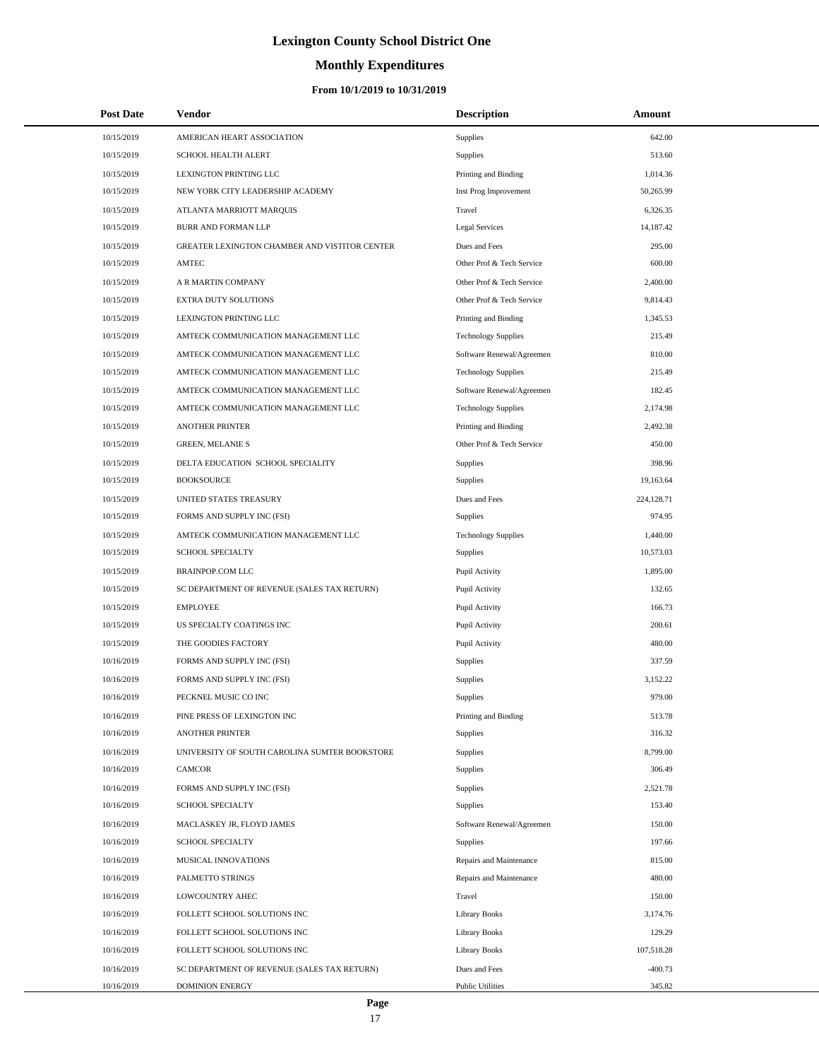# **Monthly Expenditures**

| <b>Post Date</b> | Vendor                                        | <b>Description</b>         | Amount     |
|------------------|-----------------------------------------------|----------------------------|------------|
| 10/15/2019       | AMERICAN HEART ASSOCIATION                    | Supplies                   | 642.00     |
| 10/15/2019       | SCHOOL HEALTH ALERT                           | Supplies                   | 513.60     |
| 10/15/2019       | LEXINGTON PRINTING LLC                        | Printing and Binding       | 1,014.36   |
| 10/15/2019       | NEW YORK CITY LEADERSHIP ACADEMY              | Inst Prog Improvement      | 50,265.99  |
| 10/15/2019       | ATLANTA MARRIOTT MARQUIS                      | Travel                     | 6,326.35   |
| 10/15/2019       | BURR AND FORMAN LLP                           | Legal Services             | 14,187.42  |
| 10/15/2019       | GREATER LEXINGTON CHAMBER AND VISTITOR CENTER | Dues and Fees              | 295.00     |
| 10/15/2019       | <b>AMTEC</b>                                  | Other Prof & Tech Service  | 600.00     |
| 10/15/2019       | A R MARTIN COMPANY                            | Other Prof & Tech Service  | 2,400.00   |
| 10/15/2019       | EXTRA DUTY SOLUTIONS                          | Other Prof & Tech Service  | 9,814.43   |
| 10/15/2019       | LEXINGTON PRINTING LLC                        | Printing and Binding       | 1,345.53   |
| 10/15/2019       | AMTECK COMMUNICATION MANAGEMENT LLC           | <b>Technology Supplies</b> | 215.49     |
| 10/15/2019       | AMTECK COMMUNICATION MANAGEMENT LLC           | Software Renewal/Agreemen  | 810.00     |
| 10/15/2019       | AMTECK COMMUNICATION MANAGEMENT LLC           | <b>Technology Supplies</b> | 215.49     |
| 10/15/2019       | AMTECK COMMUNICATION MANAGEMENT LLC           | Software Renewal/Agreemen  | 182.45     |
| 10/15/2019       | AMTECK COMMUNICATION MANAGEMENT LLC           | <b>Technology Supplies</b> | 2,174.98   |
| 10/15/2019       | <b>ANOTHER PRINTER</b>                        | Printing and Binding       | 2,492.38   |
| 10/15/2019       | <b>GREEN, MELANIE S</b>                       | Other Prof & Tech Service  | 450.00     |
| 10/15/2019       | DELTA EDUCATION SCHOOL SPECIALITY             | Supplies                   | 398.96     |
| 10/15/2019       | <b>BOOKSOURCE</b>                             | Supplies                   | 19,163.64  |
| 10/15/2019       | UNITED STATES TREASURY                        | Dues and Fees              | 224,128.71 |
| 10/15/2019       | FORMS AND SUPPLY INC (FSI)                    | Supplies                   | 974.95     |
| 10/15/2019       | AMTECK COMMUNICATION MANAGEMENT LLC           | <b>Technology Supplies</b> | 1,440.00   |
| 10/15/2019       | SCHOOL SPECIALTY                              | Supplies                   | 10,573.03  |
| 10/15/2019       | BRAINPOP.COM LLC                              | Pupil Activity             | 1,895.00   |
| 10/15/2019       | SC DEPARTMENT OF REVENUE (SALES TAX RETURN)   | Pupil Activity             | 132.65     |
| 10/15/2019       | <b>EMPLOYEE</b>                               | Pupil Activity             | 166.73     |
| 10/15/2019       | US SPECIALTY COATINGS INC                     | Pupil Activity             | 200.61     |
| 10/15/2019       | THE GOODIES FACTORY                           | Pupil Activity             | 480.00     |
| 10/16/2019       | FORMS AND SUPPLY INC (FSI)                    | Supplies                   | 337.59     |
| 10/16/2019       | FORMS AND SUPPLY INC (FSI)                    | Supplies                   | 3,152.22   |
| 10/16/2019       | PECKNEL MUSIC CO INC                          | Supplies                   | 979.00     |
| 10/16/2019       | PINE PRESS OF LEXINGTON INC                   | Printing and Binding       | 513.78     |
| 10/16/2019       | <b>ANOTHER PRINTER</b>                        | Supplies                   | 316.32     |
| 10/16/2019       | UNIVERSITY OF SOUTH CAROLINA SUMTER BOOKSTORE | Supplies                   | 8,799.00   |
| 10/16/2019       | <b>CAMCOR</b>                                 | Supplies                   | 306.49     |
| 10/16/2019       | FORMS AND SUPPLY INC (FSI)                    | Supplies                   | 2,521.78   |
| 10/16/2019       | SCHOOL SPECIALTY                              | Supplies                   | 153.40     |
| 10/16/2019       | MACLASKEY JR, FLOYD JAMES                     | Software Renewal/Agreemen  | 150.00     |
| 10/16/2019       | SCHOOL SPECIALTY                              | Supplies                   | 197.66     |
| 10/16/2019       | MUSICAL INNOVATIONS                           | Repairs and Maintenance    | 815.00     |
| 10/16/2019       | PALMETTO STRINGS                              | Repairs and Maintenance    | 480.00     |
| 10/16/2019       | LOWCOUNTRY AHEC                               | Travel                     | 150.00     |
| 10/16/2019       | FOLLETT SCHOOL SOLUTIONS INC                  | Library Books              | 3,174.76   |
| 10/16/2019       | FOLLETT SCHOOL SOLUTIONS INC                  | <b>Library Books</b>       | 129.29     |
| 10/16/2019       | FOLLETT SCHOOL SOLUTIONS INC                  | Library Books              | 107,518.28 |
| 10/16/2019       | SC DEPARTMENT OF REVENUE (SALES TAX RETURN)   | Dues and Fees              | $-400.73$  |
| 10/16/2019       | <b>DOMINION ENERGY</b>                        | <b>Public Utilities</b>    | 345.82     |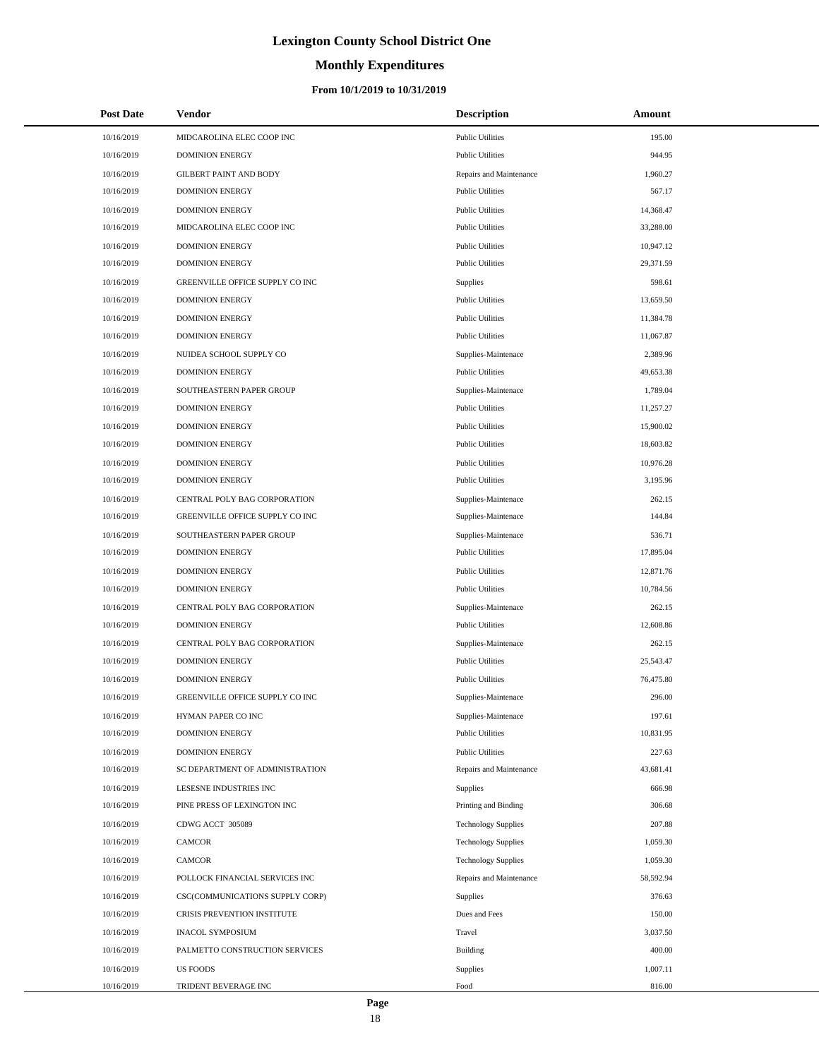# **Monthly Expenditures**

#### **From 10/1/2019 to 10/31/2019**

| <b>Post Date</b> | Vendor                          | <b>Description</b>         | <b>Amount</b> |
|------------------|---------------------------------|----------------------------|---------------|
| 10/16/2019       | MIDCAROLINA ELEC COOP INC       | <b>Public Utilities</b>    | 195.00        |
| 10/16/2019       | <b>DOMINION ENERGY</b>          | <b>Public Utilities</b>    | 944.95        |
| 10/16/2019       | <b>GILBERT PAINT AND BODY</b>   | Repairs and Maintenance    | 1,960.27      |
| 10/16/2019       | <b>DOMINION ENERGY</b>          | <b>Public Utilities</b>    | 567.17        |
| 10/16/2019       | <b>DOMINION ENERGY</b>          | <b>Public Utilities</b>    | 14,368.47     |
| 10/16/2019       | MIDCAROLINA ELEC COOP INC       | <b>Public Utilities</b>    | 33,288.00     |
| 10/16/2019       | <b>DOMINION ENERGY</b>          | <b>Public Utilities</b>    | 10,947.12     |
| 10/16/2019       | <b>DOMINION ENERGY</b>          | <b>Public Utilities</b>    | 29,371.59     |
| 10/16/2019       | GREENVILLE OFFICE SUPPLY CO INC | Supplies                   | 598.61        |
| 10/16/2019       | <b>DOMINION ENERGY</b>          | <b>Public Utilities</b>    | 13,659.50     |
| 10/16/2019       | <b>DOMINION ENERGY</b>          | <b>Public Utilities</b>    | 11,384.78     |
| 10/16/2019       | <b>DOMINION ENERGY</b>          | <b>Public Utilities</b>    | 11,067.87     |
| 10/16/2019       | NUIDEA SCHOOL SUPPLY CO         | Supplies-Maintenace        | 2,389.96      |
| 10/16/2019       | <b>DOMINION ENERGY</b>          | <b>Public Utilities</b>    | 49,653.38     |
| 10/16/2019       | SOUTHEASTERN PAPER GROUP        | Supplies-Maintenace        | 1,789.04      |
| 10/16/2019       | <b>DOMINION ENERGY</b>          | <b>Public Utilities</b>    | 11,257.27     |
| 10/16/2019       | <b>DOMINION ENERGY</b>          | <b>Public Utilities</b>    | 15,900.02     |
| 10/16/2019       | <b>DOMINION ENERGY</b>          | <b>Public Utilities</b>    | 18,603.82     |
| 10/16/2019       | <b>DOMINION ENERGY</b>          | <b>Public Utilities</b>    | 10,976.28     |
| 10/16/2019       | <b>DOMINION ENERGY</b>          | <b>Public Utilities</b>    | 3,195.96      |
| 10/16/2019       | CENTRAL POLY BAG CORPORATION    | Supplies-Maintenace        | 262.15        |
| 10/16/2019       | GREENVILLE OFFICE SUPPLY CO INC | Supplies-Maintenace        | 144.84        |
| 10/16/2019       | SOUTHEASTERN PAPER GROUP        | Supplies-Maintenace        | 536.71        |
| 10/16/2019       | <b>DOMINION ENERGY</b>          | <b>Public Utilities</b>    | 17,895.04     |
| 10/16/2019       | <b>DOMINION ENERGY</b>          | <b>Public Utilities</b>    | 12,871.76     |
| 10/16/2019       | <b>DOMINION ENERGY</b>          | <b>Public Utilities</b>    | 10,784.56     |
| 10/16/2019       | CENTRAL POLY BAG CORPORATION    | Supplies-Maintenace        | 262.15        |
| 10/16/2019       | <b>DOMINION ENERGY</b>          | <b>Public Utilities</b>    | 12,608.86     |
| 10/16/2019       | CENTRAL POLY BAG CORPORATION    | Supplies-Maintenace        | 262.15        |
| 10/16/2019       | <b>DOMINION ENERGY</b>          | <b>Public Utilities</b>    | 25,543.47     |
| 10/16/2019       | <b>DOMINION ENERGY</b>          | <b>Public Utilities</b>    | 76,475.80     |
| 10/16/2019       | GREENVILLE OFFICE SUPPLY CO INC | Supplies-Maintenace        | 296.00        |
| 10/16/2019       | HYMAN PAPER CO INC              | Supplies-Maintenace        | 197.61        |
| 10/16/2019       | <b>DOMINION ENERGY</b>          | <b>Public Utilities</b>    | 10,831.95     |
| 10/16/2019       | <b>DOMINION ENERGY</b>          | <b>Public Utilities</b>    | 227.63        |
| 10/16/2019       | SC DEPARTMENT OF ADMINISTRATION | Repairs and Maintenance    | 43,681.41     |
| 10/16/2019       | LESESNE INDUSTRIES INC          | Supplies                   | 666.98        |
| 10/16/2019       | PINE PRESS OF LEXINGTON INC     | Printing and Binding       | 306.68        |
| 10/16/2019       | CDWG ACCT 305089                | <b>Technology Supplies</b> | 207.88        |
| 10/16/2019       | <b>CAMCOR</b>                   | <b>Technology Supplies</b> | 1,059.30      |
| 10/16/2019       | <b>CAMCOR</b>                   | <b>Technology Supplies</b> | 1,059.30      |
| 10/16/2019       | POLLOCK FINANCIAL SERVICES INC  | Repairs and Maintenance    | 58,592.94     |
| 10/16/2019       | CSC(COMMUNICATIONS SUPPLY CORP) | Supplies                   | 376.63        |
| 10/16/2019       | CRISIS PREVENTION INSTITUTE     | Dues and Fees              | 150.00        |
| 10/16/2019       | <b>INACOL SYMPOSIUM</b>         | Travel                     | 3,037.50      |
| 10/16/2019       | PALMETTO CONSTRUCTION SERVICES  | Building                   | 400.00        |
| 10/16/2019       | <b>US FOODS</b>                 | Supplies                   | 1,007.11      |
| 10/16/2019       | TRIDENT BEVERAGE INC            | Food                       | 816.00        |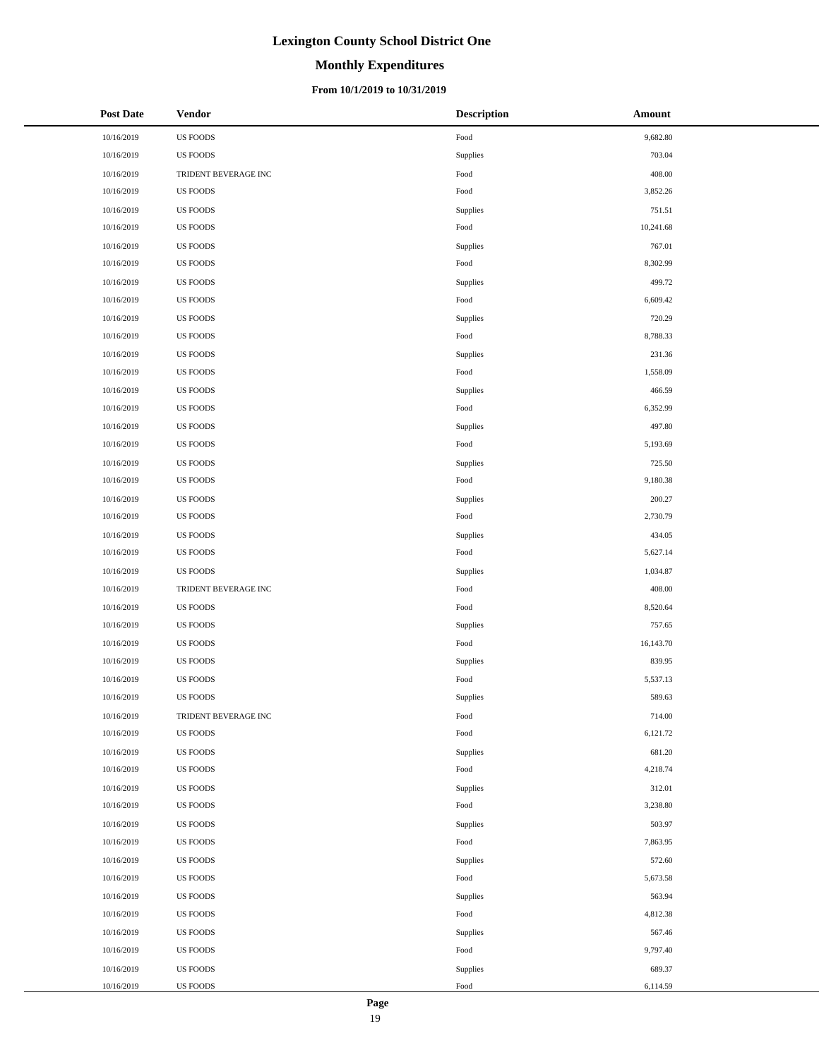# **Monthly Expenditures**

#### **From 10/1/2019 to 10/31/2019**

| Post Date  | <b>Vendor</b>        | <b>Description</b> | Amount    |
|------------|----------------------|--------------------|-----------|
| 10/16/2019 | <b>US FOODS</b>      | Food               | 9,682.80  |
| 10/16/2019 | <b>US FOODS</b>      | Supplies           | 703.04    |
| 10/16/2019 | TRIDENT BEVERAGE INC | Food               | 408.00    |
| 10/16/2019 | <b>US FOODS</b>      | Food               | 3,852.26  |
| 10/16/2019 | <b>US FOODS</b>      | Supplies           | 751.51    |
| 10/16/2019 | US FOODS             | Food               | 10,241.68 |
| 10/16/2019 | US FOODS             | Supplies           | 767.01    |
| 10/16/2019 | US FOODS             | Food               | 8,302.99  |
| 10/16/2019 | <b>US FOODS</b>      | Supplies           | 499.72    |
| 10/16/2019 | <b>US FOODS</b>      | Food               | 6,609.42  |
| 10/16/2019 | <b>US FOODS</b>      | Supplies           | 720.29    |
| 10/16/2019 | <b>US FOODS</b>      | Food               | 8,788.33  |
| 10/16/2019 | <b>US FOODS</b>      | Supplies           | 231.36    |
| 10/16/2019 | US FOODS             | Food               | 1,558.09  |
| 10/16/2019 | US FOODS             | Supplies           | 466.59    |
| 10/16/2019 | US FOODS             | Food               | 6,352.99  |
| 10/16/2019 | <b>US FOODS</b>      | Supplies           | 497.80    |
| 10/16/2019 | <b>US FOODS</b>      | Food               | 5,193.69  |
| 10/16/2019 | <b>US FOODS</b>      | Supplies           | 725.50    |
| 10/16/2019 | <b>US FOODS</b>      | Food               | 9,180.38  |
| 10/16/2019 | <b>US FOODS</b>      | Supplies           | 200.27    |
| 10/16/2019 | US FOODS             | Food               | 2,730.79  |
| 10/16/2019 | <b>US FOODS</b>      | Supplies           | 434.05    |
| 10/16/2019 | <b>US FOODS</b>      | Food               | 5,627.14  |
| 10/16/2019 | <b>US FOODS</b>      | Supplies           | 1,034.87  |
| 10/16/2019 | TRIDENT BEVERAGE INC | Food               | 408.00    |
| 10/16/2019 | US FOODS             | Food               | 8,520.64  |
| 10/16/2019 | <b>US FOODS</b>      | Supplies           | 757.65    |
| 10/16/2019 | <b>US FOODS</b>      | Food               | 16,143.70 |
| 10/16/2019 | <b>US FOODS</b>      | Supplies           | 839.95    |
| 10/16/2019 | <b>US FOODS</b>      | Food               | 5,537.13  |
| 10/16/2019 | <b>US FOODS</b>      | Supplies           | 589.63    |
| 10/16/2019 | TRIDENT BEVERAGE INC | Food               | 714.00    |
| 10/16/2019 | <b>US FOODS</b>      | Food               | 6,121.72  |
| 10/16/2019 | US FOODS             | Supplies           | 681.20    |
| 10/16/2019 | <b>US FOODS</b>      | Food               | 4,218.74  |
| 10/16/2019 | <b>US FOODS</b>      | Supplies           | 312.01    |
| 10/16/2019 | <b>US FOODS</b>      | Food               | 3,238.80  |
| 10/16/2019 | US FOODS             | Supplies           | 503.97    |
| 10/16/2019 | <b>US FOODS</b>      | Food               | 7,863.95  |
| 10/16/2019 | <b>US FOODS</b>      | Supplies           | 572.60    |
| 10/16/2019 | US FOODS             | Food               | 5,673.58  |
| 10/16/2019 | US FOODS             | Supplies           | 563.94    |
| 10/16/2019 | <b>US FOODS</b>      | Food               | 4,812.38  |
| 10/16/2019 | <b>US FOODS</b>      | Supplies           | 567.46    |
| 10/16/2019 | US FOODS             | Food               | 9,797.40  |
| 10/16/2019 | US FOODS             | Supplies           | 689.37    |
| 10/16/2019 | US FOODS             | Food               | 6,114.59  |

 $\overline{a}$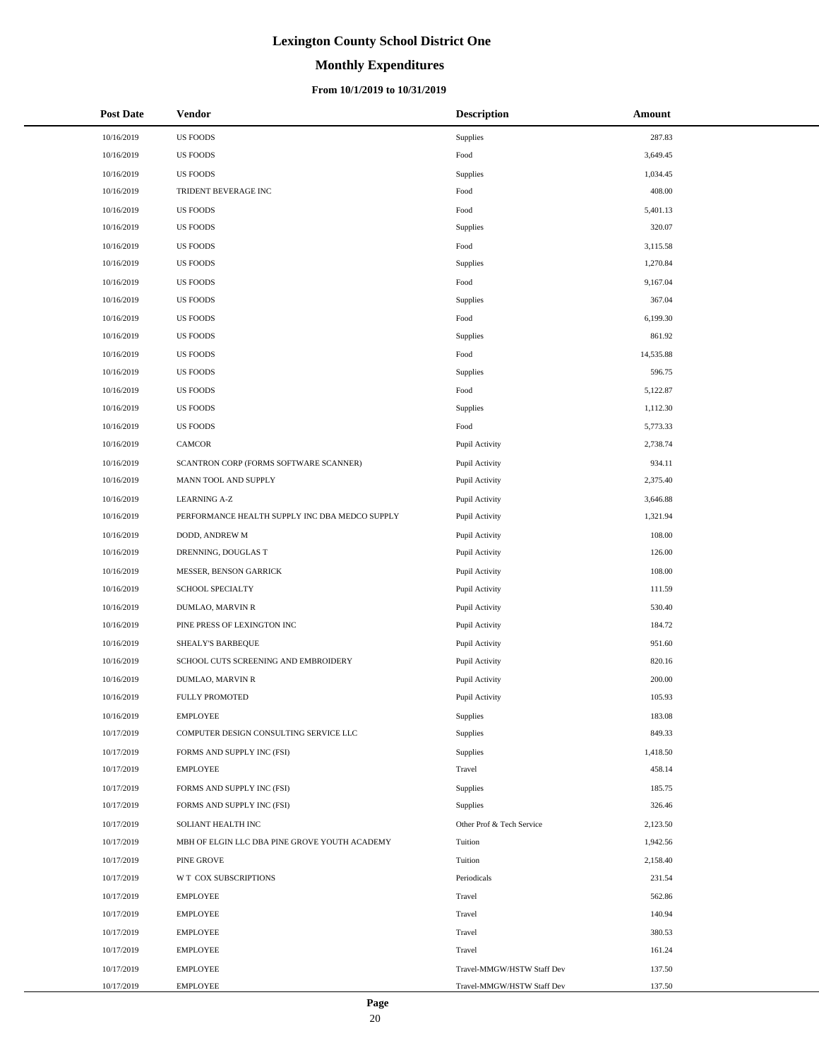# **Monthly Expenditures**

#### **From 10/1/2019 to 10/31/2019**

| <b>Post Date</b> | Vendor                                         | <b>Description</b>         | Amount    |
|------------------|------------------------------------------------|----------------------------|-----------|
| 10/16/2019       | <b>US FOODS</b>                                | <b>Supplies</b>            | 287.83    |
| 10/16/2019       | <b>US FOODS</b>                                | Food                       | 3,649.45  |
| 10/16/2019       | <b>US FOODS</b>                                | Supplies                   | 1,034.45  |
| 10/16/2019       | TRIDENT BEVERAGE INC                           | Food                       | 408.00    |
| 10/16/2019       | <b>US FOODS</b>                                | Food                       | 5,401.13  |
| 10/16/2019       | US FOODS                                       | Supplies                   | 320.07    |
| 10/16/2019       | US FOODS                                       | Food                       | 3,115.58  |
| 10/16/2019       | US FOODS                                       | Supplies                   | 1,270.84  |
| 10/16/2019       | US FOODS                                       | Food                       | 9,167.04  |
| 10/16/2019       | US FOODS                                       | Supplies                   | 367.04    |
| 10/16/2019       | US FOODS                                       | Food                       | 6,199.30  |
| 10/16/2019       | US FOODS                                       | Supplies                   | 861.92    |
| 10/16/2019       | US FOODS                                       | Food                       | 14,535.88 |
| 10/16/2019       | US FOODS                                       | Supplies                   | 596.75    |
| 10/16/2019       | US FOODS                                       | Food                       | 5,122.87  |
| 10/16/2019       | US FOODS                                       | Supplies                   | 1,112.30  |
| 10/16/2019       | <b>US FOODS</b>                                | Food                       | 5,773.33  |
| 10/16/2019       | CAMCOR                                         | Pupil Activity             | 2,738.74  |
| 10/16/2019       | SCANTRON CORP (FORMS SOFTWARE SCANNER)         | Pupil Activity             | 934.11    |
| 10/16/2019       | MANN TOOL AND SUPPLY                           | Pupil Activity             | 2,375.40  |
| 10/16/2019       | <b>LEARNING A-Z</b>                            | Pupil Activity             | 3,646.88  |
| 10/16/2019       | PERFORMANCE HEALTH SUPPLY INC DBA MEDCO SUPPLY | Pupil Activity             | 1,321.94  |
| 10/16/2019       | DODD, ANDREW M                                 | Pupil Activity             | 108.00    |
| 10/16/2019       | DRENNING, DOUGLAS T                            | Pupil Activity             | 126.00    |
| 10/16/2019       | MESSER, BENSON GARRICK                         | Pupil Activity             | 108.00    |
| 10/16/2019       | SCHOOL SPECIALTY                               | Pupil Activity             | 111.59    |
| 10/16/2019       | DUMLAO, MARVIN R                               | Pupil Activity             | 530.40    |
| 10/16/2019       | PINE PRESS OF LEXINGTON INC                    | Pupil Activity             | 184.72    |
| 10/16/2019       | SHEALY'S BARBEQUE                              | Pupil Activity             | 951.60    |
| 10/16/2019       | SCHOOL CUTS SCREENING AND EMBROIDERY           | Pupil Activity             | 820.16    |
| 10/16/2019       | DUMLAO, MARVIN R                               | Pupil Activity             | 200.00    |
| 10/16/2019       | <b>FULLY PROMOTED</b>                          | Pupil Activity             | 105.93    |
| 10/16/2019       | <b>EMPLOYEE</b>                                | Supplies                   | 183.08    |
| 10/17/2019       | COMPUTER DESIGN CONSULTING SERVICE LLC         | Supplies                   | 849.33    |
| 10/17/2019       | FORMS AND SUPPLY INC (FSI)                     | Supplies                   | 1,418.50  |
| 10/17/2019       | <b>EMPLOYEE</b>                                | Travel                     | 458.14    |
| 10/17/2019       | FORMS AND SUPPLY INC (FSI)                     | Supplies                   | 185.75    |
| 10/17/2019       | FORMS AND SUPPLY INC (FSI)                     | Supplies                   | 326.46    |
| 10/17/2019       | SOLIANT HEALTH INC                             | Other Prof & Tech Service  | 2,123.50  |
| 10/17/2019       | MBH OF ELGIN LLC DBA PINE GROVE YOUTH ACADEMY  | Tuition                    | 1,942.56  |
| 10/17/2019       | PINE GROVE                                     | Tuition                    | 2,158.40  |
| 10/17/2019       | W T COX SUBSCRIPTIONS                          | Periodicals                | 231.54    |
| 10/17/2019       | <b>EMPLOYEE</b>                                | Travel                     | 562.86    |
| 10/17/2019       | <b>EMPLOYEE</b>                                | Travel                     | 140.94    |
| 10/17/2019       | <b>EMPLOYEE</b>                                | Travel                     | 380.53    |
| 10/17/2019       | <b>EMPLOYEE</b>                                | Travel                     | 161.24    |
| 10/17/2019       | <b>EMPLOYEE</b>                                | Travel-MMGW/HSTW Staff Dev | 137.50    |
| 10/17/2019       | <b>EMPLOYEE</b>                                | Travel-MMGW/HSTW Staff Dev | 137.50    |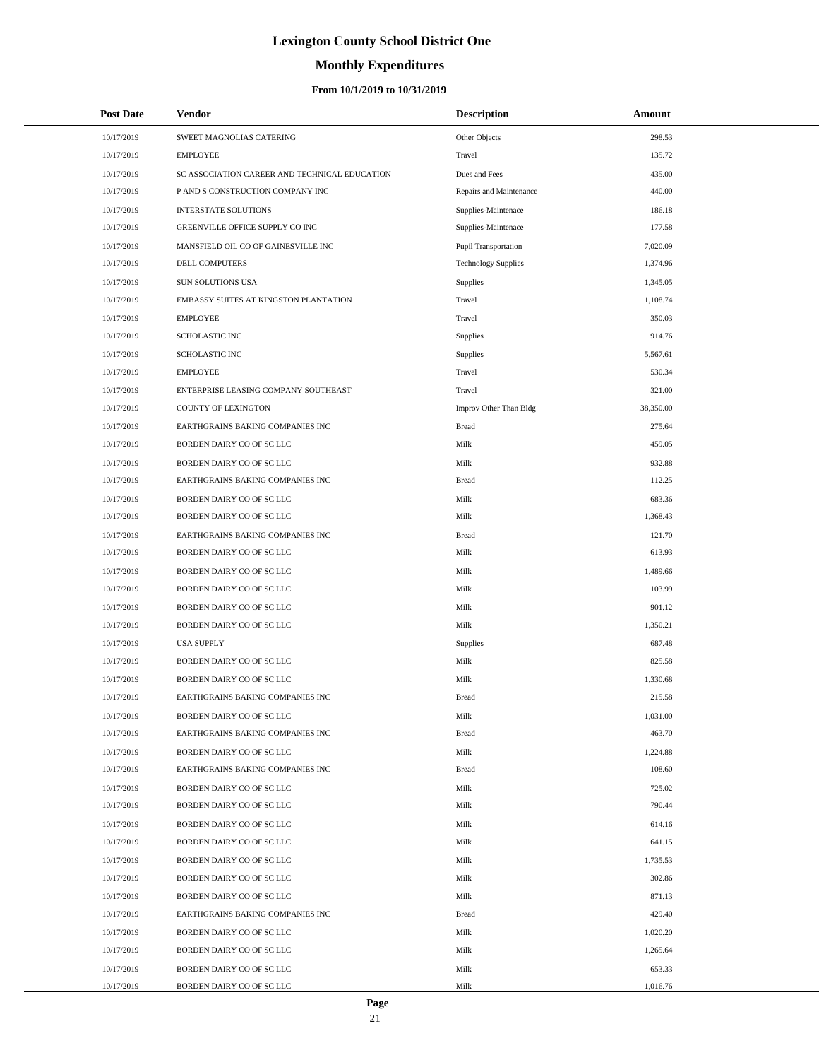# **Monthly Expenditures**

#### **From 10/1/2019 to 10/31/2019**

| <b>Post Date</b> | Vendor                                        | <b>Description</b>         | Amount    |  |
|------------------|-----------------------------------------------|----------------------------|-----------|--|
| 10/17/2019       | SWEET MAGNOLIAS CATERING                      | Other Objects              | 298.53    |  |
| 10/17/2019       | <b>EMPLOYEE</b>                               | Travel                     | 135.72    |  |
| 10/17/2019       | SC ASSOCIATION CAREER AND TECHNICAL EDUCATION | Dues and Fees              | 435.00    |  |
| 10/17/2019       | P AND S CONSTRUCTION COMPANY INC              | Repairs and Maintenance    | 440.00    |  |
| 10/17/2019       | <b>INTERSTATE SOLUTIONS</b>                   | Supplies-Maintenace        | 186.18    |  |
| 10/17/2019       | GREENVILLE OFFICE SUPPLY CO INC               | Supplies-Maintenace        | 177.58    |  |
| 10/17/2019       | MANSFIELD OIL CO OF GAINESVILLE INC           | Pupil Transportation       | 7,020.09  |  |
| 10/17/2019       | DELL COMPUTERS                                | <b>Technology Supplies</b> | 1,374.96  |  |
| 10/17/2019       | SUN SOLUTIONS USA                             | <b>Supplies</b>            | 1,345.05  |  |
| 10/17/2019       | EMBASSY SUITES AT KINGSTON PLANTATION         | Travel                     | 1,108.74  |  |
| 10/17/2019       | <b>EMPLOYEE</b>                               | Travel                     | 350.03    |  |
| 10/17/2019       | <b>SCHOLASTIC INC</b>                         | Supplies                   | 914.76    |  |
| 10/17/2019       | <b>SCHOLASTIC INC</b>                         | Supplies                   | 5,567.61  |  |
| 10/17/2019       | <b>EMPLOYEE</b>                               | Travel                     | 530.34    |  |
| 10/17/2019       | ENTERPRISE LEASING COMPANY SOUTHEAST          | Travel                     | 321.00    |  |
| 10/17/2019       | COUNTY OF LEXINGTON                           | Improv Other Than Bldg     | 38,350.00 |  |
| 10/17/2019       | EARTHGRAINS BAKING COMPANIES INC              | Bread                      | 275.64    |  |
| 10/17/2019       | BORDEN DAIRY CO OF SC LLC                     | Milk                       | 459.05    |  |
| 10/17/2019       | BORDEN DAIRY CO OF SC LLC                     | Milk                       | 932.88    |  |
| 10/17/2019       | EARTHGRAINS BAKING COMPANIES INC              | <b>Bread</b>               | 112.25    |  |
| 10/17/2019       | BORDEN DAIRY CO OF SC LLC                     | Milk                       | 683.36    |  |
| 10/17/2019       | BORDEN DAIRY CO OF SC LLC                     | Milk                       | 1,368.43  |  |
| 10/17/2019       | EARTHGRAINS BAKING COMPANIES INC              | <b>Bread</b>               | 121.70    |  |
| 10/17/2019       | BORDEN DAIRY CO OF SC LLC                     | Milk                       | 613.93    |  |
| 10/17/2019       | BORDEN DAIRY CO OF SC LLC                     | Milk                       | 1,489.66  |  |
| 10/17/2019       | BORDEN DAIRY CO OF SC LLC                     | Milk                       | 103.99    |  |
| 10/17/2019       | BORDEN DAIRY CO OF SC LLC                     | Milk                       | 901.12    |  |
| 10/17/2019       | BORDEN DAIRY CO OF SC LLC                     | Milk                       | 1,350.21  |  |
| 10/17/2019       | <b>USA SUPPLY</b>                             | Supplies                   | 687.48    |  |
| 10/17/2019       | BORDEN DAIRY CO OF SC LLC                     | Milk                       | 825.58    |  |
| 10/17/2019       | BORDEN DAIRY CO OF SC LLC                     | Milk                       | 1,330.68  |  |
| 10/17/2019       | EARTHGRAINS BAKING COMPANIES INC              | <b>Bread</b>               | 215.58    |  |
| 10/17/2019       | BORDEN DAIRY CO OF SC LLC                     | Milk                       | 1,031.00  |  |
| 10/17/2019       | EARTHGRAINS BAKING COMPANIES INC              | <b>Bread</b>               | 463.70    |  |
| 10/17/2019       | BORDEN DAIRY CO OF SC LLC                     | Milk                       | 1,224.88  |  |
| 10/17/2019       | EARTHGRAINS BAKING COMPANIES INC              | Bread                      | 108.60    |  |
| 10/17/2019       | BORDEN DAIRY CO OF SC LLC                     | Milk                       | 725.02    |  |
| 10/17/2019       | BORDEN DAIRY CO OF SC LLC                     | Milk                       | 790.44    |  |
| 10/17/2019       | BORDEN DAIRY CO OF SC LLC                     | Milk                       | 614.16    |  |
| 10/17/2019       | BORDEN DAIRY CO OF SC LLC                     | Milk                       | 641.15    |  |
| 10/17/2019       | BORDEN DAIRY CO OF SC LLC                     | Milk                       | 1,735.53  |  |
| 10/17/2019       | BORDEN DAIRY CO OF SC LLC                     | Milk                       | 302.86    |  |
| 10/17/2019       | BORDEN DAIRY CO OF SC LLC                     | Milk                       | 871.13    |  |
| 10/17/2019       | EARTHGRAINS BAKING COMPANIES INC              | Bread                      | 429.40    |  |
| 10/17/2019       | BORDEN DAIRY CO OF SC LLC                     | Milk                       | 1,020.20  |  |
| 10/17/2019       | BORDEN DAIRY CO OF SC LLC                     | Milk                       | 1,265.64  |  |
| 10/17/2019       | BORDEN DAIRY CO OF SC LLC                     | Milk                       | 653.33    |  |
| 10/17/2019       | BORDEN DAIRY CO OF SC LLC                     | Milk                       | 1,016.76  |  |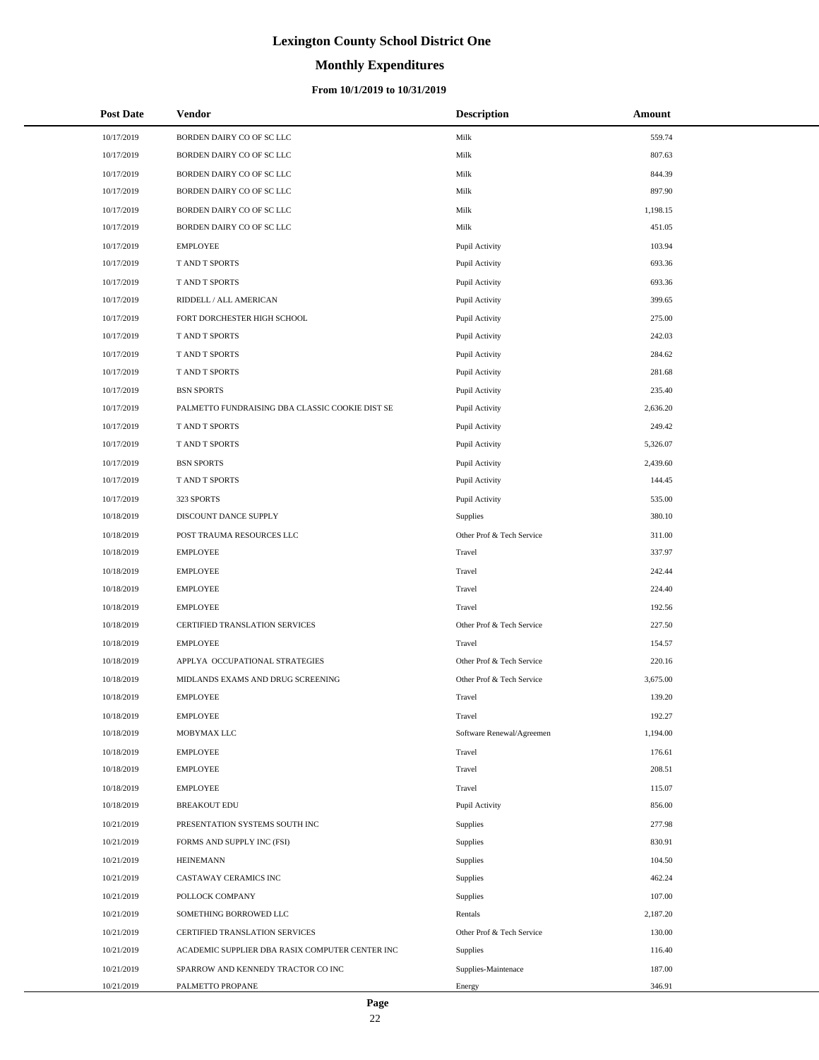# **Monthly Expenditures**

| <b>Post Date</b> | Vendor                                          | <b>Description</b>        | Amount   |
|------------------|-------------------------------------------------|---------------------------|----------|
| 10/17/2019       | BORDEN DAIRY CO OF SC LLC                       | Milk                      | 559.74   |
| 10/17/2019       | BORDEN DAIRY CO OF SC LLC                       | Milk                      | 807.63   |
| 10/17/2019       | BORDEN DAIRY CO OF SC LLC                       | Milk                      | 844.39   |
| 10/17/2019       | BORDEN DAIRY CO OF SC LLC                       | Milk                      | 897.90   |
| 10/17/2019       | BORDEN DAIRY CO OF SC LLC                       | Milk                      | 1,198.15 |
| 10/17/2019       | BORDEN DAIRY CO OF SC LLC                       | Milk                      | 451.05   |
| 10/17/2019       | <b>EMPLOYEE</b>                                 | Pupil Activity            | 103.94   |
| 10/17/2019       | T AND T SPORTS                                  | Pupil Activity            | 693.36   |
| 10/17/2019       | T AND T SPORTS                                  | Pupil Activity            | 693.36   |
| 10/17/2019       | RIDDELL / ALL AMERICAN                          | Pupil Activity            | 399.65   |
| 10/17/2019       | FORT DORCHESTER HIGH SCHOOL                     | Pupil Activity            | 275.00   |
| 10/17/2019       | T AND T SPORTS                                  | Pupil Activity            | 242.03   |
| 10/17/2019       | T AND T SPORTS                                  | Pupil Activity            | 284.62   |
| 10/17/2019       | T AND T SPORTS                                  | Pupil Activity            | 281.68   |
| 10/17/2019       | <b>BSN SPORTS</b>                               | Pupil Activity            | 235.40   |
| 10/17/2019       | PALMETTO FUNDRAISING DBA CLASSIC COOKIE DIST SE | Pupil Activity            | 2,636.20 |
| 10/17/2019       | T AND T SPORTS                                  | Pupil Activity            | 249.42   |
| 10/17/2019       | T AND T SPORTS                                  | Pupil Activity            | 5,326.07 |
| 10/17/2019       | <b>BSN SPORTS</b>                               | Pupil Activity            | 2,439.60 |
| 10/17/2019       | T AND T SPORTS                                  | Pupil Activity            | 144.45   |
| 10/17/2019       | 323 SPORTS                                      | Pupil Activity            | 535.00   |
| 10/18/2019       | DISCOUNT DANCE SUPPLY                           | <b>Supplies</b>           | 380.10   |
| 10/18/2019       | POST TRAUMA RESOURCES LLC                       | Other Prof & Tech Service | 311.00   |
| 10/18/2019       | <b>EMPLOYEE</b>                                 | Travel                    | 337.97   |
| 10/18/2019       | <b>EMPLOYEE</b>                                 | Travel                    | 242.44   |
| 10/18/2019       | <b>EMPLOYEE</b>                                 | Travel                    | 224.40   |
| 10/18/2019       | <b>EMPLOYEE</b>                                 | Travel                    | 192.56   |
| 10/18/2019       | CERTIFIED TRANSLATION SERVICES                  | Other Prof & Tech Service | 227.50   |
| 10/18/2019       | <b>EMPLOYEE</b>                                 | Travel                    | 154.57   |
| 10/18/2019       | APPLYA OCCUPATIONAL STRATEGIES                  | Other Prof & Tech Service | 220.16   |
| 10/18/2019       | MIDLANDS EXAMS AND DRUG SCREENING               | Other Prof & Tech Service | 3,675.00 |
| 10/18/2019       | <b>EMPLOYEE</b>                                 | Travel                    | 139.20   |
| 10/18/2019       | <b>EMPLOYEE</b>                                 | Travel                    | 192.27   |
| 10/18/2019       | MOBYMAX LLC                                     | Software Renewal/Agreemen | 1,194.00 |
| 10/18/2019       | <b>EMPLOYEE</b>                                 | Travel                    | 176.61   |
| 10/18/2019       | <b>EMPLOYEE</b>                                 | Travel                    | 208.51   |
| 10/18/2019       | <b>EMPLOYEE</b>                                 | Travel                    | 115.07   |
| 10/18/2019       | <b>BREAKOUT EDU</b>                             | Pupil Activity            | 856.00   |
| 10/21/2019       | PRESENTATION SYSTEMS SOUTH INC                  | Supplies                  | 277.98   |
| 10/21/2019       | FORMS AND SUPPLY INC (FSI)                      | Supplies                  | 830.91   |
| 10/21/2019       | <b>HEINEMANN</b>                                | Supplies                  | 104.50   |
| 10/21/2019       | CASTAWAY CERAMICS INC                           | <b>Supplies</b>           | 462.24   |
| 10/21/2019       | POLLOCK COMPANY                                 | Supplies                  | 107.00   |
| 10/21/2019       | SOMETHING BORROWED LLC                          | Rentals                   | 2,187.20 |
| 10/21/2019       | CERTIFIED TRANSLATION SERVICES                  | Other Prof & Tech Service | 130.00   |
| 10/21/2019       | ACADEMIC SUPPLIER DBA RASIX COMPUTER CENTER INC | <b>Supplies</b>           | 116.40   |
| 10/21/2019       | SPARROW AND KENNEDY TRACTOR CO INC              | Supplies-Maintenace       | 187.00   |
| 10/21/2019       | PALMETTO PROPANE                                | Energy                    | 346.91   |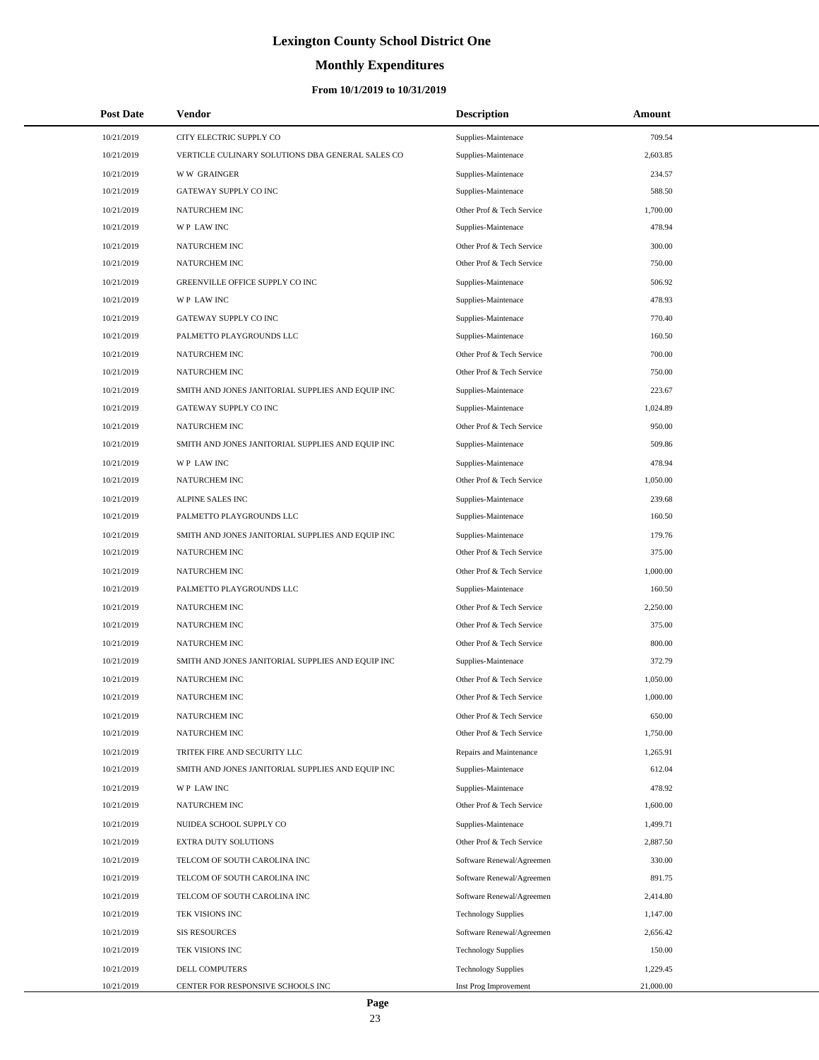# **Monthly Expenditures**

### **From 10/1/2019 to 10/31/2019**

| <b>Post Date</b> | Vendor                                            | <b>Description</b>         | Amount    |  |
|------------------|---------------------------------------------------|----------------------------|-----------|--|
| 10/21/2019       | CITY ELECTRIC SUPPLY CO                           | Supplies-Maintenace        | 709.54    |  |
| 10/21/2019       | VERTICLE CULINARY SOLUTIONS DBA GENERAL SALES CO  | Supplies-Maintenace        | 2,603.85  |  |
| 10/21/2019       | <b>WW GRAINGER</b>                                | Supplies-Maintenace        | 234.57    |  |
| 10/21/2019       | GATEWAY SUPPLY CO INC                             | Supplies-Maintenace        | 588.50    |  |
| 10/21/2019       | NATURCHEM INC                                     | Other Prof & Tech Service  | 1,700.00  |  |
| 10/21/2019       | WP LAW INC                                        | Supplies-Maintenace        | 478.94    |  |
| 10/21/2019       | NATURCHEM INC                                     | Other Prof & Tech Service  | 300.00    |  |
| 10/21/2019       | NATURCHEM INC                                     | Other Prof & Tech Service  | 750.00    |  |
| 10/21/2019       | GREENVILLE OFFICE SUPPLY CO INC                   | Supplies-Maintenace        | 506.92    |  |
| 10/21/2019       | WP LAW INC                                        | Supplies-Maintenace        | 478.93    |  |
| 10/21/2019       | GATEWAY SUPPLY CO INC                             | Supplies-Maintenace        | 770.40    |  |
| 10/21/2019       | PALMETTO PLAYGROUNDS LLC                          | Supplies-Maintenace        | 160.50    |  |
| 10/21/2019       | NATURCHEM INC                                     | Other Prof & Tech Service  | 700.00    |  |
| 10/21/2019       | NATURCHEM INC                                     | Other Prof & Tech Service  | 750.00    |  |
| 10/21/2019       | SMITH AND JONES JANITORIAL SUPPLIES AND EQUIP INC | Supplies-Maintenace        | 223.67    |  |
| 10/21/2019       | GATEWAY SUPPLY CO INC                             | Supplies-Maintenace        | 1,024.89  |  |
| 10/21/2019       | NATURCHEM INC                                     | Other Prof & Tech Service  | 950.00    |  |
| 10/21/2019       | SMITH AND JONES JANITORIAL SUPPLIES AND EQUIP INC | Supplies-Maintenace        | 509.86    |  |
| 10/21/2019       | WP LAW INC                                        | Supplies-Maintenace        | 478.94    |  |
| 10/21/2019       | <b>NATURCHEM INC</b>                              | Other Prof & Tech Service  | 1.050.00  |  |
| 10/21/2019       | ALPINE SALES INC                                  | Supplies-Maintenace        | 239.68    |  |
| 10/21/2019       | PALMETTO PLAYGROUNDS LLC                          | Supplies-Maintenace        | 160.50    |  |
| 10/21/2019       | SMITH AND JONES JANITORIAL SUPPLIES AND EQUIP INC | Supplies-Maintenace        | 179.76    |  |
| 10/21/2019       | NATURCHEM INC                                     | Other Prof & Tech Service  | 375.00    |  |
| 10/21/2019       | NATURCHEM INC                                     | Other Prof & Tech Service  | 1,000.00  |  |
| 10/21/2019       | PALMETTO PLAYGROUNDS LLC                          | Supplies-Maintenace        | 160.50    |  |
| 10/21/2019       | NATURCHEM INC                                     | Other Prof & Tech Service  | 2,250.00  |  |
| 10/21/2019       | NATURCHEM INC                                     | Other Prof & Tech Service  | 375.00    |  |
| 10/21/2019       | <b>NATURCHEM INC</b>                              | Other Prof & Tech Service  | 800.00    |  |
| 10/21/2019       | SMITH AND JONES JANITORIAL SUPPLIES AND EQUIP INC | Supplies-Maintenace        | 372.79    |  |
| 10/21/2019       | NATURCHEM INC                                     | Other Prof & Tech Service  | 1,050.00  |  |
| 10/21/2019       | NATURCHEM INC                                     | Other Prof & Tech Service  | 1,000.00  |  |
| 10/21/2019       | NATURCHEM INC                                     | Other Prof & Tech Service  | 650.00    |  |
| 10/21/2019       | NATURCHEM INC                                     | Other Prof & Tech Service  | 1,750.00  |  |
| 10/21/2019       | TRITEK FIRE AND SECURITY LLC                      | Repairs and Maintenance    | 1,265.91  |  |
| 10/21/2019       | SMITH AND JONES JANITORIAL SUPPLIES AND EQUIP INC | Supplies-Maintenace        | 612.04    |  |
| 10/21/2019       | WP LAW INC                                        | Supplies-Maintenace        | 478.92    |  |
| 10/21/2019       | NATURCHEM INC                                     | Other Prof & Tech Service  | 1,600.00  |  |
| 10/21/2019       | NUIDEA SCHOOL SUPPLY CO                           | Supplies-Maintenace        | 1,499.71  |  |
| 10/21/2019       | EXTRA DUTY SOLUTIONS                              | Other Prof & Tech Service  | 2,887.50  |  |
| 10/21/2019       | TELCOM OF SOUTH CAROLINA INC                      | Software Renewal/Agreemen  | 330.00    |  |
| 10/21/2019       | TELCOM OF SOUTH CAROLINA INC                      | Software Renewal/Agreemen  | 891.75    |  |
| 10/21/2019       | TELCOM OF SOUTH CAROLINA INC                      | Software Renewal/Agreemen  | 2,414.80  |  |
| 10/21/2019       | TEK VISIONS INC                                   | <b>Technology Supplies</b> | 1,147.00  |  |
| 10/21/2019       | <b>SIS RESOURCES</b>                              | Software Renewal/Agreemen  | 2,656.42  |  |
| 10/21/2019       | TEK VISIONS INC                                   | <b>Technology Supplies</b> | 150.00    |  |
| 10/21/2019       | DELL COMPUTERS                                    | <b>Technology Supplies</b> | 1,229.45  |  |
| 10/21/2019       | CENTER FOR RESPONSIVE SCHOOLS INC                 | Inst Prog Improvement      | 21,000.00 |  |

L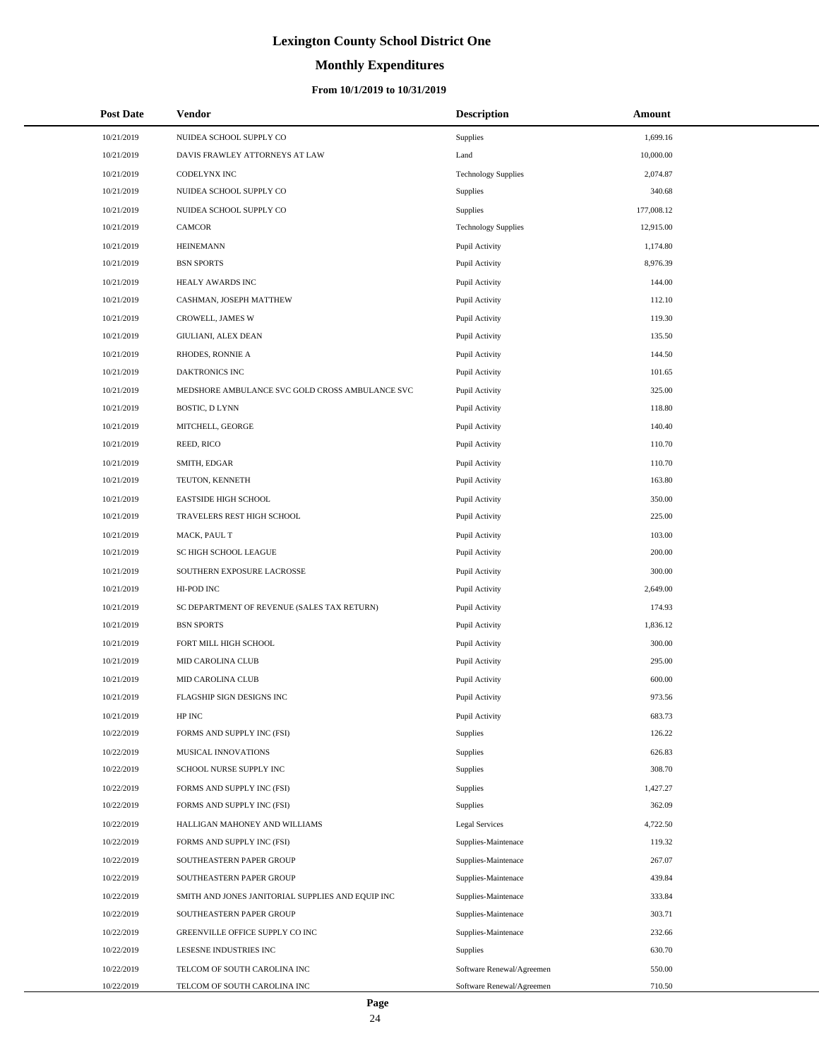# **Monthly Expenditures**

| <b>Post Date</b> | Vendor                                            | <b>Description</b>         | Amount     |
|------------------|---------------------------------------------------|----------------------------|------------|
| 10/21/2019       | NUIDEA SCHOOL SUPPLY CO                           | Supplies                   | 1,699.16   |
| 10/21/2019       | DAVIS FRAWLEY ATTORNEYS AT LAW                    | Land                       | 10,000.00  |
| 10/21/2019       | CODELYNX INC                                      | <b>Technology Supplies</b> | 2,074.87   |
| 10/21/2019       | NUIDEA SCHOOL SUPPLY CO                           | Supplies                   | 340.68     |
| 10/21/2019       | NUIDEA SCHOOL SUPPLY CO                           | Supplies                   | 177,008.12 |
| 10/21/2019       | CAMCOR                                            | <b>Technology Supplies</b> | 12,915.00  |
| 10/21/2019       | <b>HEINEMANN</b>                                  | Pupil Activity             | 1,174.80   |
| 10/21/2019       | <b>BSN SPORTS</b>                                 | Pupil Activity             | 8,976.39   |
| 10/21/2019       | HEALY AWARDS INC                                  | Pupil Activity             | 144.00     |
| 10/21/2019       | CASHMAN, JOSEPH MATTHEW                           | Pupil Activity             | 112.10     |
| 10/21/2019       | CROWELL, JAMES W                                  | Pupil Activity             | 119.30     |
| 10/21/2019       | GIULIANI, ALEX DEAN                               | Pupil Activity             | 135.50     |
| 10/21/2019       | RHODES, RONNIE A                                  | Pupil Activity             | 144.50     |
| 10/21/2019       | DAKTRONICS INC                                    | Pupil Activity             | 101.65     |
| 10/21/2019       | MEDSHORE AMBULANCE SVC GOLD CROSS AMBULANCE SVC   | Pupil Activity             | 325.00     |
| 10/21/2019       | BOSTIC, D LYNN                                    | Pupil Activity             | 118.80     |
| 10/21/2019       | MITCHELL, GEORGE                                  | Pupil Activity             | 140.40     |
| 10/21/2019       | REED, RICO                                        | Pupil Activity             | 110.70     |
| 10/21/2019       | SMITH, EDGAR                                      | Pupil Activity             | 110.70     |
| 10/21/2019       | TEUTON, KENNETH                                   | Pupil Activity             | 163.80     |
| 10/21/2019       | <b>EASTSIDE HIGH SCHOOL</b>                       | Pupil Activity             | 350.00     |
| 10/21/2019       | TRAVELERS REST HIGH SCHOOL                        | Pupil Activity             | 225.00     |
| 10/21/2019       | MACK, PAUL T                                      | Pupil Activity             | 103.00     |
| 10/21/2019       | SC HIGH SCHOOL LEAGUE                             | Pupil Activity             | 200.00     |
| 10/21/2019       | SOUTHERN EXPOSURE LACROSSE                        | Pupil Activity             | 300.00     |
| 10/21/2019       | HI-POD INC                                        | Pupil Activity             | 2,649.00   |
| 10/21/2019       | SC DEPARTMENT OF REVENUE (SALES TAX RETURN)       | Pupil Activity             | 174.93     |
| 10/21/2019       | <b>BSN SPORTS</b>                                 | Pupil Activity             | 1,836.12   |
| 10/21/2019       | FORT MILL HIGH SCHOOL                             | Pupil Activity             | 300.00     |
| 10/21/2019       | MID CAROLINA CLUB                                 | Pupil Activity             | 295.00     |
| 10/21/2019       | <b>MID CAROLINA CLUB</b>                          | Pupil Activity             | 600.00     |
| 10/21/2019       | FLAGSHIP SIGN DESIGNS INC                         | Pupil Activity             | 973.56     |
| 10/21/2019       | HP INC                                            | Pupil Activity             | 683.73     |
| 10/22/2019       | FORMS AND SUPPLY INC (FSI)                        | Supplies                   | 126.22     |
| 10/22/2019       | MUSICAL INNOVATIONS                               | Supplies                   | 626.83     |
| 10/22/2019       | SCHOOL NURSE SUPPLY INC                           | Supplies                   | 308.70     |
| 10/22/2019       | FORMS AND SUPPLY INC (FSI)                        | Supplies                   | 1,427.27   |
| 10/22/2019       | FORMS AND SUPPLY INC (FSI)                        | Supplies                   | 362.09     |
| 10/22/2019       | HALLIGAN MAHONEY AND WILLIAMS                     | <b>Legal Services</b>      | 4,722.50   |
| 10/22/2019       | FORMS AND SUPPLY INC (FSI)                        | Supplies-Maintenace        | 119.32     |
| 10/22/2019       | SOUTHEASTERN PAPER GROUP                          | Supplies-Maintenace        | 267.07     |
| 10/22/2019       | SOUTHEASTERN PAPER GROUP                          | Supplies-Maintenace        | 439.84     |
| 10/22/2019       | SMITH AND JONES JANITORIAL SUPPLIES AND EQUIP INC | Supplies-Maintenace        | 333.84     |
| 10/22/2019       | SOUTHEASTERN PAPER GROUP                          | Supplies-Maintenace        | 303.71     |
| 10/22/2019       | GREENVILLE OFFICE SUPPLY CO INC                   | Supplies-Maintenace        | 232.66     |
| 10/22/2019       | LESESNE INDUSTRIES INC                            | Supplies                   | 630.70     |
| 10/22/2019       | TELCOM OF SOUTH CAROLINA INC                      | Software Renewal/Agreemen  | 550.00     |
| 10/22/2019       | TELCOM OF SOUTH CAROLINA INC                      | Software Renewal/Agreemen  | 710.50     |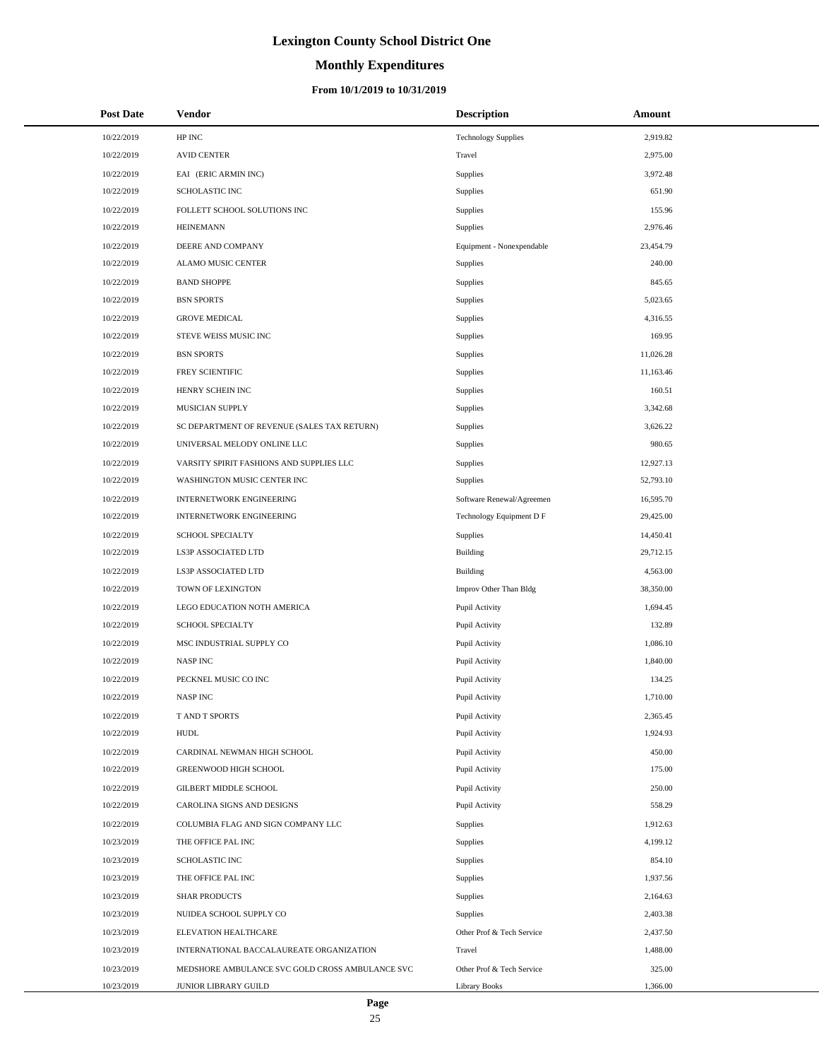# **Monthly Expenditures**

#### **From 10/1/2019 to 10/31/2019**

| <b>Post Date</b> | <b>Vendor</b>                                   | <b>Description</b>         | Amount    |
|------------------|-------------------------------------------------|----------------------------|-----------|
| 10/22/2019       | HP INC                                          | <b>Technology Supplies</b> | 2,919.82  |
| 10/22/2019       | <b>AVID CENTER</b>                              | Travel                     | 2,975.00  |
| 10/22/2019       | EAI (ERIC ARMIN INC)                            | Supplies                   | 3,972.48  |
| 10/22/2019       | SCHOLASTIC INC                                  | Supplies                   | 651.90    |
| 10/22/2019       | FOLLETT SCHOOL SOLUTIONS INC                    | Supplies                   | 155.96    |
| 10/22/2019       | <b>HEINEMANN</b>                                | Supplies                   | 2,976.46  |
| 10/22/2019       | DEERE AND COMPANY                               | Equipment - Nonexpendable  | 23,454.79 |
| 10/22/2019       | ALAMO MUSIC CENTER                              | Supplies                   | 240.00    |
| 10/22/2019       | <b>BAND SHOPPE</b>                              | Supplies                   | 845.65    |
| 10/22/2019       | <b>BSN SPORTS</b>                               | Supplies                   | 5,023.65  |
| 10/22/2019       | <b>GROVE MEDICAL</b>                            | Supplies                   | 4,316.55  |
| 10/22/2019       | STEVE WEISS MUSIC INC                           | Supplies                   | 169.95    |
| 10/22/2019       | <b>BSN SPORTS</b>                               | Supplies                   | 11,026.28 |
| 10/22/2019       | FREY SCIENTIFIC                                 | Supplies                   | 11,163.46 |
| 10/22/2019       | HENRY SCHEIN INC                                | Supplies                   | 160.51    |
| 10/22/2019       | MUSICIAN SUPPLY                                 | Supplies                   | 3,342.68  |
| 10/22/2019       | SC DEPARTMENT OF REVENUE (SALES TAX RETURN)     | Supplies                   | 3,626.22  |
| 10/22/2019       | UNIVERSAL MELODY ONLINE LLC                     | Supplies                   | 980.65    |
| 10/22/2019       | VARSITY SPIRIT FASHIONS AND SUPPLIES LLC        | Supplies                   | 12,927.13 |
| 10/22/2019       | WASHINGTON MUSIC CENTER INC                     | Supplies                   | 52,793.10 |
| 10/22/2019       | <b>INTERNETWORK ENGINEERING</b>                 | Software Renewal/Agreemen  | 16,595.70 |
| 10/22/2019       | <b>INTERNETWORK ENGINEERING</b>                 | Technology Equipment D F   | 29,425.00 |
| 10/22/2019       | SCHOOL SPECIALTY                                | Supplies                   | 14,450.41 |
| 10/22/2019       | LS3P ASSOCIATED LTD                             | <b>Building</b>            | 29,712.15 |
| 10/22/2019       | LS3P ASSOCIATED LTD                             | Building                   | 4,563.00  |
| 10/22/2019       | TOWN OF LEXINGTON                               | Improv Other Than Bldg     | 38,350.00 |
| 10/22/2019       | LEGO EDUCATION NOTH AMERICA                     | Pupil Activity             | 1,694.45  |
| 10/22/2019       | SCHOOL SPECIALTY                                | Pupil Activity             | 132.89    |
| 10/22/2019       | MSC INDUSTRIAL SUPPLY CO                        | Pupil Activity             | 1,086.10  |
| 10/22/2019       | <b>NASPINC</b>                                  | Pupil Activity             | 1,840.00  |
| 10/22/2019       | PECKNEL MUSIC CO INC                            | Pupil Activity             | 134.25    |
| 10/22/2019       | <b>NASPINC</b>                                  | Pupil Activity             | 1,710.00  |
| 10/22/2019       | T AND T SPORTS                                  | Pupil Activity             | 2,365.45  |
| 10/22/2019       | <b>HUDL</b>                                     | Pupil Activity             | 1,924.93  |
| 10/22/2019       | CARDINAL NEWMAN HIGH SCHOOL                     | Pupil Activity             | 450.00    |
| 10/22/2019       | GREENWOOD HIGH SCHOOL                           | Pupil Activity             | 175.00    |
| 10/22/2019       | <b>GILBERT MIDDLE SCHOOL</b>                    | Pupil Activity             | 250.00    |
| 10/22/2019       | CAROLINA SIGNS AND DESIGNS                      | Pupil Activity             | 558.29    |
| 10/22/2019       | COLUMBIA FLAG AND SIGN COMPANY LLC              | <b>Supplies</b>            | 1,912.63  |
| 10/23/2019       | THE OFFICE PAL INC                              | Supplies                   | 4,199.12  |
| 10/23/2019       | SCHOLASTIC INC                                  | Supplies                   | 854.10    |
| 10/23/2019       | THE OFFICE PAL INC                              | Supplies                   | 1,937.56  |
| 10/23/2019       | <b>SHAR PRODUCTS</b>                            | Supplies                   | 2,164.63  |
| 10/23/2019       | NUIDEA SCHOOL SUPPLY CO                         | Supplies                   | 2,403.38  |
| 10/23/2019       | ELEVATION HEALTHCARE                            | Other Prof & Tech Service  | 2,437.50  |
| 10/23/2019       | INTERNATIONAL BACCALAUREATE ORGANIZATION        | Travel                     | 1,488.00  |
| 10/23/2019       | MEDSHORE AMBULANCE SVC GOLD CROSS AMBULANCE SVC | Other Prof & Tech Service  | 325.00    |
| 10/23/2019       | JUNIOR LIBRARY GUILD                            | <b>Library Books</b>       | 1,366.00  |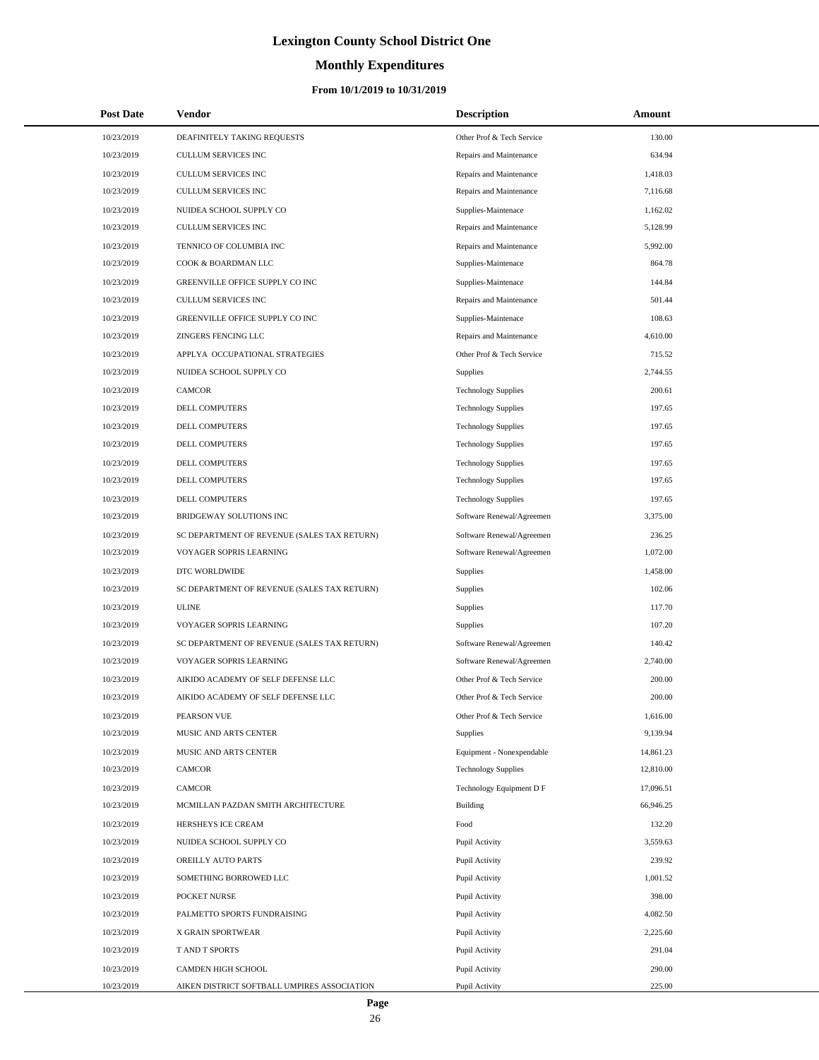# **Monthly Expenditures**

### **From 10/1/2019 to 10/31/2019**

| <b>Post Date</b> | Vendor                                      | <b>Description</b>         | Amount    |  |
|------------------|---------------------------------------------|----------------------------|-----------|--|
| 10/23/2019       | DEAFINITELY TAKING REQUESTS                 | Other Prof & Tech Service  | 130.00    |  |
| 10/23/2019       | CULLUM SERVICES INC                         | Repairs and Maintenance    | 634.94    |  |
| 10/23/2019       | CULLUM SERVICES INC                         | Repairs and Maintenance    | 1,418.03  |  |
| 10/23/2019       | CULLUM SERVICES INC                         | Repairs and Maintenance    | 7,116.68  |  |
| 10/23/2019       | NUIDEA SCHOOL SUPPLY CO                     | Supplies-Maintenace        | 1,162.02  |  |
| 10/23/2019       | CULLUM SERVICES INC                         | Repairs and Maintenance    | 5,128.99  |  |
| 10/23/2019       | TENNICO OF COLUMBIA INC                     | Repairs and Maintenance    | 5,992.00  |  |
| 10/23/2019       | COOK & BOARDMAN LLC                         | Supplies-Maintenace        | 864.78    |  |
| 10/23/2019       | GREENVILLE OFFICE SUPPLY CO INC             | Supplies-Maintenace        | 144.84    |  |
| 10/23/2019       | <b>CULLUM SERVICES INC</b>                  | Repairs and Maintenance    | 501.44    |  |
| 10/23/2019       | GREENVILLE OFFICE SUPPLY CO INC             | Supplies-Maintenace        | 108.63    |  |
| 10/23/2019       | ZINGERS FENCING LLC                         | Repairs and Maintenance    | 4,610.00  |  |
| 10/23/2019       | APPLYA OCCUPATIONAL STRATEGIES              | Other Prof & Tech Service  | 715.52    |  |
| 10/23/2019       | NUIDEA SCHOOL SUPPLY CO                     | <b>Supplies</b>            | 2,744.55  |  |
| 10/23/2019       | <b>CAMCOR</b>                               | <b>Technology Supplies</b> | 200.61    |  |
| 10/23/2019       | DELL COMPUTERS                              | <b>Technology Supplies</b> | 197.65    |  |
| 10/23/2019       | DELL COMPUTERS                              | <b>Technology Supplies</b> | 197.65    |  |
| 10/23/2019       | DELL COMPUTERS                              | <b>Technology Supplies</b> | 197.65    |  |
| 10/23/2019       | <b>DELL COMPUTERS</b>                       | <b>Technology Supplies</b> | 197.65    |  |
| 10/23/2019       | <b>DELL COMPUTERS</b>                       | <b>Technology Supplies</b> | 197.65    |  |
| 10/23/2019       | DELL COMPUTERS                              | <b>Technology Supplies</b> | 197.65    |  |
| 10/23/2019       | BRIDGEWAY SOLUTIONS INC                     | Software Renewal/Agreemen  | 3,375.00  |  |
| 10/23/2019       | SC DEPARTMENT OF REVENUE (SALES TAX RETURN) | Software Renewal/Agreemen  | 236.25    |  |
| 10/23/2019       | VOYAGER SOPRIS LEARNING                     | Software Renewal/Agreemen  | 1,072.00  |  |
| 10/23/2019       | DTC WORLDWIDE                               | <b>Supplies</b>            | 1,458.00  |  |
| 10/23/2019       | SC DEPARTMENT OF REVENUE (SALES TAX RETURN) | <b>Supplies</b>            | 102.06    |  |
| 10/23/2019       | <b>ULINE</b>                                | Supplies                   | 117.70    |  |
| 10/23/2019       | VOYAGER SOPRIS LEARNING                     | <b>Supplies</b>            | 107.20    |  |
| 10/23/2019       | SC DEPARTMENT OF REVENUE (SALES TAX RETURN) | Software Renewal/Agreemen  | 140.42    |  |
| 10/23/2019       | VOYAGER SOPRIS LEARNING                     | Software Renewal/Agreemen  | 2,740.00  |  |
| 10/23/2019       | AIKIDO ACADEMY OF SELF DEFENSE LLC          | Other Prof & Tech Service  | 200.00    |  |
| 10/23/2019       | AIKIDO ACADEMY OF SELF DEFENSE LLC          | Other Prof & Tech Service  | 200.00    |  |
| 10/23/2019       | PEARSON VUE                                 | Other Prof & Tech Service  | 1,616.00  |  |
| 10/23/2019       | MUSIC AND ARTS CENTER                       | Supplies                   | 9,139.94  |  |
| 10/23/2019       | MUSIC AND ARTS CENTER                       | Equipment - Nonexpendable  | 14,861.23 |  |
| 10/23/2019       | CAMCOR                                      | <b>Technology Supplies</b> | 12,810.00 |  |
| 10/23/2019       | <b>CAMCOR</b>                               | Technology Equipment D F   | 17,096.51 |  |
| 10/23/2019       | MCMILLAN PAZDAN SMITH ARCHITECTURE          | Building                   | 66,946.25 |  |
| 10/23/2019       | HERSHEYS ICE CREAM                          | Food                       | 132.20    |  |
| 10/23/2019       | NUIDEA SCHOOL SUPPLY CO                     | Pupil Activity             | 3,559.63  |  |
| 10/23/2019       | OREILLY AUTO PARTS                          | Pupil Activity             | 239.92    |  |
| 10/23/2019       | SOMETHING BORROWED LLC                      | Pupil Activity             | 1,001.52  |  |
| 10/23/2019       | POCKET NURSE                                | Pupil Activity             | 398.00    |  |
| 10/23/2019       | PALMETTO SPORTS FUNDRAISING                 | Pupil Activity             | 4,082.50  |  |
| 10/23/2019       | X GRAIN SPORTWEAR                           | Pupil Activity             | 2,225.60  |  |
| 10/23/2019       | T AND T SPORTS                              | Pupil Activity             | 291.04    |  |
| 10/23/2019       | CAMDEN HIGH SCHOOL                          | Pupil Activity             | 290.00    |  |
| 10/23/2019       | AIKEN DISTRICT SOFTBALL UMPIRES ASSOCIATION | Pupil Activity             | 225.00    |  |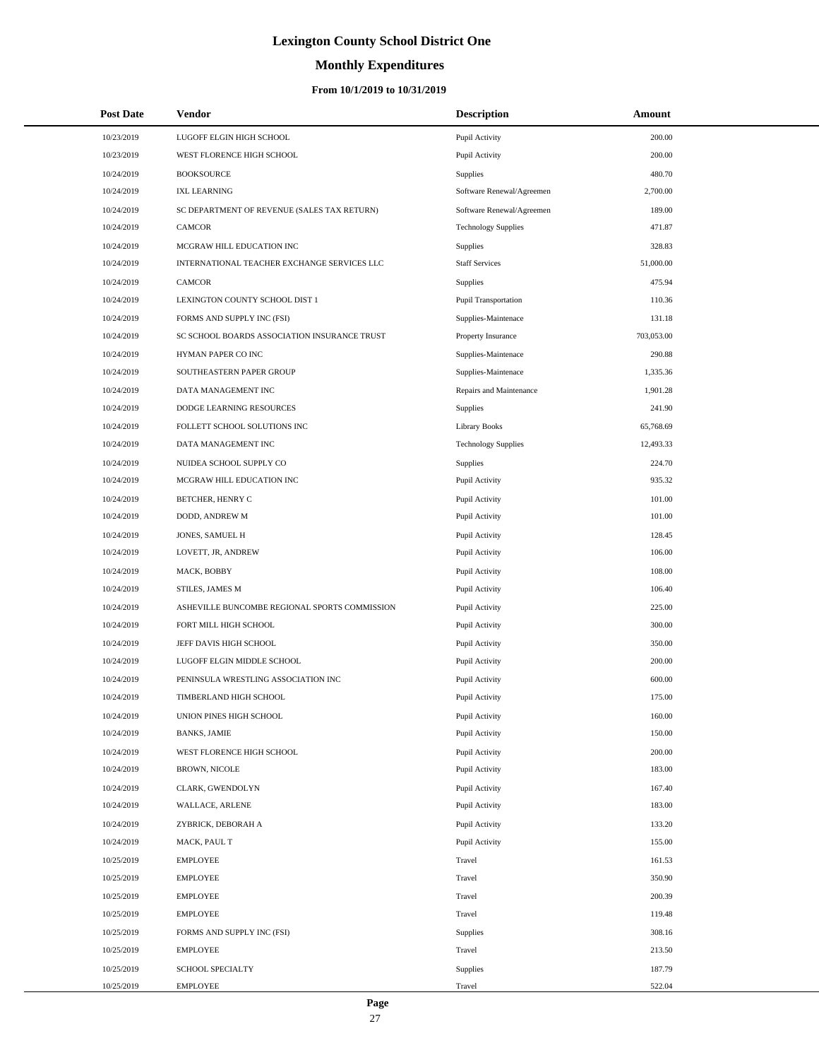# **Monthly Expenditures**

#### **From 10/1/2019 to 10/31/2019**

| <b>Post Date</b> | <b>Vendor</b>                                 | <b>Description</b>          | Amount     |
|------------------|-----------------------------------------------|-----------------------------|------------|
| 10/23/2019       | LUGOFF ELGIN HIGH SCHOOL                      | Pupil Activity              | 200.00     |
| 10/23/2019       | WEST FLORENCE HIGH SCHOOL                     | Pupil Activity              | 200.00     |
| 10/24/2019       | <b>BOOKSOURCE</b>                             | <b>Supplies</b>             | 480.70     |
| 10/24/2019       | <b>IXL LEARNING</b>                           | Software Renewal/Agreemen   | 2,700.00   |
| 10/24/2019       | SC DEPARTMENT OF REVENUE (SALES TAX RETURN)   | Software Renewal/Agreemen   | 189.00     |
| 10/24/2019       | CAMCOR                                        | <b>Technology Supplies</b>  | 471.87     |
| 10/24/2019       | MCGRAW HILL EDUCATION INC                     | Supplies                    | 328.83     |
| 10/24/2019       | INTERNATIONAL TEACHER EXCHANGE SERVICES LLC   | <b>Staff Services</b>       | 51,000.00  |
| 10/24/2019       | CAMCOR                                        | Supplies                    | 475.94     |
| 10/24/2019       | LEXINGTON COUNTY SCHOOL DIST 1                | <b>Pupil Transportation</b> | 110.36     |
| 10/24/2019       | FORMS AND SUPPLY INC (FSI)                    | Supplies-Maintenace         | 131.18     |
| 10/24/2019       | SC SCHOOL BOARDS ASSOCIATION INSURANCE TRUST  | Property Insurance          | 703,053.00 |
| 10/24/2019       | HYMAN PAPER CO INC                            | Supplies-Maintenace         | 290.88     |
| 10/24/2019       | SOUTHEASTERN PAPER GROUP                      | Supplies-Maintenace         | 1,335.36   |
| 10/24/2019       | DATA MANAGEMENT INC                           | Repairs and Maintenance     | 1,901.28   |
| 10/24/2019       | DODGE LEARNING RESOURCES                      | Supplies                    | 241.90     |
| 10/24/2019       | FOLLETT SCHOOL SOLUTIONS INC                  | <b>Library Books</b>        | 65,768.69  |
| 10/24/2019       | DATA MANAGEMENT INC                           | <b>Technology Supplies</b>  | 12,493.33  |
| 10/24/2019       | NUIDEA SCHOOL SUPPLY CO                       | <b>Supplies</b>             | 224.70     |
| 10/24/2019       | MCGRAW HILL EDUCATION INC                     | Pupil Activity              | 935.32     |
| 10/24/2019       | BETCHER, HENRY C                              | Pupil Activity              | 101.00     |
| 10/24/2019       | DODD, ANDREW M                                | Pupil Activity              | 101.00     |
| 10/24/2019       | JONES, SAMUEL H                               | Pupil Activity              | 128.45     |
| 10/24/2019       | LOVETT, JR, ANDREW                            | Pupil Activity              | 106.00     |
| 10/24/2019       | MACK, BOBBY                                   | Pupil Activity              | 108.00     |
| 10/24/2019       | STILES, JAMES M                               | Pupil Activity              | 106.40     |
| 10/24/2019       | ASHEVILLE BUNCOMBE REGIONAL SPORTS COMMISSION | Pupil Activity              | 225.00     |
| 10/24/2019       | FORT MILL HIGH SCHOOL                         | Pupil Activity              | 300.00     |
| 10/24/2019       | JEFF DAVIS HIGH SCHOOL                        | Pupil Activity              | 350.00     |
| 10/24/2019       | LUGOFF ELGIN MIDDLE SCHOOL                    | Pupil Activity              | 200.00     |
| 10/24/2019       | PENINSULA WRESTLING ASSOCIATION INC           | Pupil Activity              | 600.00     |
| 10/24/2019       | TIMBERLAND HIGH SCHOOL                        | Pupil Activity              | 175.00     |
| 10/24/2019       | UNION PINES HIGH SCHOOL                       | Pupil Activity              | 160.00     |
| 10/24/2019       | <b>BANKS, JAMIE</b>                           | Pupil Activity              | 150.00     |
| 10/24/2019       | WEST FLORENCE HIGH SCHOOL                     | Pupil Activity              | 200.00     |
| 10/24/2019       | BROWN, NICOLE                                 | Pupil Activity              | 183.00     |
| 10/24/2019       | CLARK, GWENDOLYN                              | Pupil Activity              | 167.40     |
| 10/24/2019       | WALLACE, ARLENE                               | Pupil Activity              | 183.00     |
| 10/24/2019       | ZYBRICK, DEBORAH A                            | Pupil Activity              | 133.20     |
| 10/24/2019       | MACK, PAUL T                                  | Pupil Activity              | 155.00     |
| 10/25/2019       | <b>EMPLOYEE</b>                               | Travel                      | 161.53     |
| 10/25/2019       | EMPLOYEE                                      | Travel                      | 350.90     |
| 10/25/2019       | <b>EMPLOYEE</b>                               | Travel                      | 200.39     |
| 10/25/2019       | <b>EMPLOYEE</b>                               | Travel                      | 119.48     |
| 10/25/2019       | FORMS AND SUPPLY INC (FSI)                    | Supplies                    | 308.16     |
| 10/25/2019       | <b>EMPLOYEE</b>                               | Travel                      | 213.50     |
| 10/25/2019       | SCHOOL SPECIALTY                              | Supplies                    | 187.79     |
| 10/25/2019       | <b>EMPLOYEE</b>                               | Travel                      | 522.04     |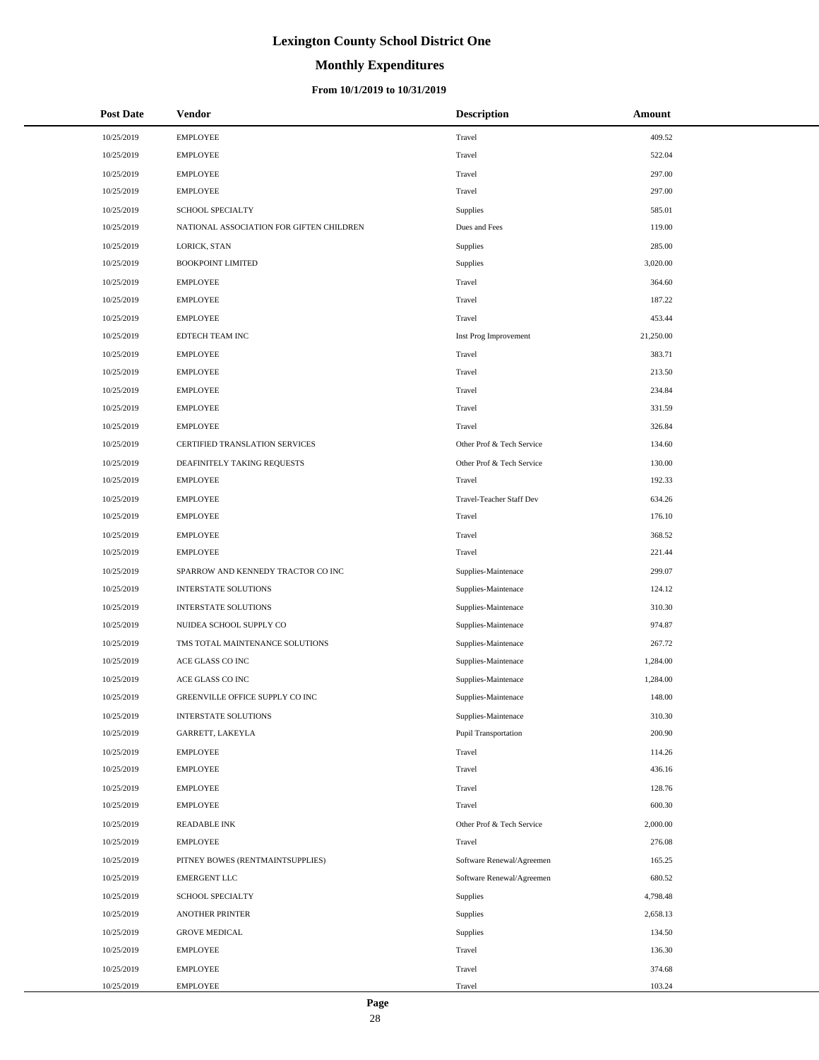# **Monthly Expenditures**

| <b>Post Date</b> | Vendor                                   | <b>Description</b>        | Amount    |
|------------------|------------------------------------------|---------------------------|-----------|
| 10/25/2019       | <b>EMPLOYEE</b>                          | Travel                    | 409.52    |
| 10/25/2019       | <b>EMPLOYEE</b>                          | Travel                    | 522.04    |
| 10/25/2019       | <b>EMPLOYEE</b>                          | Travel                    | 297.00    |
| 10/25/2019       | <b>EMPLOYEE</b>                          | Travel                    | 297.00    |
| 10/25/2019       | <b>SCHOOL SPECIALTY</b>                  | Supplies                  | 585.01    |
| 10/25/2019       | NATIONAL ASSOCIATION FOR GIFTEN CHILDREN | Dues and Fees             | 119.00    |
| 10/25/2019       | LORICK, STAN                             | Supplies                  | 285.00    |
| 10/25/2019       | <b>BOOKPOINT LIMITED</b>                 | Supplies                  | 3,020.00  |
| 10/25/2019       | <b>EMPLOYEE</b>                          | Travel                    | 364.60    |
| 10/25/2019       | <b>EMPLOYEE</b>                          | Travel                    | 187.22    |
| 10/25/2019       | <b>EMPLOYEE</b>                          | Travel                    | 453.44    |
| 10/25/2019       | EDTECH TEAM INC                          | Inst Prog Improvement     | 21,250.00 |
| 10/25/2019       | <b>EMPLOYEE</b>                          | Travel                    | 383.71    |
| 10/25/2019       | <b>EMPLOYEE</b>                          | Travel                    | 213.50    |
| 10/25/2019       | <b>EMPLOYEE</b>                          | Travel                    | 234.84    |
| 10/25/2019       | <b>EMPLOYEE</b>                          | Travel                    | 331.59    |
| 10/25/2019       | <b>EMPLOYEE</b>                          | Travel                    | 326.84    |
| 10/25/2019       | CERTIFIED TRANSLATION SERVICES           | Other Prof & Tech Service | 134.60    |
| 10/25/2019       | DEAFINITELY TAKING REQUESTS              | Other Prof & Tech Service | 130.00    |
| 10/25/2019       | <b>EMPLOYEE</b>                          | Travel                    | 192.33    |
| 10/25/2019       | <b>EMPLOYEE</b>                          | Travel-Teacher Staff Dev  | 634.26    |
| 10/25/2019       | <b>EMPLOYEE</b>                          | Travel                    | 176.10    |
| 10/25/2019       | <b>EMPLOYEE</b>                          | Travel                    | 368.52    |
| 10/25/2019       | <b>EMPLOYEE</b>                          | Travel                    | 221.44    |
| 10/25/2019       | SPARROW AND KENNEDY TRACTOR CO INC       | Supplies-Maintenace       | 299.07    |
| 10/25/2019       | <b>INTERSTATE SOLUTIONS</b>              | Supplies-Maintenace       | 124.12    |
| 10/25/2019       | <b>INTERSTATE SOLUTIONS</b>              | Supplies-Maintenace       | 310.30    |
| 10/25/2019       | NUIDEA SCHOOL SUPPLY CO                  | Supplies-Maintenace       | 974.87    |
| 10/25/2019       | TMS TOTAL MAINTENANCE SOLUTIONS          | Supplies-Maintenace       | 267.72    |
| 10/25/2019       | ACE GLASS CO INC                         | Supplies-Maintenace       | 1,284.00  |
| 10/25/2019       | ACE GLASS CO INC                         | Supplies-Maintenace       | 1,284.00  |
| 10/25/2019       | GREENVILLE OFFICE SUPPLY CO INC          | Supplies-Maintenace       | 148.00    |
| 10/25/2019       | INTERSTATE SOLUTIONS                     | Supplies-Maintenace       | 310.30    |
| 10/25/2019       | GARRETT, LAKEYLA                         | Pupil Transportation      | 200.90    |
| 10/25/2019       | <b>EMPLOYEE</b>                          | Travel                    | 114.26    |
| 10/25/2019       | <b>EMPLOYEE</b>                          | Travel                    | 436.16    |
| 10/25/2019       | <b>EMPLOYEE</b>                          | Travel                    | 128.76    |
| 10/25/2019       | <b>EMPLOYEE</b>                          | Travel                    | 600.30    |
| 10/25/2019       | <b>READABLE INK</b>                      | Other Prof & Tech Service | 2,000.00  |
| 10/25/2019       | <b>EMPLOYEE</b>                          | Travel                    | 276.08    |
| 10/25/2019       | PITNEY BOWES (RENTMAINTSUPPLIES)         | Software Renewal/Agreemen | 165.25    |
| 10/25/2019       | <b>EMERGENT LLC</b>                      | Software Renewal/Agreemen | 680.52    |
| 10/25/2019       | SCHOOL SPECIALTY                         | Supplies                  | 4,798.48  |
| 10/25/2019       | <b>ANOTHER PRINTER</b>                   | Supplies                  | 2,658.13  |
| 10/25/2019       | <b>GROVE MEDICAL</b>                     | Supplies                  | 134.50    |
| 10/25/2019       | <b>EMPLOYEE</b>                          | Travel                    | 136.30    |
| 10/25/2019       | <b>EMPLOYEE</b>                          | Travel                    | 374.68    |
| 10/25/2019       | <b>EMPLOYEE</b>                          | Travel                    | 103.24    |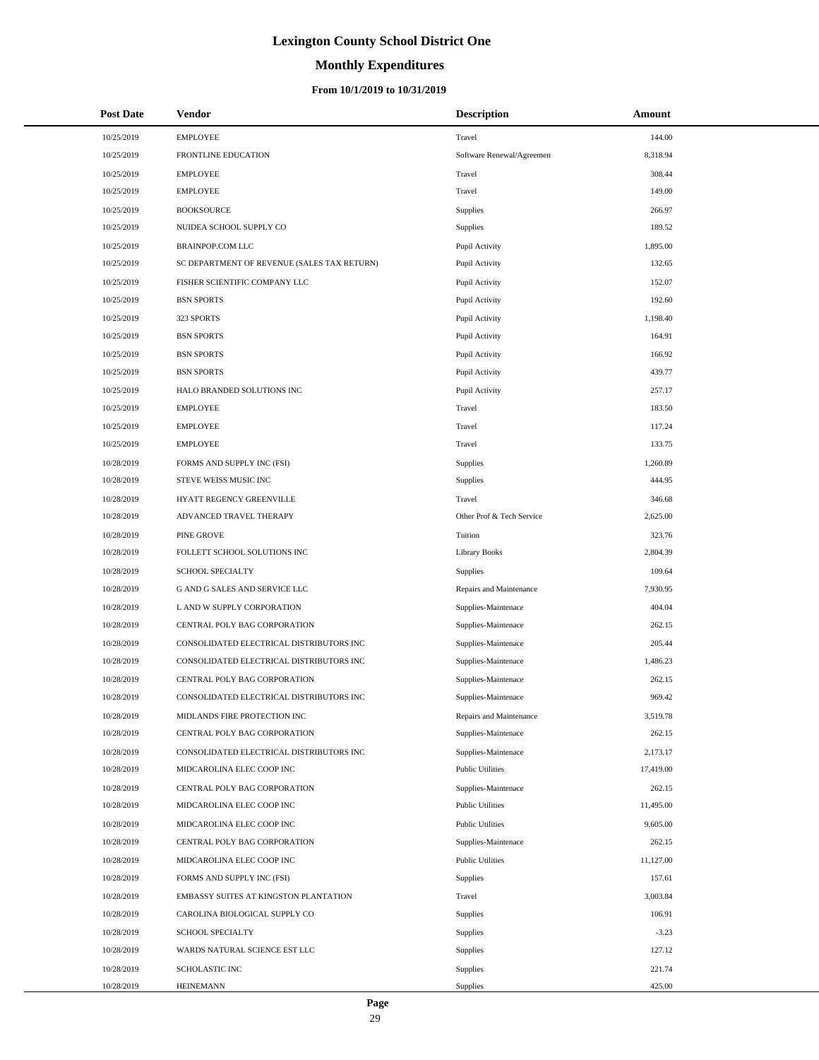# **Monthly Expenditures**

| <b>Post Date</b> | <b>Vendor</b>                               | <b>Description</b>        | Amount    |
|------------------|---------------------------------------------|---------------------------|-----------|
| 10/25/2019       | <b>EMPLOYEE</b>                             | Travel                    | 144.00    |
| 10/25/2019       | FRONTLINE EDUCATION                         | Software Renewal/Agreemen | 8,318.94  |
| 10/25/2019       | <b>EMPLOYEE</b>                             | Travel                    | 308.44    |
| 10/25/2019       | <b>EMPLOYEE</b>                             | Travel                    | 149.00    |
| 10/25/2019       | <b>BOOKSOURCE</b>                           | Supplies                  | 266.97    |
| 10/25/2019       | NUIDEA SCHOOL SUPPLY CO                     | Supplies                  | 189.52    |
| 10/25/2019       | BRAINPOP.COM LLC                            | Pupil Activity            | 1,895.00  |
| 10/25/2019       | SC DEPARTMENT OF REVENUE (SALES TAX RETURN) | Pupil Activity            | 132.65    |
| 10/25/2019       | FISHER SCIENTIFIC COMPANY LLC               | Pupil Activity            | 152.07    |
| 10/25/2019       | <b>BSN SPORTS</b>                           | Pupil Activity            | 192.60    |
| 10/25/2019       | 323 SPORTS                                  | Pupil Activity            | 1,198.40  |
| 10/25/2019       | <b>BSN SPORTS</b>                           | Pupil Activity            | 164.91    |
| 10/25/2019       | <b>BSN SPORTS</b>                           | Pupil Activity            | 166.92    |
| 10/25/2019       | <b>BSN SPORTS</b>                           | Pupil Activity            | 439.77    |
| 10/25/2019       | HALO BRANDED SOLUTIONS INC                  | Pupil Activity            | 257.17    |
| 10/25/2019       | <b>EMPLOYEE</b>                             | Travel                    | 183.50    |
| 10/25/2019       | <b>EMPLOYEE</b>                             | Travel                    | 117.24    |
| 10/25/2019       | <b>EMPLOYEE</b>                             | Travel                    | 133.75    |
| 10/28/2019       | FORMS AND SUPPLY INC (FSI)                  | Supplies                  | 1,260.89  |
| 10/28/2019       | STEVE WEISS MUSIC INC                       | Supplies                  | 444.95    |
| 10/28/2019       | HYATT REGENCY GREENVILLE                    | Travel                    | 346.68    |
| 10/28/2019       | ADVANCED TRAVEL THERAPY                     | Other Prof & Tech Service | 2,625.00  |
| 10/28/2019       | PINE GROVE                                  | Tuition                   | 323.76    |
| 10/28/2019       | FOLLETT SCHOOL SOLUTIONS INC                | <b>Library Books</b>      | 2,804.39  |
| 10/28/2019       | SCHOOL SPECIALTY                            | Supplies                  | 109.64    |
| 10/28/2019       | G AND G SALES AND SERVICE LLC               | Repairs and Maintenance   | 7,930.95  |
| 10/28/2019       | L AND W SUPPLY CORPORATION                  | Supplies-Maintenace       | 404.04    |
| 10/28/2019       | CENTRAL POLY BAG CORPORATION                | Supplies-Maintenace       | 262.15    |
| 10/28/2019       | CONSOLIDATED ELECTRICAL DISTRIBUTORS INC    | Supplies-Maintenace       | 205.44    |
| 10/28/2019       | CONSOLIDATED ELECTRICAL DISTRIBUTORS INC    | Supplies-Maintenace       | 1,486.23  |
| 10/28/2019       | CENTRAL POLY BAG CORPORATION                | Supplies-Maintenace       | 262.15    |
| 10/28/2019       | CONSOLIDATED ELECTRICAL DISTRIBUTORS INC    | Supplies-Maintenace       | 969.42    |
| 10/28/2019       | MIDLANDS FIRE PROTECTION INC                | Repairs and Maintenance   | 3,519.78  |
| 10/28/2019       | CENTRAL POLY BAG CORPORATION                | Supplies-Maintenace       | 262.15    |
| 10/28/2019       | CONSOLIDATED ELECTRICAL DISTRIBUTORS INC    | Supplies-Maintenace       | 2,173.17  |
| 10/28/2019       | MIDCAROLINA ELEC COOP INC                   | <b>Public Utilities</b>   | 17,419.00 |
| 10/28/2019       | CENTRAL POLY BAG CORPORATION                | Supplies-Maintenace       | 262.15    |
| 10/28/2019       | MIDCAROLINA ELEC COOP INC                   | <b>Public Utilities</b>   | 11,495.00 |
| 10/28/2019       | MIDCAROLINA ELEC COOP INC                   | <b>Public Utilities</b>   | 9,605.00  |
| 10/28/2019       | CENTRAL POLY BAG CORPORATION                | Supplies-Maintenace       | 262.15    |
| 10/28/2019       | MIDCAROLINA ELEC COOP INC                   | <b>Public Utilities</b>   | 11,127.00 |
| 10/28/2019       | FORMS AND SUPPLY INC (FSI)                  | Supplies                  | 157.61    |
| 10/28/2019       | EMBASSY SUITES AT KINGSTON PLANTATION       | Travel                    | 3,003.84  |
| 10/28/2019       | CAROLINA BIOLOGICAL SUPPLY CO               | Supplies                  | 106.91    |
| 10/28/2019       | SCHOOL SPECIALTY                            | Supplies                  | $-3.23$   |
| 10/28/2019       | WARDS NATURAL SCIENCE EST LLC               | Supplies                  | 127.12    |
| 10/28/2019       | <b>SCHOLASTIC INC</b>                       | Supplies                  | 221.74    |
| 10/28/2019       | <b>HEINEMANN</b>                            | Supplies                  | 425.00    |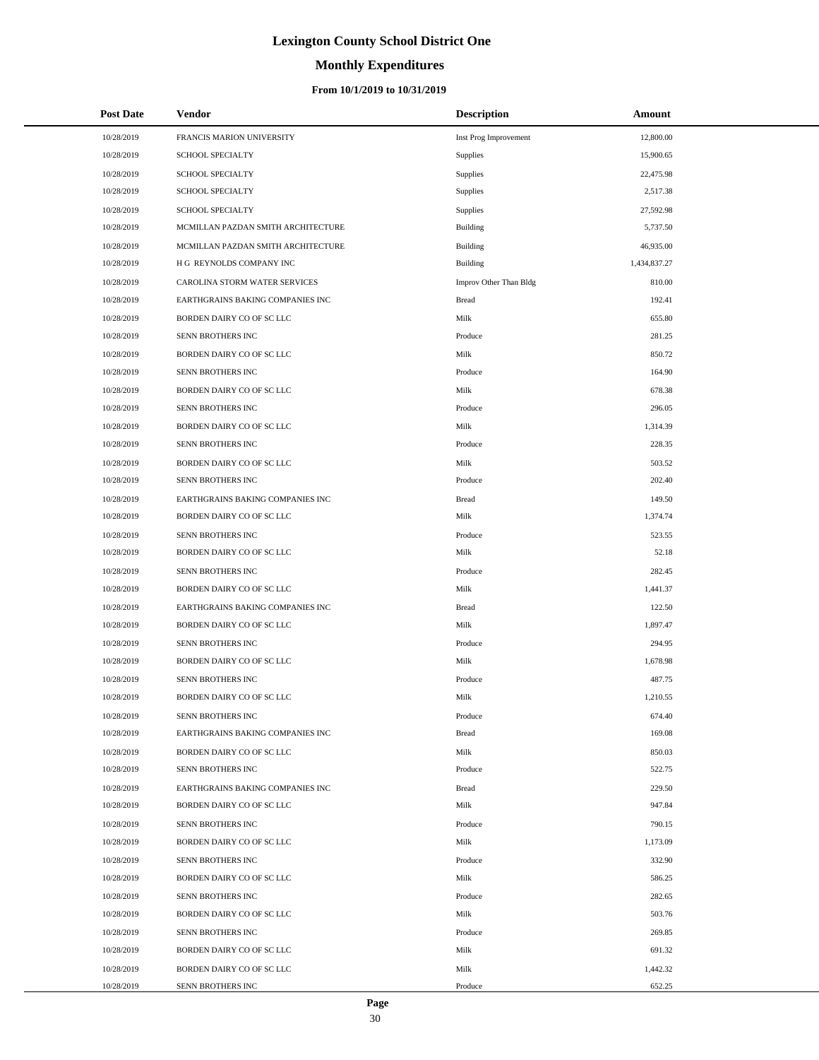# **Monthly Expenditures**

### **From 10/1/2019 to 10/31/2019**

| <b>Post Date</b> | Vendor                             | <b>Description</b>     | Amount       |
|------------------|------------------------------------|------------------------|--------------|
| 10/28/2019       | FRANCIS MARION UNIVERSITY          | Inst Prog Improvement  | 12,800.00    |
| 10/28/2019       | <b>SCHOOL SPECIALTY</b>            | Supplies               | 15,900.65    |
| 10/28/2019       | SCHOOL SPECIALTY                   | Supplies               | 22,475.98    |
| 10/28/2019       | <b>SCHOOL SPECIALTY</b>            | Supplies               | 2,517.38     |
| 10/28/2019       | <b>SCHOOL SPECIALTY</b>            | Supplies               | 27,592.98    |
| 10/28/2019       | MCMILLAN PAZDAN SMITH ARCHITECTURE | Building               | 5,737.50     |
| 10/28/2019       | MCMILLAN PAZDAN SMITH ARCHITECTURE | Building               | 46,935.00    |
| 10/28/2019       | H G REYNOLDS COMPANY INC           | <b>Building</b>        | 1,434,837.27 |
| 10/28/2019       | CAROLINA STORM WATER SERVICES      | Improv Other Than Bldg | 810.00       |
| 10/28/2019       | EARTHGRAINS BAKING COMPANIES INC   | <b>Bread</b>           | 192.41       |
| 10/28/2019       | BORDEN DAIRY CO OF SC LLC          | Milk                   | 655.80       |
| 10/28/2019       | SENN BROTHERS INC                  | Produce                | 281.25       |
| 10/28/2019       | BORDEN DAIRY CO OF SC LLC          | Milk                   | 850.72       |
| 10/28/2019       | SENN BROTHERS INC                  | Produce                | 164.90       |
| 10/28/2019       | BORDEN DAIRY CO OF SC LLC          | Milk                   | 678.38       |
| 10/28/2019       | SENN BROTHERS INC                  | Produce                | 296.05       |
| 10/28/2019       | BORDEN DAIRY CO OF SC LLC          | Milk                   | 1,314.39     |
| 10/28/2019       | SENN BROTHERS INC                  | Produce                | 228.35       |
| 10/28/2019       | BORDEN DAIRY CO OF SC LLC          | Milk                   | 503.52       |
| 10/28/2019       | SENN BROTHERS INC                  | Produce                | 202.40       |
| 10/28/2019       | EARTHGRAINS BAKING COMPANIES INC   | <b>Bread</b>           | 149.50       |
| 10/28/2019       | BORDEN DAIRY CO OF SC LLC          | Milk                   | 1,374.74     |
| 10/28/2019       | SENN BROTHERS INC                  | Produce                | 523.55       |
| 10/28/2019       | BORDEN DAIRY CO OF SC LLC          | Milk                   | 52.18        |
| 10/28/2019       | SENN BROTHERS INC                  | Produce                | 282.45       |
| 10/28/2019       | BORDEN DAIRY CO OF SC LLC          | Milk                   | 1,441.37     |
| 10/28/2019       | EARTHGRAINS BAKING COMPANIES INC   | <b>Bread</b>           | 122.50       |
| 10/28/2019       | BORDEN DAIRY CO OF SC LLC          | Milk                   | 1,897.47     |
| 10/28/2019       | SENN BROTHERS INC                  | Produce                | 294.95       |
| 10/28/2019       | BORDEN DAIRY CO OF SC LLC          | Milk                   | 1,678.98     |
| 10/28/2019       | SENN BROTHERS INC                  | Produce                | 487.75       |
| 10/28/2019       | BORDEN DAIRY CO OF SC LLC          | Milk                   | 1,210.55     |
| 10/28/2019       | SENN BROTHERS INC                  | Produce                | 674.40       |
| 10/28/2019       | EARTHGRAINS BAKING COMPANIES INC   | <b>Bread</b>           | 169.08       |
| 10/28/2019       | BORDEN DAIRY CO OF SC LLC          | Milk                   | 850.03       |
| 10/28/2019       | SENN BROTHERS INC                  | Produce                | 522.75       |
| 10/28/2019       | EARTHGRAINS BAKING COMPANIES INC   | <b>Bread</b>           | 229.50       |
| 10/28/2019       | BORDEN DAIRY CO OF SC LLC          | Milk                   | 947.84       |
| 10/28/2019       | SENN BROTHERS INC                  | Produce                | 790.15       |
| 10/28/2019       | BORDEN DAIRY CO OF SC LLC          | Milk                   | 1,173.09     |
| 10/28/2019       | SENN BROTHERS INC                  | Produce                | 332.90       |
| 10/28/2019       | BORDEN DAIRY CO OF SC LLC          | Milk                   | 586.25       |
| 10/28/2019       | SENN BROTHERS INC                  | Produce                | 282.65       |
| 10/28/2019       | BORDEN DAIRY CO OF SC LLC          | Milk                   | 503.76       |
| 10/28/2019       | SENN BROTHERS INC                  | Produce                | 269.85       |
| 10/28/2019       | BORDEN DAIRY CO OF SC LLC          | Milk                   | 691.32       |
| 10/28/2019       | BORDEN DAIRY CO OF SC LLC          | Milk                   | 1,442.32     |
| 10/28/2019       | SENN BROTHERS INC                  | Produce                | 652.25       |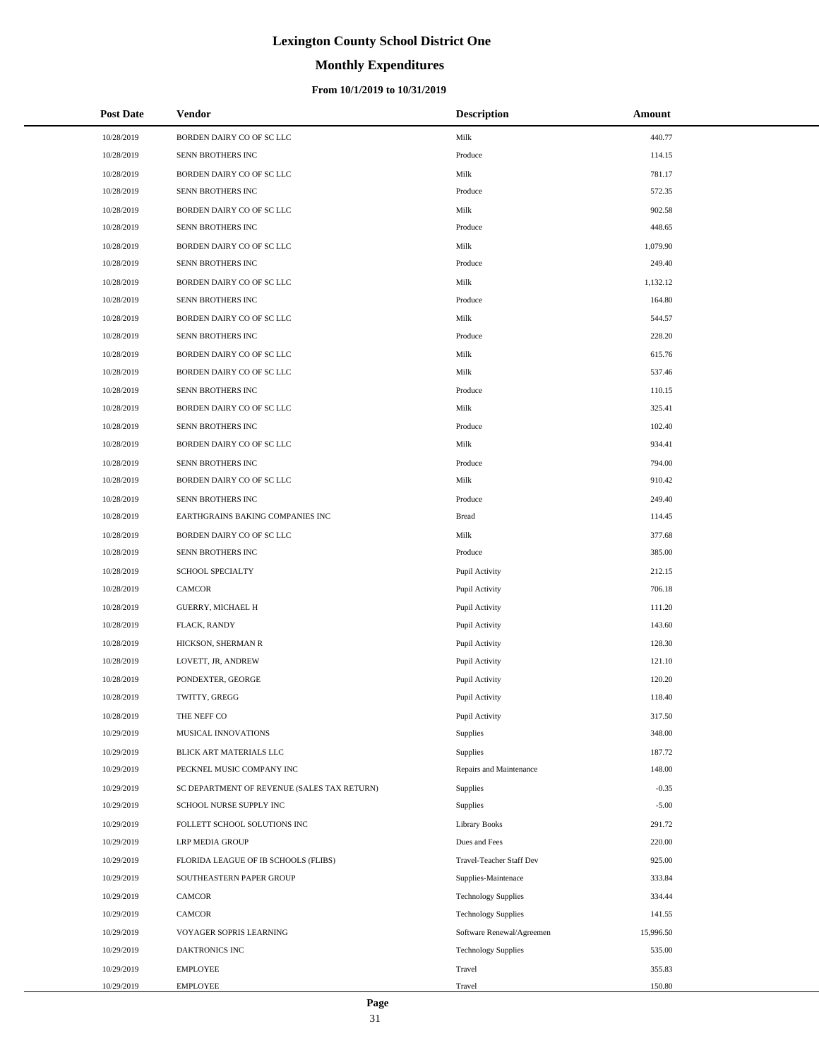# **Monthly Expenditures**

#### **From 10/1/2019 to 10/31/2019**

| <b>Post Date</b> | Vendor                                      | <b>Description</b>         | Amount    |
|------------------|---------------------------------------------|----------------------------|-----------|
| 10/28/2019       | BORDEN DAIRY CO OF SC LLC                   | Milk                       | 440.77    |
| 10/28/2019       | SENN BROTHERS INC                           | Produce                    | 114.15    |
| 10/28/2019       | BORDEN DAIRY CO OF SC LLC                   | Milk                       | 781.17    |
| 10/28/2019       | SENN BROTHERS INC                           | Produce                    | 572.35    |
| 10/28/2019       | BORDEN DAIRY CO OF SC LLC                   | Milk                       | 902.58    |
| 10/28/2019       | SENN BROTHERS INC                           | Produce                    | 448.65    |
| 10/28/2019       | BORDEN DAIRY CO OF SC LLC                   | Milk                       | 1,079.90  |
| 10/28/2019       | SENN BROTHERS INC                           | Produce                    | 249.40    |
| 10/28/2019       | BORDEN DAIRY CO OF SC LLC                   | Milk                       | 1,132.12  |
| 10/28/2019       | SENN BROTHERS INC                           | Produce                    | 164.80    |
| 10/28/2019       | BORDEN DAIRY CO OF SC LLC                   | Milk                       | 544.57    |
| 10/28/2019       | SENN BROTHERS INC                           | Produce                    | 228.20    |
| 10/28/2019       | BORDEN DAIRY CO OF SC LLC                   | Milk                       | 615.76    |
| 10/28/2019       | BORDEN DAIRY CO OF SC LLC                   | Milk                       | 537.46    |
| 10/28/2019       | SENN BROTHERS INC                           | Produce                    | 110.15    |
| 10/28/2019       | BORDEN DAIRY CO OF SC LLC                   | Milk                       | 325.41    |
| 10/28/2019       | SENN BROTHERS INC                           | Produce                    | 102.40    |
| 10/28/2019       | BORDEN DAIRY CO OF SC LLC                   | Milk                       | 934.41    |
| 10/28/2019       | SENN BROTHERS INC                           | Produce                    | 794.00    |
| 10/28/2019       | BORDEN DAIRY CO OF SC LLC                   | Milk                       | 910.42    |
| 10/28/2019       | SENN BROTHERS INC                           | Produce                    | 249.40    |
| 10/28/2019       | EARTHGRAINS BAKING COMPANIES INC            | <b>Bread</b>               | 114.45    |
| 10/28/2019       | BORDEN DAIRY CO OF SC LLC                   | Milk                       | 377.68    |
| 10/28/2019       | SENN BROTHERS INC                           | Produce                    | 385.00    |
| 10/28/2019       | SCHOOL SPECIALTY                            | Pupil Activity             | 212.15    |
| 10/28/2019       | CAMCOR                                      | Pupil Activity             | 706.18    |
| 10/28/2019       | GUERRY, MICHAEL H                           | Pupil Activity             | 111.20    |
| 10/28/2019       | FLACK, RANDY                                | Pupil Activity             | 143.60    |
| 10/28/2019       | HICKSON, SHERMAN R                          | Pupil Activity             | 128.30    |
| 10/28/2019       | LOVETT, JR, ANDREW                          | Pupil Activity             | 121.10    |
| 10/28/2019       | PONDEXTER, GEORGE                           | Pupil Activity             | 120.20    |
| 10/28/2019       | TWITTY, GREGG                               | Pupil Activity             | 118.40    |
| 10/28/2019       | THE NEFF CO                                 | Pupil Activity             | 317.50    |
| 10/29/2019       | MUSICAL INNOVATIONS                         | Supplies                   | 348.00    |
| 10/29/2019       | BLICK ART MATERIALS LLC                     | Supplies                   | 187.72    |
| 10/29/2019       | PECKNEL MUSIC COMPANY INC                   | Repairs and Maintenance    | 148.00    |
| 10/29/2019       | SC DEPARTMENT OF REVENUE (SALES TAX RETURN) | Supplies                   | $-0.35$   |
| 10/29/2019       | SCHOOL NURSE SUPPLY INC                     | Supplies                   | $-5.00$   |
| 10/29/2019       | FOLLETT SCHOOL SOLUTIONS INC                | <b>Library Books</b>       | 291.72    |
| 10/29/2019       | <b>LRP MEDIA GROUP</b>                      | Dues and Fees              | 220.00    |
| 10/29/2019       | FLORIDA LEAGUE OF IB SCHOOLS (FLIBS)        | Travel-Teacher Staff Dev   | 925.00    |
| 10/29/2019       | SOUTHEASTERN PAPER GROUP                    | Supplies-Maintenace        | 333.84    |
| 10/29/2019       | CAMCOR                                      | <b>Technology Supplies</b> | 334.44    |
| 10/29/2019       | CAMCOR                                      | <b>Technology Supplies</b> | 141.55    |
| 10/29/2019       | VOYAGER SOPRIS LEARNING                     | Software Renewal/Agreemen  | 15,996.50 |
| 10/29/2019       | DAKTRONICS INC                              | <b>Technology Supplies</b> | 535.00    |
| 10/29/2019       | <b>EMPLOYEE</b>                             | Travel                     | 355.83    |
| 10/29/2019       | <b>EMPLOYEE</b>                             | Travel                     | 150.80    |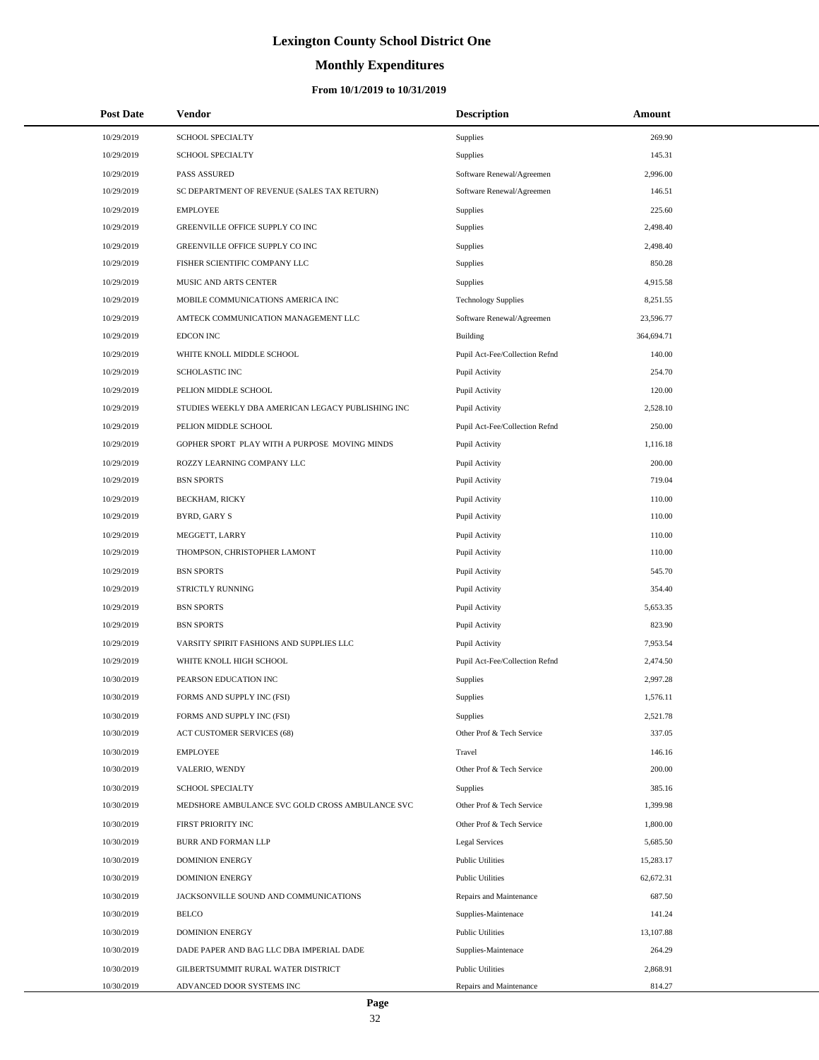# **Monthly Expenditures**

| <b>Post Date</b> | Vendor                                            | <b>Description</b>             | Amount     |  |
|------------------|---------------------------------------------------|--------------------------------|------------|--|
| 10/29/2019       | SCHOOL SPECIALTY                                  | Supplies                       | 269.90     |  |
| 10/29/2019       | SCHOOL SPECIALTY                                  | Supplies                       | 145.31     |  |
| 10/29/2019       | <b>PASS ASSURED</b>                               | Software Renewal/Agreemen      | 2,996.00   |  |
| 10/29/2019       | SC DEPARTMENT OF REVENUE (SALES TAX RETURN)       | Software Renewal/Agreemen      | 146.51     |  |
| 10/29/2019       | <b>EMPLOYEE</b>                                   | <b>Supplies</b>                | 225.60     |  |
| 10/29/2019       | GREENVILLE OFFICE SUPPLY CO INC                   | Supplies                       | 2,498.40   |  |
| 10/29/2019       | GREENVILLE OFFICE SUPPLY CO INC                   | Supplies                       | 2,498.40   |  |
| 10/29/2019       | FISHER SCIENTIFIC COMPANY LLC                     | Supplies                       | 850.28     |  |
| 10/29/2019       | MUSIC AND ARTS CENTER                             | Supplies                       | 4,915.58   |  |
| 10/29/2019       | MOBILE COMMUNICATIONS AMERICA INC                 | <b>Technology Supplies</b>     | 8,251.55   |  |
| 10/29/2019       | AMTECK COMMUNICATION MANAGEMENT LLC               | Software Renewal/Agreemen      | 23,596.77  |  |
| 10/29/2019       | <b>EDCON INC</b>                                  | Building                       | 364,694.71 |  |
| 10/29/2019       | WHITE KNOLL MIDDLE SCHOOL                         | Pupil Act-Fee/Collection Refnd | 140.00     |  |
| 10/29/2019       | SCHOLASTIC INC                                    | Pupil Activity                 | 254.70     |  |
| 10/29/2019       | PELION MIDDLE SCHOOL                              | Pupil Activity                 | 120.00     |  |
| 10/29/2019       | STUDIES WEEKLY DBA AMERICAN LEGACY PUBLISHING INC | Pupil Activity                 | 2,528.10   |  |
| 10/29/2019       | PELION MIDDLE SCHOOL                              | Pupil Act-Fee/Collection Refnd | 250.00     |  |
| 10/29/2019       | GOPHER SPORT PLAY WITH A PURPOSE MOVING MINDS     | Pupil Activity                 | 1,116.18   |  |
| 10/29/2019       | ROZZY LEARNING COMPANY LLC                        | Pupil Activity                 | 200.00     |  |
| 10/29/2019       | <b>BSN SPORTS</b>                                 | Pupil Activity                 | 719.04     |  |
| 10/29/2019       | <b>BECKHAM, RICKY</b>                             | Pupil Activity                 | 110.00     |  |
| 10/29/2019       | BYRD, GARY S                                      | Pupil Activity                 | 110.00     |  |
| 10/29/2019       | MEGGETT, LARRY                                    | Pupil Activity                 | 110.00     |  |
| 10/29/2019       | THOMPSON, CHRISTOPHER LAMONT                      | Pupil Activity                 | 110.00     |  |
| 10/29/2019       | <b>BSN SPORTS</b>                                 | Pupil Activity                 | 545.70     |  |
| 10/29/2019       | STRICTLY RUNNING                                  | Pupil Activity                 | 354.40     |  |
| 10/29/2019       | <b>BSN SPORTS</b>                                 | Pupil Activity                 | 5,653.35   |  |
| 10/29/2019       | <b>BSN SPORTS</b>                                 | Pupil Activity                 | 823.90     |  |
| 10/29/2019       | VARSITY SPIRIT FASHIONS AND SUPPLIES LLC          | Pupil Activity                 | 7,953.54   |  |
| 10/29/2019       | WHITE KNOLL HIGH SCHOOL                           | Pupil Act-Fee/Collection Refnd | 2,474.50   |  |
| 10/30/2019       | PEARSON EDUCATION INC                             | Supplies                       | 2,997.28   |  |
| 10/30/2019       | FORMS AND SUPPLY INC (FSI)                        | Supplies                       | 1,576.11   |  |
| 10/30/2019       | FORMS AND SUPPLY INC (FSI)                        | Supplies                       | 2,521.78   |  |
| 10/30/2019       | <b>ACT CUSTOMER SERVICES (68)</b>                 | Other Prof & Tech Service      | 337.05     |  |
| 10/30/2019       | <b>EMPLOYEE</b>                                   | Travel                         | 146.16     |  |
| 10/30/2019       | VALERIO, WENDY                                    | Other Prof & Tech Service      | 200.00     |  |
| 10/30/2019       | SCHOOL SPECIALTY                                  | Supplies                       | 385.16     |  |
| 10/30/2019       | MEDSHORE AMBULANCE SVC GOLD CROSS AMBULANCE SVC   | Other Prof & Tech Service      | 1,399.98   |  |
| 10/30/2019       | FIRST PRIORITY INC                                | Other Prof & Tech Service      | 1,800.00   |  |
| 10/30/2019       | BURR AND FORMAN LLP                               | Legal Services                 | 5,685.50   |  |
| 10/30/2019       | <b>DOMINION ENERGY</b>                            | <b>Public Utilities</b>        | 15,283.17  |  |
| 10/30/2019       | <b>DOMINION ENERGY</b>                            | <b>Public Utilities</b>        | 62,672.31  |  |
| 10/30/2019       | JACKSONVILLE SOUND AND COMMUNICATIONS             | Repairs and Maintenance        | 687.50     |  |
| 10/30/2019       | <b>BELCO</b>                                      | Supplies-Maintenace            | 141.24     |  |
| 10/30/2019       | <b>DOMINION ENERGY</b>                            | <b>Public Utilities</b>        | 13,107.88  |  |
| 10/30/2019       | DADE PAPER AND BAG LLC DBA IMPERIAL DADE          | Supplies-Maintenace            | 264.29     |  |
| 10/30/2019       | GILBERTSUMMIT RURAL WATER DISTRICT                | <b>Public Utilities</b>        | 2,868.91   |  |
| 10/30/2019       | ADVANCED DOOR SYSTEMS INC                         | Repairs and Maintenance        | 814.27     |  |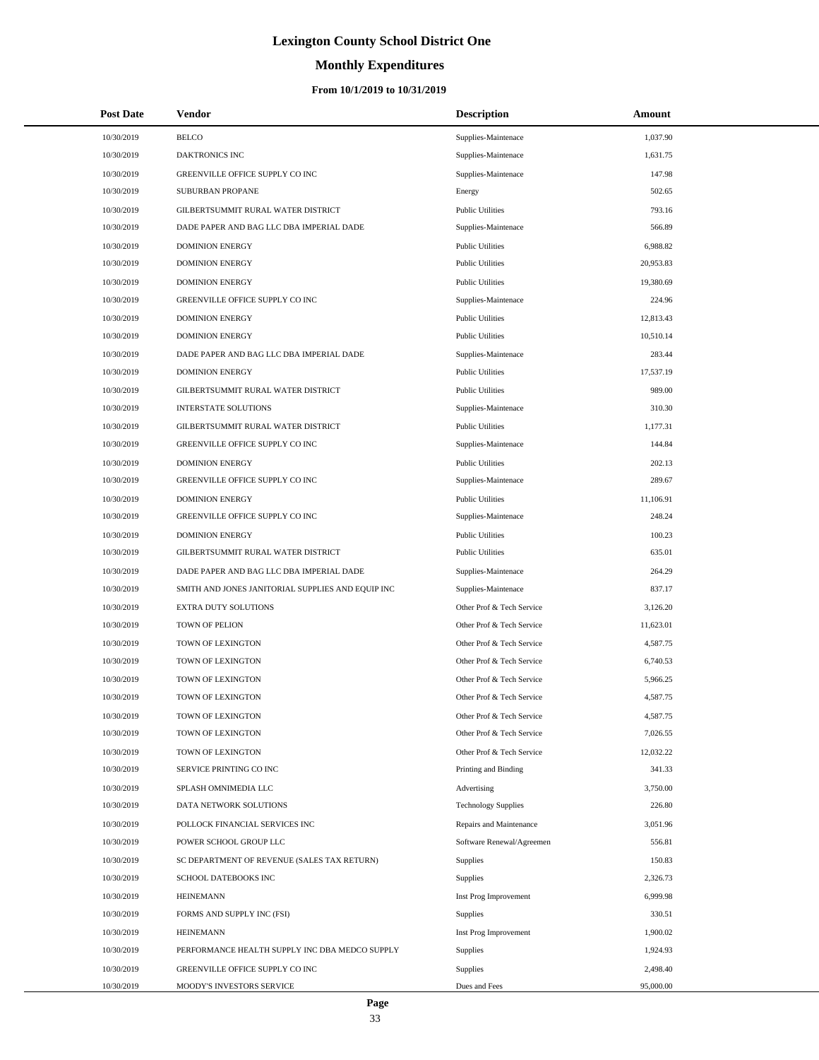# **Monthly Expenditures**

| <b>Post Date</b> | <b>Vendor</b>                                     | <b>Description</b>         | Amount    |
|------------------|---------------------------------------------------|----------------------------|-----------|
| 10/30/2019       | <b>BELCO</b>                                      | Supplies-Maintenace        | 1,037.90  |
| 10/30/2019       | <b>DAKTRONICS INC</b>                             | Supplies-Maintenace        | 1,631.75  |
| 10/30/2019       | GREENVILLE OFFICE SUPPLY CO INC                   | Supplies-Maintenace        | 147.98    |
| 10/30/2019       | <b>SUBURBAN PROPANE</b>                           | Energy                     | 502.65    |
| 10/30/2019       | GILBERTSUMMIT RURAL WATER DISTRICT                | <b>Public Utilities</b>    | 793.16    |
| 10/30/2019       | DADE PAPER AND BAG LLC DBA IMPERIAL DADE          | Supplies-Maintenace        | 566.89    |
| 10/30/2019       | <b>DOMINION ENERGY</b>                            | <b>Public Utilities</b>    | 6,988.82  |
| 10/30/2019       | <b>DOMINION ENERGY</b>                            | <b>Public Utilities</b>    | 20,953.83 |
| 10/30/2019       | <b>DOMINION ENERGY</b>                            | <b>Public Utilities</b>    | 19,380.69 |
| 10/30/2019       | GREENVILLE OFFICE SUPPLY CO INC                   | Supplies-Maintenace        | 224.96    |
| 10/30/2019       | <b>DOMINION ENERGY</b>                            | <b>Public Utilities</b>    | 12,813.43 |
| 10/30/2019       | <b>DOMINION ENERGY</b>                            | <b>Public Utilities</b>    | 10,510.14 |
| 10/30/2019       | DADE PAPER AND BAG LLC DBA IMPERIAL DADE          | Supplies-Maintenace        | 283.44    |
| 10/30/2019       | <b>DOMINION ENERGY</b>                            | <b>Public Utilities</b>    | 17,537.19 |
| 10/30/2019       | GILBERTSUMMIT RURAL WATER DISTRICT                | <b>Public Utilities</b>    | 989.00    |
| 10/30/2019       | <b>INTERSTATE SOLUTIONS</b>                       | Supplies-Maintenace        | 310.30    |
| 10/30/2019       | GILBERTSUMMIT RURAL WATER DISTRICT                | <b>Public Utilities</b>    | 1,177.31  |
| 10/30/2019       | GREENVILLE OFFICE SUPPLY CO INC                   | Supplies-Maintenace        | 144.84    |
| 10/30/2019       | <b>DOMINION ENERGY</b>                            | <b>Public Utilities</b>    | 202.13    |
| 10/30/2019       | GREENVILLE OFFICE SUPPLY CO INC                   | Supplies-Maintenace        | 289.67    |
| 10/30/2019       | <b>DOMINION ENERGY</b>                            | <b>Public Utilities</b>    | 11,106.91 |
| 10/30/2019       | GREENVILLE OFFICE SUPPLY CO INC                   | Supplies-Maintenace        | 248.24    |
| 10/30/2019       | <b>DOMINION ENERGY</b>                            | <b>Public Utilities</b>    | 100.23    |
| 10/30/2019       | GILBERTSUMMIT RURAL WATER DISTRICT                | <b>Public Utilities</b>    | 635.01    |
| 10/30/2019       | DADE PAPER AND BAG LLC DBA IMPERIAL DADE          | Supplies-Maintenace        | 264.29    |
| 10/30/2019       | SMITH AND JONES JANITORIAL SUPPLIES AND EQUIP INC | Supplies-Maintenace        | 837.17    |
| 10/30/2019       | EXTRA DUTY SOLUTIONS                              | Other Prof & Tech Service  | 3,126.20  |
| 10/30/2019       | <b>TOWN OF PELION</b>                             | Other Prof & Tech Service  | 11,623.01 |
| 10/30/2019       | TOWN OF LEXINGTON                                 | Other Prof & Tech Service  | 4,587.75  |
| 10/30/2019       | TOWN OF LEXINGTON                                 | Other Prof & Tech Service  | 6,740.53  |
| 10/30/2019       | TOWN OF LEXINGTON                                 | Other Prof & Tech Service  | 5,966.25  |
| 10/30/2019       | <b>TOWN OF LEXINGTON</b>                          | Other Prof & Tech Service  | 4,587.75  |
| 10/30/2019       | TOWN OF LEXINGTON                                 | Other Prof & Tech Service  | 4,587.75  |
| 10/30/2019       | TOWN OF LEXINGTON                                 | Other Prof & Tech Service  | 7,026.55  |
| 10/30/2019       | TOWN OF LEXINGTON                                 | Other Prof & Tech Service  | 12,032.22 |
| 10/30/2019       | SERVICE PRINTING CO INC                           | Printing and Binding       | 341.33    |
| 10/30/2019       | SPLASH OMNIMEDIA LLC                              | Advertising                | 3,750.00  |
| 10/30/2019       | DATA NETWORK SOLUTIONS                            | <b>Technology Supplies</b> | 226.80    |
| 10/30/2019       | POLLOCK FINANCIAL SERVICES INC                    | Repairs and Maintenance    | 3,051.96  |
| 10/30/2019       | POWER SCHOOL GROUP LLC                            | Software Renewal/Agreemen  | 556.81    |
| 10/30/2019       | SC DEPARTMENT OF REVENUE (SALES TAX RETURN)       | Supplies                   | 150.83    |
| 10/30/2019       | SCHOOL DATEBOOKS INC                              | <b>Supplies</b>            | 2,326.73  |
| 10/30/2019       | <b>HEINEMANN</b>                                  | Inst Prog Improvement      | 6,999.98  |
| 10/30/2019       | FORMS AND SUPPLY INC (FSI)                        | <b>Supplies</b>            | 330.51    |
| 10/30/2019       | <b>HEINEMANN</b>                                  | Inst Prog Improvement      | 1,900.02  |
| 10/30/2019       | PERFORMANCE HEALTH SUPPLY INC DBA MEDCO SUPPLY    | <b>Supplies</b>            | 1,924.93  |
| 10/30/2019       | GREENVILLE OFFICE SUPPLY CO INC                   | Supplies                   | 2,498.40  |
| 10/30/2019       | MOODY'S INVESTORS SERVICE                         | Dues and Fees              | 95,000.00 |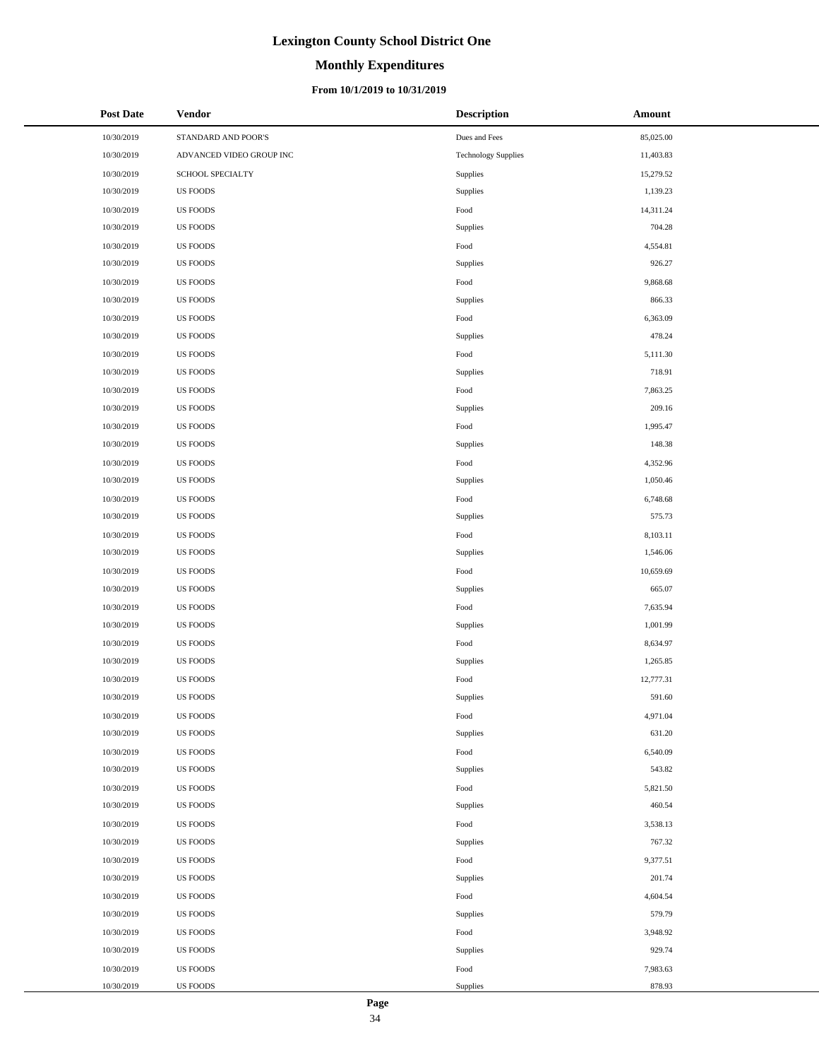# **Monthly Expenditures**

#### **From 10/1/2019 to 10/31/2019**

| <b>Post Date</b> | <b>Vendor</b>            | <b>Description</b>         | Amount    |
|------------------|--------------------------|----------------------------|-----------|
| 10/30/2019       | STANDARD AND POOR'S      | Dues and Fees              | 85,025.00 |
| 10/30/2019       | ADVANCED VIDEO GROUP INC | <b>Technology Supplies</b> | 11,403.83 |
| 10/30/2019       | SCHOOL SPECIALTY         | Supplies                   | 15,279.52 |
| 10/30/2019       | US FOODS                 | Supplies                   | 1,139.23  |
| 10/30/2019       | <b>US FOODS</b>          | Food                       | 14,311.24 |
| 10/30/2019       | <b>US FOODS</b>          | Supplies                   | 704.28    |
| 10/30/2019       | <b>US FOODS</b>          | Food                       | 4,554.81  |
| 10/30/2019       | <b>US FOODS</b>          | Supplies                   | 926.27    |
| 10/30/2019       | <b>US FOODS</b>          | Food                       | 9,868.68  |
| 10/30/2019       | <b>US FOODS</b>          | Supplies                   | 866.33    |
| 10/30/2019       | <b>US FOODS</b>          | $\operatorname*{Food}$     | 6,363.09  |
| 10/30/2019       | <b>US FOODS</b>          | Supplies                   | 478.24    |
| 10/30/2019       | <b>US FOODS</b>          | $\operatorname*{Food}$     | 5,111.30  |
| 10/30/2019       | <b>US FOODS</b>          | Supplies                   | 718.91    |
| 10/30/2019       | <b>US FOODS</b>          | Food                       | 7,863.25  |
| 10/30/2019       | <b>US FOODS</b>          | Supplies                   | 209.16    |
| 10/30/2019       | <b>US FOODS</b>          | Food                       | 1,995.47  |
| 10/30/2019       | <b>US FOODS</b>          | Supplies                   | 148.38    |
| 10/30/2019       | <b>US FOODS</b>          | Food                       | 4,352.96  |
| 10/30/2019       | <b>US FOODS</b>          | Supplies                   | 1,050.46  |
| 10/30/2019       | <b>US FOODS</b>          | Food                       | 6,748.68  |
| 10/30/2019       | <b>US FOODS</b>          | Supplies                   | 575.73    |
| 10/30/2019       | <b>US FOODS</b>          | Food                       | 8,103.11  |
| 10/30/2019       | <b>US FOODS</b>          | Supplies                   | 1,546.06  |
| 10/30/2019       | <b>US FOODS</b>          | Food                       | 10,659.69 |
| 10/30/2019       | <b>US FOODS</b>          | Supplies                   | 665.07    |
| 10/30/2019       | <b>US FOODS</b>          | Food                       | 7,635.94  |
| 10/30/2019       | US FOODS                 | Supplies                   | 1,001.99  |
| 10/30/2019       | US FOODS                 | Food                       | 8,634.97  |
| 10/30/2019       | <b>US FOODS</b>          | Supplies                   | 1,265.85  |
| 10/30/2019       | <b>US FOODS</b>          | Food                       | 12,777.31 |
| 10/30/2019       | <b>US FOODS</b>          | Supplies                   | 591.60    |
| 10/30/2019       | <b>US FOODS</b>          | Food                       | 4,971.04  |
| 10/30/2019       | <b>US FOODS</b>          | Supplies                   | 631.20    |
| 10/30/2019       | <b>US FOODS</b>          | Food                       | 6,540.09  |
| 10/30/2019       | <b>US FOODS</b>          | Supplies                   | 543.82    |
| 10/30/2019       | <b>US FOODS</b>          | Food                       | 5,821.50  |
| 10/30/2019       | <b>US FOODS</b>          | Supplies                   | 460.54    |
| 10/30/2019       | <b>US FOODS</b>          | Food                       | 3,538.13  |
| 10/30/2019       | US FOODS                 | Supplies                   | 767.32    |
| 10/30/2019       | US FOODS                 | Food                       | 9,377.51  |
| 10/30/2019       | <b>US FOODS</b>          | Supplies                   | 201.74    |
| 10/30/2019       | <b>US FOODS</b>          | Food                       | 4,604.54  |
| 10/30/2019       | <b>US FOODS</b>          | Supplies                   | 579.79    |
| 10/30/2019       | <b>US FOODS</b>          | Food                       | 3,948.92  |
| 10/30/2019       | <b>US FOODS</b>          | Supplies                   | 929.74    |
| 10/30/2019       | <b>US FOODS</b>          | Food                       | 7,983.63  |
| 10/30/2019       | US FOODS                 | Supplies                   | 878.93    |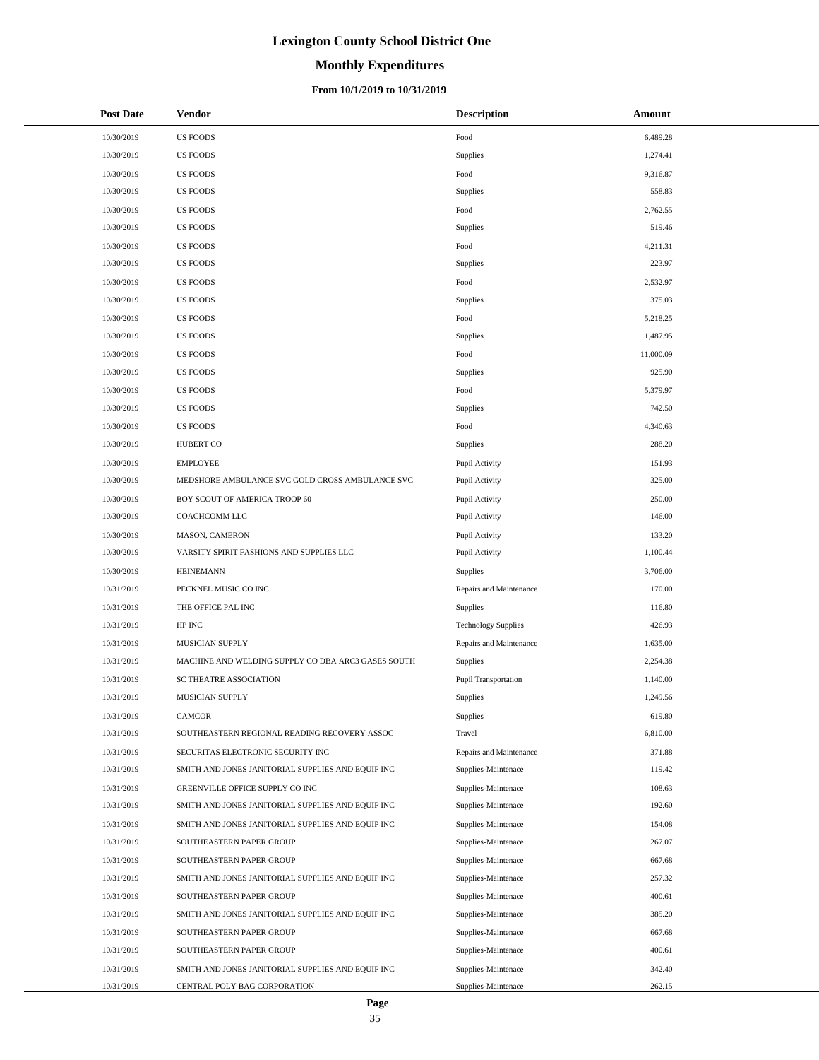# **Monthly Expenditures**

#### **From 10/1/2019 to 10/31/2019**

| <b>Post Date</b> | Vendor                                             | <b>Description</b>         | Amount    |
|------------------|----------------------------------------------------|----------------------------|-----------|
| 10/30/2019       | <b>US FOODS</b>                                    | Food                       | 6,489.28  |
| 10/30/2019       | <b>US FOODS</b>                                    | Supplies                   | 1,274.41  |
| 10/30/2019       | <b>US FOODS</b>                                    | Food                       | 9,316.87  |
| 10/30/2019       | <b>US FOODS</b>                                    | Supplies                   | 558.83    |
| 10/30/2019       | <b>US FOODS</b>                                    | Food                       | 2,762.55  |
| 10/30/2019       | <b>US FOODS</b>                                    | Supplies                   | 519.46    |
| 10/30/2019       | <b>US FOODS</b>                                    | Food                       | 4,211.31  |
| 10/30/2019       | <b>US FOODS</b>                                    | Supplies                   | 223.97    |
| 10/30/2019       | <b>US FOODS</b>                                    | Food                       | 2,532.97  |
| 10/30/2019       | <b>US FOODS</b>                                    | Supplies                   | 375.03    |
| 10/30/2019       | <b>US FOODS</b>                                    | Food                       | 5,218.25  |
| 10/30/2019       | <b>US FOODS</b>                                    | Supplies                   | 1,487.95  |
| 10/30/2019       | <b>US FOODS</b>                                    | Food                       | 11,000.09 |
| 10/30/2019       | <b>US FOODS</b>                                    | Supplies                   | 925.90    |
| 10/30/2019       | <b>US FOODS</b>                                    | Food                       | 5,379.97  |
| 10/30/2019       | <b>US FOODS</b>                                    | Supplies                   | 742.50    |
| 10/30/2019       | <b>US FOODS</b>                                    | Food                       | 4,340.63  |
| 10/30/2019       | <b>HUBERT CO</b>                                   | Supplies                   | 288.20    |
| 10/30/2019       | <b>EMPLOYEE</b>                                    | Pupil Activity             | 151.93    |
| 10/30/2019       | MEDSHORE AMBULANCE SVC GOLD CROSS AMBULANCE SVC    | Pupil Activity             | 325.00    |
| 10/30/2019       | BOY SCOUT OF AMERICA TROOP 60                      | Pupil Activity             | 250.00    |
| 10/30/2019       | COACHCOMM LLC                                      | Pupil Activity             | 146.00    |
| 10/30/2019       | MASON, CAMERON                                     | Pupil Activity             | 133.20    |
| 10/30/2019       | VARSITY SPIRIT FASHIONS AND SUPPLIES LLC           | Pupil Activity             | 1,100.44  |
| 10/30/2019       | <b>HEINEMANN</b>                                   | Supplies                   | 3,706.00  |
| 10/31/2019       | PECKNEL MUSIC CO INC                               | Repairs and Maintenance    | 170.00    |
| 10/31/2019       | THE OFFICE PAL INC                                 | Supplies                   | 116.80    |
| 10/31/2019       | HP INC                                             | <b>Technology Supplies</b> | 426.93    |
| 10/31/2019       | MUSICIAN SUPPLY                                    | Repairs and Maintenance    | 1,635.00  |
| 10/31/2019       | MACHINE AND WELDING SUPPLY CO DBA ARC3 GASES SOUTH | Supplies                   | 2,254.38  |
| 10/31/2019       | SC THEATRE ASSOCIATION                             | Pupil Transportation       | 1,140.00  |
| 10/31/2019       | MUSICIAN SUPPLY                                    | Supplies                   | 1,249.56  |
| 10/31/2019       | CAMCOR                                             | Supplies                   | 619.80    |
| 10/31/2019       | SOUTHEASTERN REGIONAL READING RECOVERY ASSOC       | Travel                     | 6,810.00  |
| 10/31/2019       | SECURITAS ELECTRONIC SECURITY INC                  | Repairs and Maintenance    | 371.88    |
| 10/31/2019       | SMITH AND JONES JANITORIAL SUPPLIES AND EQUIP INC  | Supplies-Maintenace        | 119.42    |
| 10/31/2019       | GREENVILLE OFFICE SUPPLY CO INC                    | Supplies-Maintenace        | 108.63    |
| 10/31/2019       | SMITH AND JONES JANITORIAL SUPPLIES AND EQUIP INC  | Supplies-Maintenace        | 192.60    |
| 10/31/2019       | SMITH AND JONES JANITORIAL SUPPLIES AND EQUIP INC  | Supplies-Maintenace        | 154.08    |
| 10/31/2019       | SOUTHEASTERN PAPER GROUP                           | Supplies-Maintenace        | 267.07    |
| 10/31/2019       | SOUTHEASTERN PAPER GROUP                           | Supplies-Maintenace        | 667.68    |
| 10/31/2019       | SMITH AND JONES JANITORIAL SUPPLIES AND EQUIP INC  | Supplies-Maintenace        | 257.32    |
| 10/31/2019       | SOUTHEASTERN PAPER GROUP                           | Supplies-Maintenace        | 400.61    |
| 10/31/2019       | SMITH AND JONES JANITORIAL SUPPLIES AND EQUIP INC  | Supplies-Maintenace        | 385.20    |
| 10/31/2019       | SOUTHEASTERN PAPER GROUP                           | Supplies-Maintenace        | 667.68    |
| 10/31/2019       | SOUTHEASTERN PAPER GROUP                           | Supplies-Maintenace        | 400.61    |
| 10/31/2019       | SMITH AND JONES JANITORIAL SUPPLIES AND EQUIP INC  | Supplies-Maintenace        | 342.40    |
| 10/31/2019       | CENTRAL POLY BAG CORPORATION                       | Supplies-Maintenace        | 262.15    |

 $\overline{a}$  $\overline{a}$